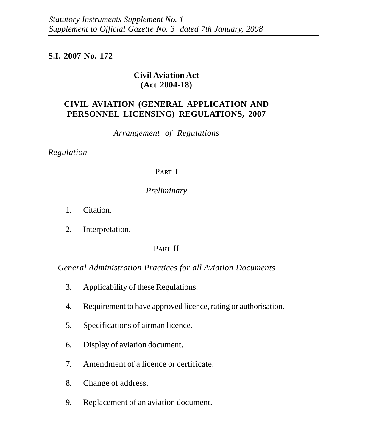## **S.I. 2007 No. 172**

## **Civil Aviation Act (Act 2004-18)**

# **CIVIL AVIATION (GENERAL APPLICATION AND PERSONNEL LICENSING) REGULATIONS, 2007**

*Arrangement of Regulations*

*Regulation*

## PART I

## *Preliminary*

- 1. Citation.
- 2. Interpretation.

# PART II

*General Administration Practices for all Aviation Documents*

- 3. Applicability of these Regulations.
- 4. Requirement to have approved licence, rating or authorisation.
- 5. Specifications of airman licence.
- 6. Display of aviation document.
- 7. Amendment of a licence or certificate.
- 8. Change of address.
- 9. Replacement of an aviation document.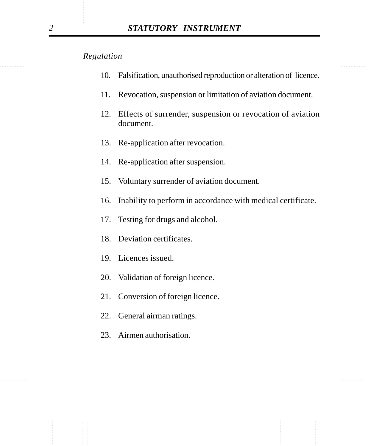- 10. Falsification, unauthorised reproduction or alteration of licence.
- 11. Revocation, suspension or limitation of aviation document.
- 12. Effects of surrender, suspension or revocation of aviation document.
- 13. Re-application after revocation.
- 14. Re-application after suspension.
- 15. Voluntary surrender of aviation document.
- 16. Inability to perform in accordance with medical certificate.
- 17. Testing for drugs and alcohol.
- 18. Deviation certificates.
- 19. Licences issued.
- 20. Validation of foreign licence.
- 21. Conversion of foreign licence.
- 22. General airman ratings.
- 23. Airmen authorisation.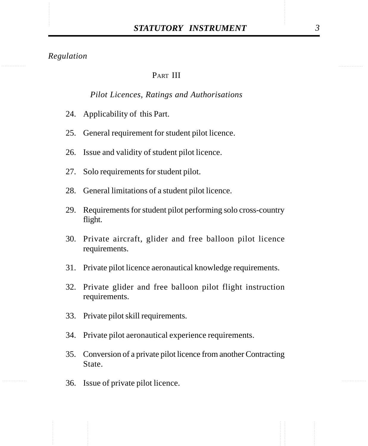## PART III

#### *Pilot Licences, Ratings and Authorisations*

- 24. Applicability of this Part.
- 25. General requirement for student pilot licence.
- 26. Issue and validity of student pilot licence.
- 27. Solo requirements for student pilot.
- 28. General limitations of a student pilot licence.
- 29. Requirements for student pilot performing solo cross-country flight.
- 30. Private aircraft, glider and free balloon pilot licence requirements.
- 31. Private pilot licence aeronautical knowledge requirements.
- 32. Private glider and free balloon pilot flight instruction requirements.
- 33. Private pilot skill requirements.
- 34. Private pilot aeronautical experience requirements.
- 35. Conversion of a private pilot licence from another Contracting State.
- 36. Issue of private pilot licence.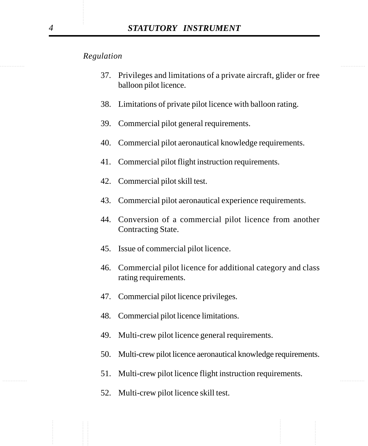- 37. Privileges and limitations of a private aircraft, glider or free balloon pilot licence.
- 38. Limitations of private pilot licence with balloon rating.
- 39. Commercial pilot general requirements.
- 40. Commercial pilot aeronautical knowledge requirements.
- 41. Commercial pilot flight instruction requirements.
- 42. Commercial pilot skill test.
- 43. Commercial pilot aeronautical experience requirements.
- 44. Conversion of a commercial pilot licence from another Contracting State.
- 45. Issue of commercial pilot licence.
- 46. Commercial pilot licence for additional category and class rating requirements.
- 47. Commercial pilot licence privileges.
- 48. Commercial pilot licence limitations.
- 49. Multi-crew pilot licence general requirements.
- 50. Multi-crew pilot licence aeronautical knowledge requirements.
- ............... ............... 51. Multi-crew pilot licence flight instruction requirements.
	- 52. Multi-crew pilot licence skill test.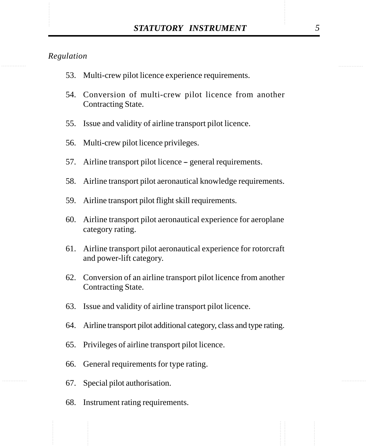- 53. Multi-crew pilot licence experience requirements.
- 54. Conversion of multi-crew pilot licence from another Contracting State.
- 55. Issue and validity of airline transport pilot licence.
- 56. Multi-crew pilot licence privileges.
- 57. Airline transport pilot licence general requirements.
- 58. Airline transport pilot aeronautical knowledge requirements.
- 59. Airline transport pilot flight skill requirements.
- 60. Airline transport pilot aeronautical experience for aeroplane category rating.
- 61. Airline transport pilot aeronautical experience for rotorcraft and power-lift category.
- 62. Conversion of an airline transport pilot licence from another Contracting State.
- 63. Issue and validity of airline transport pilot licence.
- 64. Airline transport pilot additional category, class and type rating.
- 65. Privileges of airline transport pilot licence.
- 66. General requirements for type rating.
- 67. Special pilot authorisation.
- 68. Instrument rating requirements.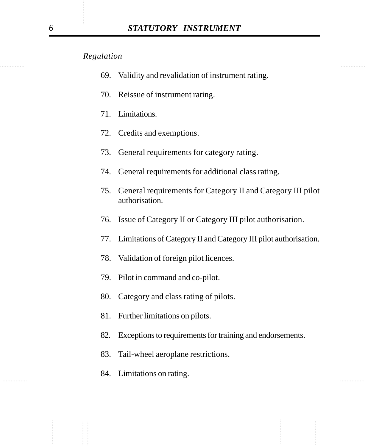- 69. Validity and revalidation of instrument rating.
- 70. Reissue of instrument rating.
- 71. Limitations.
- 72. Credits and exemptions.
- 73. General requirements for category rating.
- 74. General requirements for additional class rating.
- 75. General requirements for Category II and Category III pilot authorisation.
- 76. Issue of Category II or Category III pilot authorisation.
- 77. Limitations of Category II and Category III pilot authorisation.
- 78. Validation of foreign pilot licences.
- 79. Pilot in command and co-pilot.
- 80. Category and class rating of pilots.
- 81. Further limitations on pilots.
- 82. Exceptions to requirements for training and endorsements.
- 83. Tail-wheel aeroplane restrictions.
- ............... ............... 84. Limitations on rating.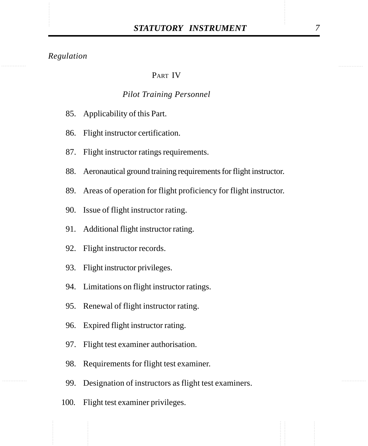## PART IV

#### *Pilot Training Personnel*

- 85. Applicability of this Part.
- 86. Flight instructor certification.
- 87. Flight instructor ratings requirements.
- 88. Aeronautical ground training requirements for flight instructor.
- 89. Areas of operation for flight proficiency for flight instructor.
- 90. Issue of flight instructor rating.
- 91. Additional flight instructor rating.
- 92. Flight instructor records.
- 93. Flight instructor privileges.
- 94. Limitations on flight instructor ratings.
- 95. Renewal of flight instructor rating.
- 96. Expired flight instructor rating.
- 97. Flight test examiner authorisation.
- 98. Requirements for flight test examiner.
- 99. Designation of instructors as flight test examiners.
- 100. Flight test examiner privileges.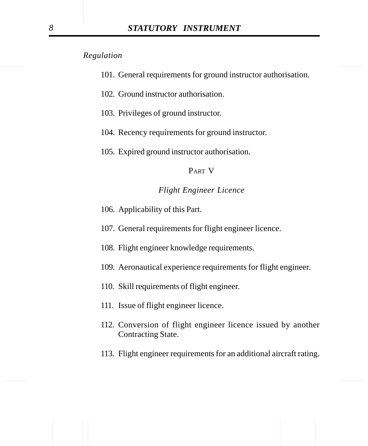- 101. General requirements for ground instructor authorisation.
- 102. Ground instructor authorisation.
- 103. Privileges of ground instructor.
- 104. Recency requirements for ground instructor.
- 105. Expired ground instructor authorisation.

#### PART V

#### *Flight Engineer Licence*

- 106. Applicability of this Part.
- 107. General requirements for flight engineer licence.
- 108. Flight engineer knowledge requirements.
- 109. Aeronautical experience requirements for flight engineer.
- 110. Skill requirements of flight engineer.
- 111. Issue of flight engineer licence.
- 112. Conversion of flight engineer licence issued by another Contracting State.
- 113. Flight engineer requirements for an additional aircraft rating.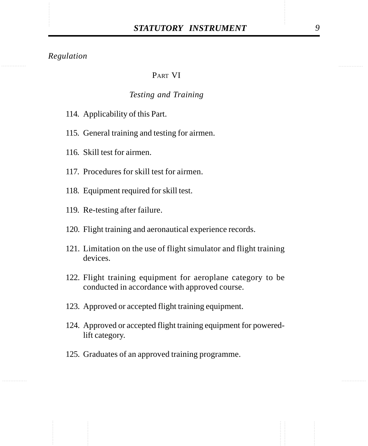## PART VI

#### *Testing and Training*

- 114. Applicability of this Part.
- 115. General training and testing for airmen.
- 116. Skill test for airmen.
- 117. Procedures for skill test for airmen.
- 118. Equipment required for skill test.
- 119. Re-testing after failure.
- 120. Flight training and aeronautical experience records.
- 121. Limitation on the use of flight simulator and flight training devices.
- 122. Flight training equipment for aeroplane category to be conducted in accordance with approved course.
- 123. Approved or accepted flight training equipment.
- 124. Approved or accepted flight training equipment for poweredlift category.
- 125. Graduates of an approved training programme.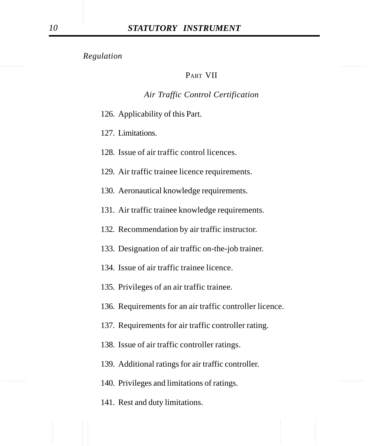#### PART VII

#### *Air Traffic Control Certification*

- 126. Applicability of this Part.
- 127. Limitations.
- 128. Issue of air traffic control licences.
- 129. Air traffic trainee licence requirements.
- 130. Aeronautical knowledge requirements.
- 131. Air traffic trainee knowledge requirements.
- 132. Recommendation by air traffic instructor.
- 133. Designation of air traffic on-the-job trainer.
- 134. Issue of air traffic trainee licence.
- 135. Privileges of an air traffic trainee.
- 136. Requirements for an air traffic controller licence.
- 137. Requirements for air traffic controller rating.
- 138. Issue of air traffic controller ratings.
- 139. Additional ratings for air traffic controller.
- 140. Privileges and limitations of ratings.
	- 141. Rest and duty limitations.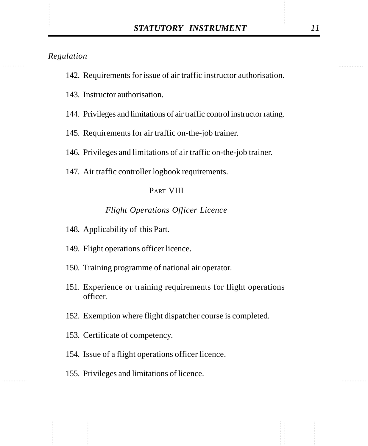- 142. Requirements for issue of air traffic instructor authorisation.
- 143. Instructor authorisation.
- 144. Privileges and limitations of air traffic control instructor rating.
- 145. Requirements for air traffic on-the-job trainer.
- 146. Privileges and limitations of air traffic on-the-job trainer.
- 147. Air traffic controller logbook requirements.

#### PART VIII

#### *Flight Operations Officer Licence*

- 148. Applicability of this Part.
- 149. Flight operations officer licence.
- 150. Training programme of national air operator.
- 151. Experience or training requirements for flight operations officer.
- 152. Exemption where flight dispatcher course is completed.
- 153. Certificate of competency.
- 154. Issue of a flight operations officer licence.
- 155. Privileges and limitations of licence.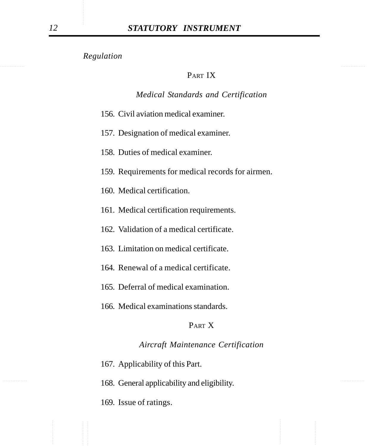#### PART IX

#### *Medical Standards and Certification*

- 156. Civil aviation medical examiner.
- 157. Designation of medical examiner.
- 158. Duties of medical examiner.
- 159. Requirements for medical records for airmen.
- 160. Medical certification.
- 161. Medical certification requirements.
- 162. Validation of a medical certificate.
- 163. Limitation on medical certificate.
- 164. Renewal of a medical certificate.
- 165. Deferral of medical examination.
- 166. Medical examinations standards.

#### PART X

## *Aircraft Maintenance Certification*

- 167. Applicability of this Part.
- 168. General applicability and eligibility.
	- 169. Issue of ratings.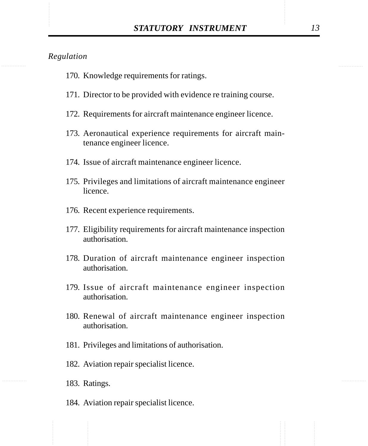- 170. Knowledge requirements for ratings.
- 171. Director to be provided with evidence re training course.
- 172. Requirements for aircraft maintenance engineer licence.
- 173. Aeronautical experience requirements for aircraft maintenance engineer licence.
- 174. Issue of aircraft maintenance engineer licence.
- 175. Privileges and limitations of aircraft maintenance engineer licence.
- 176. Recent experience requirements.
- 177. Eligibility requirements for aircraft maintenance inspection authorisation.
- 178. Duration of aircraft maintenance engineer inspection authorisation.
- 179. Issue of aircraft maintenance engineer inspection authorisation.
- 180. Renewal of aircraft maintenance engineer inspection authorisation.
- 181. Privileges and limitations of authorisation.
- 182. Aviation repair specialist licence.
- 183. Ratings.
- 184. Aviation repair specialist licence.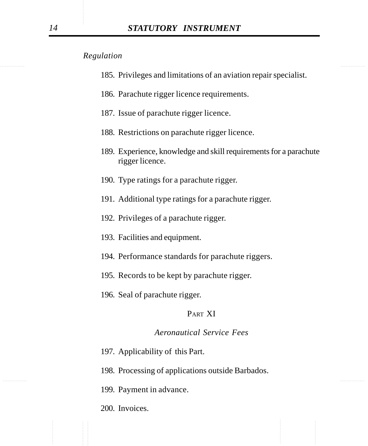- 185. Privileges and limitations of an aviation repair specialist.
- 186. Parachute rigger licence requirements.
- 187. Issue of parachute rigger licence.
- 188. Restrictions on parachute rigger licence.
- 189. Experience, knowledge and skill requirements for a parachute rigger licence.
- 190. Type ratings for a parachute rigger.
- 191. Additional type ratings for a parachute rigger.
- 192. Privileges of a parachute rigger.
- 193. Facilities and equipment.
- 194. Performance standards for parachute riggers.
- 195. Records to be kept by parachute rigger.
- 196. Seal of parachute rigger.

## PART XI

#### *Aeronautical Service Fees*

- 197. Applicability of this Part.
- 198. Processing of applications outside Barbados.
- 199. Payment in advance.
- 200. Invoices.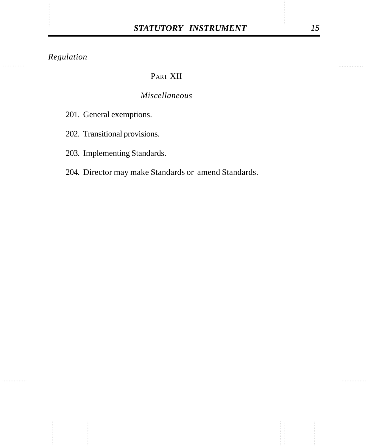# PART XII

# *Miscellaneous*

- 201. General exemptions.
- 202. Transitional provisions.
- 203. Implementing Standards.
- 204. Director may make Standards or amend Standards.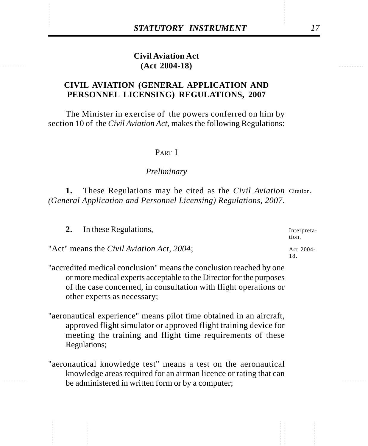# STATUTORY INSTRUMENT<br>
Civil Aviation Act<br>
(Act 2004-18) **Civil Aviation Act (Act 2004-18)**

## **CIVIL AVIATION (GENERAL APPLICATION AND PERSONNEL LICENSING) REGULATIONS, 2007**

The Minister in exercise of the powers conferred on him by section 10 of the *Civil Aviation Act*, makes the following Regulations:

#### PART I

#### *Preliminary*

1. These Regulations may be cited as the *Civil Aviation* Citation. *(General Application and Personnel Licensing) Regulations, 2007*.

| In these Regulations,<br>2.                       | Interpreta-<br>tion. |
|---------------------------------------------------|----------------------|
| "Act" means the <i>Civil Aviation Act</i> , 2004; | Act 2004-            |
|                                                   |                      |

"accredited medical conclusion" means the conclusion reached by one or more medical experts acceptable to the Director for the purposes of the case concerned, in consultation with flight operations or other experts as necessary;

- "aeronautical experience" means pilot time obtained in an aircraft, approved flight simulator or approved flight training device for meeting the training and flight time requirements of these Regulations;
- "aeronautical knowledge test" means a test on the aeronautical knowledge areas required for an airman licence or rating that can be administered in written form or by a computer;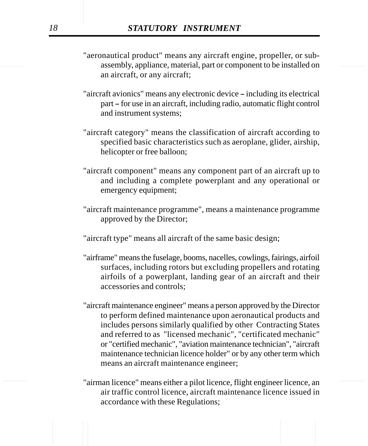- examply, appliance, material, part or component to be installed on "aeronautical product" means any aircraft engine, propeller, or suban aircraft, or any aircraft;
	- "aircraft avionics" means any electronic device including its electrical part – for use in an aircraft, including radio, automatic flight control and instrument systems;
	- "aircraft category" means the classification of aircraft according to specified basic characteristics such as aeroplane, glider, airship, helicopter or free balloon;
	- "aircraft component" means any component part of an aircraft up to and including a complete powerplant and any operational or emergency equipment;
	- "aircraft maintenance programme", means a maintenance programme approved by the Director;
	- "aircraft type" means all aircraft of the same basic design;
	- "airframe" means the fuselage, booms, nacelles, cowlings, fairings, airfoil surfaces, including rotors but excluding propellers and rotating airfoils of a powerplant, landing gear of an aircraft and their accessories and controls;
	- "aircraft maintenance engineer" means a person approved by the Director to perform defined maintenance upon aeronautical products and includes persons similarly qualified by other Contracting States and referred to as "licensed mechanic", "certificated mechanic" or "certified mechanic", "aviation maintenance technician", "aircraft maintenance technician licence holder" or by any other term which means an aircraft maintenance engineer;
- ............... ............... "airman licence" means either a pilot licence, flight engineer licence, an air traffic control licence, aircraft maintenance licence issued in accordance with these Regulations;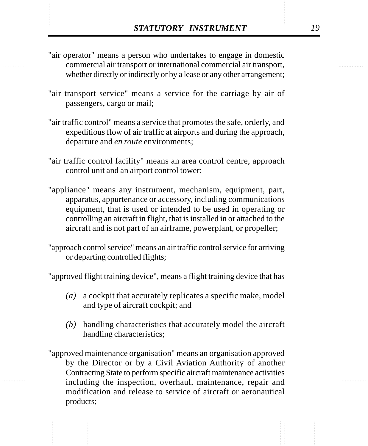- **STATUTORY INSTRUMENT** 19<br>
"air operator" means a person who undertakes to engage in domestic<br>
commercial air transport or international commercial air transport, "air operator" means a person who undertakes to engage in domestic commercial air transport or international commercial air transport, whether directly or indirectly or by a lease or any other arrangement;
	- "air transport service" means a service for the carriage by air of passengers, cargo or mail;
	- "air traffic control" means a service that promotes the safe, orderly, and expeditious flow of air traffic at airports and during the approach, departure and *en route* environments;
	- "air traffic control facility" means an area control centre, approach control unit and an airport control tower;
	- "appliance" means any instrument, mechanism, equipment, part, apparatus, appurtenance or accessory, including communications equipment, that is used or intended to be used in operating or controlling an aircraft in flight, that is installed in or attached to the aircraft and is not part of an airframe, powerplant, or propeller;
	- "approach control service" means an air traffic control service for arriving or departing controlled flights;

"approved flight training device", means a flight training device that has

- *(a)* a cockpit that accurately replicates a specific make, model and type of aircraft cockpit; and
- *(b)* handling characteristics that accurately model the aircraft handling characteristics;
- "approved maintenance organisation" means an organisation approved by the Director or by a Civil Aviation Authority of another Contracting State to perform specific aircraft maintenance activities including the inspection, overhaul, maintenance, repair and modification and release to service of aircraft or aeronautical products;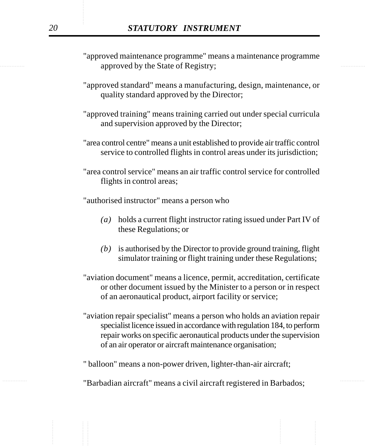- expressed by the State of Registry; "approved maintenance programme" means a maintenance programme
	- "approved standard" means a manufacturing, design, maintenance, or quality standard approved by the Director;
	- "approved training" means training carried out under special curricula and supervision approved by the Director;
	- "area control centre" means a unit established to provide air traffic control service to controlled flights in control areas under its jurisdiction;
	- "area control service" means an air traffic control service for controlled flights in control areas;

"authorised instructor" means a person who

- *(a)* holds a current flight instructor rating issued under Part IV of these Regulations; or
- *(b)* is authorised by the Director to provide ground training, flight simulator training or flight training under these Regulations;
- "aviation document" means a licence, permit, accreditation, certificate or other document issued by the Minister to a person or in respect of an aeronautical product, airport facility or service;
- "aviation repair specialist" means a person who holds an aviation repair specialist licence issued in accordance with regulation 184, to perform repair works on specific aeronautical products under the supervision of an air operator or aircraft maintenance organisation;
- " balloon" means a non-power driven, lighter-than-air aircraft;
- ............... ............... "Barbadian aircraft" means a civil aircraft registered in Barbados;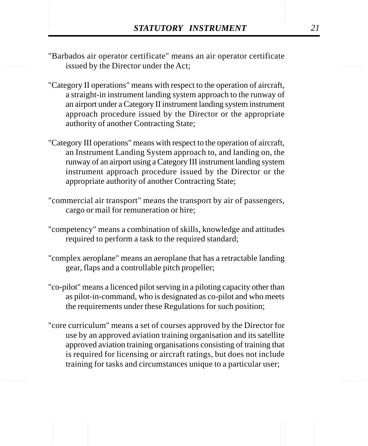- **STATUTORY INSTRUMENT** 21<br>
"Barbados air operator certificate" means an air operator certificate<br>
issued by the Director under the Act: "Barbados air operator certificate" means an air operator certificate issued by the Director under the Act;
	- "Category II operations" means with respect to the operation of aircraft, a straight-in instrument landing system approach to the runway of an airport under a Category II instrument landing system instrument approach procedure issued by the Director or the appropriate authority of another Contracting State;
	- "Category III operations" means with respect to the operation of aircraft, an Instrument Landing System approach to, and landing on, the runway of an airport using a Category III instrument landing system instrument approach procedure issued by the Director or the appropriate authority of another Contracting State;
	- "commercial air transport" means the transport by air of passengers, cargo or mail for remuneration or hire;
	- "competency" means a combination of skills, knowledge and attitudes required to perform a task to the required standard;
	- "complex aeroplane" means an aeroplane that has a retractable landing gear, flaps and a controllable pitch propeller;
	- "co-pilot" means a licenced pilot serving in a piloting capacity other than as pilot-in-command, who is designated as co-pilot and who meets the requirements under these Regulations for such position;
	- "core curriculum" means a set of courses approved by the Director for use by an approved aviation training organisation and its satellite approved aviation training organisations consisting of training that is required for licensing or aircraft ratings, but does not include training for tasks and circumstances unique to a particular user;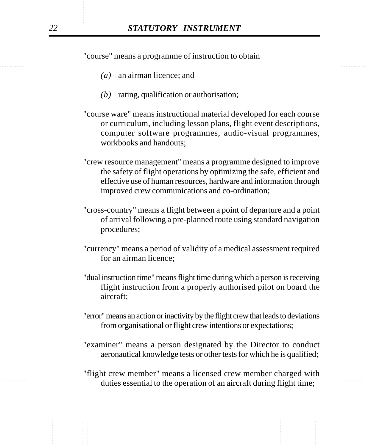"course" means a programme of instruction to obtain

- *(a)* an airman licence; and
- *(b)* rating, qualification or authorisation;
- "course ware" means instructional material developed for each course or curriculum, including lesson plans, flight event descriptions, computer software programmes, audio-visual programmes, workbooks and handouts;
- "crew resource management" means a programme designed to improve the safety of flight operations by optimizing the safe, efficient and effective use of human resources, hardware and information through improved crew communications and co-ordination;
- "cross-country" means a flight between a point of departure and a point of arrival following a pre-planned route using standard navigation procedures;
- "currency" means a period of validity of a medical assessment required for an airman licence;
- "dual instruction time" means flight time during which a person is receiving flight instruction from a properly authorised pilot on board the aircraft;
- "error" means an action or inactivity by the flight crew that leads to deviations from organisational or flight crew intentions or expectations;
- "examiner" means a person designated by the Director to conduct aeronautical knowledge tests or other tests for which he is qualified;
- duties essential to the operation of an aircraft during flight time; "flight crew member" means a licensed crew member charged with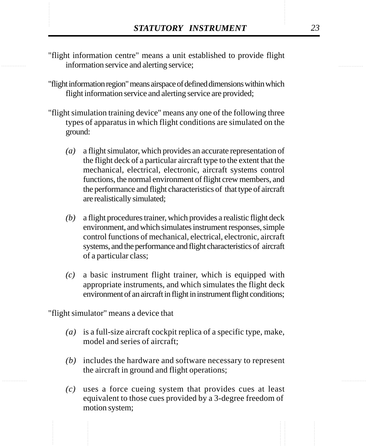- **STATUTORY INSTRUMENT** 23<br>
"flight information centre" means a unit established to provide flight information service and alerting service; "flight information centre" means a unit established to provide flight information service and alerting service;
	- "flight information region" means airspace of defined dimensions within which flight information service and alerting service are provided;
	- "flight simulation training device" means any one of the following three types of apparatus in which flight conditions are simulated on the ground:
		- *(a)* a flight simulator, which provides an accurate representation of the flight deck of a particular aircraft type to the extent that the mechanical, electrical, electronic, aircraft systems control functions, the normal environment of flight crew members, and the performance and flight characteristics of that type of aircraft are realistically simulated;
		- *(b)* a flight procedures trainer, which provides a realistic flight deck environment, and which simulates instrument responses, simple control functions of mechanical, electrical, electronic, aircraft systems, and the performance and flight characteristics of aircraft of a particular class;
		- *(c)* a basic instrument flight trainer, which is equipped with appropriate instruments, and which simulates the flight deck environment of an aircraft in flight in instrument flight conditions;

"flight simulator" means a device that

- *(a)* is a full-size aircraft cockpit replica of a specific type, make, model and series of aircraft;
- *(b)* includes the hardware and software necessary to represent the aircraft in ground and flight operations;
- *(c)* uses a force cueing system that provides cues at least equivalent to those cues provided by a 3-degree freedom of motion system;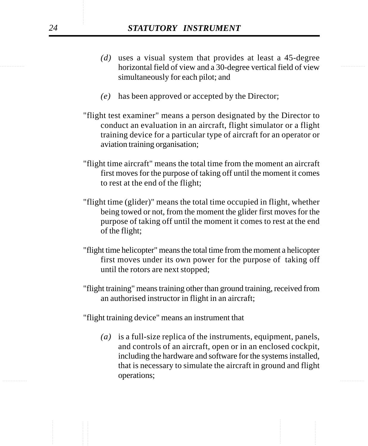- horizontal field of view and a 30-degree vertical field of view *(d)* uses a visual system that provides at least a 45-degree simultaneously for each pilot; and
	- *(e)* has been approved or accepted by the Director;
	- "flight test examiner" means a person designated by the Director to conduct an evaluation in an aircraft, flight simulator or a flight training device for a particular type of aircraft for an operator or aviation training organisation;
	- "flight time aircraft" means the total time from the moment an aircraft first moves for the purpose of taking off until the moment it comes to rest at the end of the flight;
	- "flight time (glider)" means the total time occupied in flight, whether being towed or not, from the moment the glider first moves for the purpose of taking off until the moment it comes to rest at the end of the flight;
	- "flight time helicopter" means the total time from the moment a helicopter first moves under its own power for the purpose of taking off until the rotors are next stopped;
	- "flight training" means training other than ground training, received from an authorised instructor in flight in an aircraft;

"flight training device" means an instrument that

bellutons, *(a)* is a full-size replica of the instruments, equipment, panels, and controls of an aircraft, open or in an enclosed cockpit, including the hardware and software for the systems installed, that is necessary to simulate the aircraft in ground and flight operations;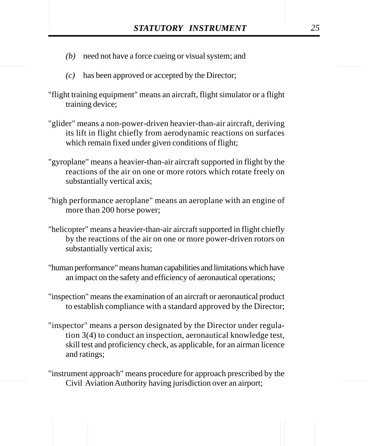- STATUTORY INSTRUMENT 25<br>(b) need not have a force cueing or visual system; and *(b)* need not have a force cueing or visual system; and
	- *(c)* has been approved or accepted by the Director;
	- "flight training equipment" means an aircraft, flight simulator or a flight training device;
	- "glider" means a non-power-driven heavier-than-air aircraft, deriving its lift in flight chiefly from aerodynamic reactions on surfaces which remain fixed under given conditions of flight;
	- "gyroplane" means a heavier-than-air aircraft supported in flight by the reactions of the air on one or more rotors which rotate freely on substantially vertical axis;
	- "high performance aeroplane" means an aeroplane with an engine of more than 200 horse power;
	- "helicopter" means a heavier-than-air aircraft supported in flight chiefly by the reactions of the air on one or more power-driven rotors on substantially vertical axis;
	- "human performance" means human capabilities and limitations which have an impact on the safety and efficiency of aeronautical operations;
	- "inspection" means the examination of an aircraft or aeronautical product to establish compliance with a standard approved by the Director;
	- "inspector" means a person designated by the Director under regulation 3(4) to conduct an inspection, aeronautical knowledge test, skill test and proficiency check, as applicable, for an airman licence and ratings;
	- "instrument approach" means procedure for approach prescribed by the Civil Aviation Authority having jurisdiction over an airport;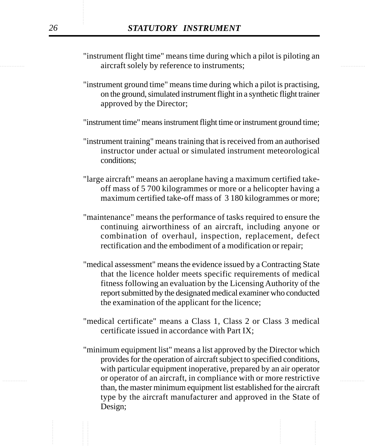- example 2.1 aircraft solely by reference to instruments; "instrument flight time" means time during which a pilot is piloting an
	- "instrument ground time" means time during which a pilot is practising, on the ground, simulated instrument flight in a synthetic flight trainer approved by the Director;

"instrument time" means instrument flight time or instrument ground time;

- "instrument training" means training that is received from an authorised instructor under actual or simulated instrument meteorological conditions;
- "large aircraft" means an aeroplane having a maximum certified takeoff mass of 5 700 kilogrammes or more or a helicopter having a maximum certified take-off mass of 3 180 kilogrammes or more;
- "maintenance" means the performance of tasks required to ensure the continuing airworthiness of an aircraft, including anyone or combination of overhaul, inspection, replacement, defect rectification and the embodiment of a modification or repair;
- "medical assessment" means the evidence issued by a Contracting State that the licence holder meets specific requirements of medical fitness following an evaluation by the Licensing Authority of the report submitted by the designated medical examiner who conducted the examination of the applicant for the licence;
- "medical certificate" means a Class 1, Class 2 or Class 3 medical certificate issued in accordance with Part IX;
- ............... ............... or operator of an aircraft, in compliance with or more restrictive "minimum equipment list" means a list approved by the Director which provides for the operation of aircraft subject to specified conditions, with particular equipment inoperative, prepared by an air operator than, the master minimum equipment list established for the aircraft type by the aircraft manufacturer and approved in the State of Design;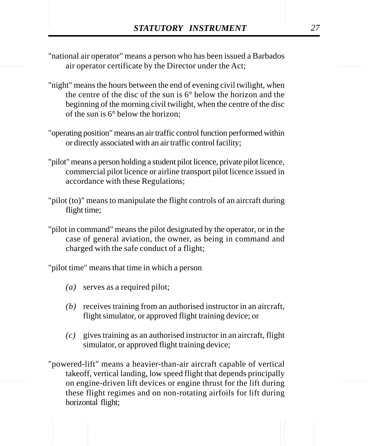- **STATUTORY INSTRUMENT**<br>
"national air operator" means a person who has been issued a Barbados<br>
air operator certificate by the Director under the Act: "national air operator" means a person who has been issued a Barbados air operator certificate by the Director under the Act;
	- "night" means the hours between the end of evening civil twilight, when the centre of the disc of the sun is 6° below the horizon and the beginning of the morning civil twilight, when the centre of the disc of the sun is 6° below the horizon;
	- "operating position" means an air traffic control function performed within or directly associated with an air traffic control facility;
	- "pilot" means a person holding a student pilot licence, private pilot licence, commercial pilot licence or airline transport pilot licence issued in accordance with these Regulations;
	- "pilot (to)" means to manipulate the flight controls of an aircraft during flight time;
	- "pilot in command" means the pilot designated by the operator, or in the case of general aviation, the owner, as being in command and charged with the safe conduct of a flight;

"pilot time" means that time in which a person

- *(a)* serves as a required pilot;
- *(b)* receives training from an authorised instructor in an aircraft, flight simulator, or approved flight training device; or
- *(c)* gives training as an authorised instructor in an aircraft, flight simulator, or approved flight training device;
- "powered-lift" means a heavier-than-air aircraft capable of vertical takeoff, vertical landing, low speed flight that depends principally on engine-driven lift devices or engine thrust for the lift during these flight regimes and on non-rotating airfoils for lift during horizontal flight;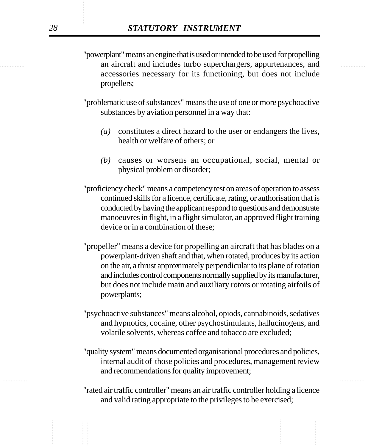example an aircraft and includes turbo superchargers, appurtenances, and metal-"powerplant" means an engine that is used or intended to be used for propelling accessories necessary for its functioning, but does not include propellers;

> "problematic use of substances" means the use of one or more psychoactive substances by aviation personnel in a way that:

- *(a)* constitutes a direct hazard to the user or endangers the lives, health or welfare of others; or
- *(b)* causes or worsens an occupational, social, mental or physical problem or disorder;

"proficiency check" means a competency test on areas of operation to assess continued skills for a licence, certificate, rating, or authorisation that is conducted by having the applicant respond to questions and demonstrate manoeuvres in flight, in a flight simulator, an approved flight training device or in a combination of these;

- "propeller" means a device for propelling an aircraft that has blades on a powerplant-driven shaft and that, when rotated, produces by its action on the air, a thrust approximately perpendicular to its plane of rotation and includes control components normally supplied by its manufacturer, but does not include main and auxiliary rotors or rotating airfoils of powerplants;
- "psychoactive substances" means alcohol, opiods, cannabinoids, sedatives and hypnotics, cocaine, other psychostimulants, hallucinogens, and volatile solvents, whereas coffee and tobacco are excluded;
- "quality system" means documented organisational procedures and policies, internal audit of those policies and procedures, management review and recommendations for quality improvement;
- "rated air traffic controller" means an air traffic controller holding a licence and valid rating appropriate to the privileges to be exercised;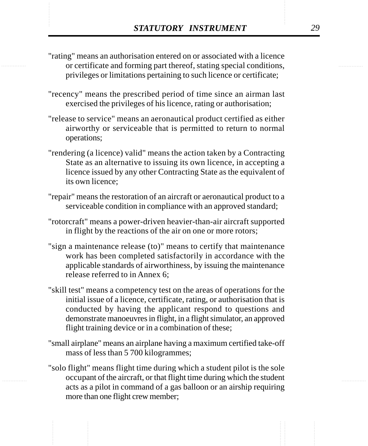- STATUTORY INSTRUMENT<br>
"Trating" means an authorisation entered on or associated with a licence<br>
or certificate and forming part thereof, stating special conditions. "rating" means an authorisation entered on or associated with a licence or certificate and forming part thereof, stating special conditions, privileges or limitations pertaining to such licence or certificate;
	- "recency" means the prescribed period of time since an airman last exercised the privileges of his licence, rating or authorisation;
	- "release to service" means an aeronautical product certified as either airworthy or serviceable that is permitted to return to normal operations;
	- "rendering (a licence) valid" means the action taken by a Contracting State as an alternative to issuing its own licence, in accepting a licence issued by any other Contracting State as the equivalent of its own licence;
	- "repair" means the restoration of an aircraft or aeronautical product to a serviceable condition in compliance with an approved standard;
	- "rotorcraft" means a power-driven heavier-than-air aircraft supported in flight by the reactions of the air on one or more rotors;
	- "sign a maintenance release (to)" means to certify that maintenance work has been completed satisfactorily in accordance with the applicable standards of airworthiness, by issuing the maintenance release referred to in Annex 6;
	- "skill test" means a competency test on the areas of operations for the initial issue of a licence, certificate, rating, or authorisation that is conducted by having the applicant respond to questions and demonstrate manoeuvres in flight, in a flight simulator, an approved flight training device or in a combination of these;
	- "small airplane" means an airplane having a maximum certified take-off mass of less than 5 700 kilogrammes;
	- "solo flight" means flight time during which a student pilot is the sole occupant of the aircraft, or that flight time during which the student acts as a pilot in command of a gas balloon or an airship requiring more than one flight crew member;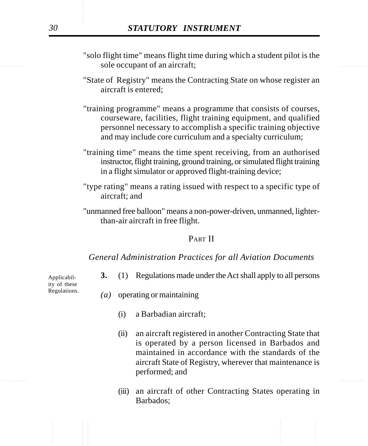- sole occupant of an aircraft; "solo flight time" means flight time during which a student pilot is the
	- "State of Registry" means the Contracting State on whose register an aircraft is entered;
	- "training programme" means a programme that consists of courses, courseware, facilities, flight training equipment, and qualified personnel necessary to accomplish a specific training objective and may include core curriculum and a specialty curriculum;
	- "training time" means the time spent receiving, from an authorised instructor, flight training, ground training, or simulated flight training in a flight simulator or approved flight-training device;
	- "type rating" means a rating issued with respect to a specific type of aircraft; and
	- "unmanned free balloon" means a non-power-driven, unmanned, lighterthan-air aircraft in free flight.

### PART II

#### *General Administration Practices for all Aviation Documents*

**3.** (1) Regulations made under the Act shall apply to all persons

Applicability of these Regulations.

- *(a)* operating or maintaining
	- (i) a Barbadian aircraft;
	- (ii) an aircraft registered in another Contracting State that is operated by a person licensed in Barbados and maintained in accordance with the standards of the aircraft State of Registry, wherever that maintenance is performed; and
	- (iii) an aircraft of other Contracting States operating in Barbados;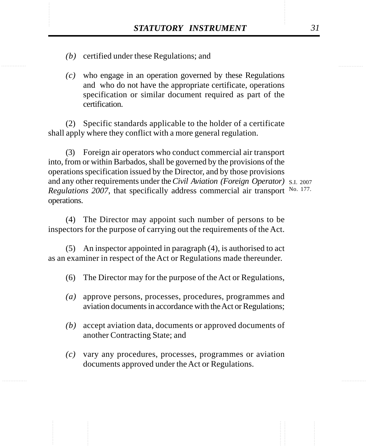- STATUTORY INSTRUMENT 31<br>(b) certified under these Regulations; and *(b)* certified under these Regulations; and
	- *(c)* who engage in an operation governed by these Regulations and who do not have the appropriate certificate, operations specification or similar document required as part of the certification.

(2) Specific standards applicable to the holder of a certificate shall apply where they conflict with a more general regulation.

(3) Foreign air operators who conduct commercial air transport into, from or within Barbados, shall be governed by the provisions of the operations specification issued by the Director, and by those provisions and any other requirements under the *Civil Aviation (Foreign Operator)* S.I. 2007 Regulations 2007, that specifically address commercial air transport No. 177. operations.

(4) The Director may appoint such number of persons to be inspectors for the purpose of carrying out the requirements of the Act.

(5) An inspector appointed in paragraph (4), is authorised to act as an examiner in respect of the Act or Regulations made thereunder.

- (6) The Director may for the purpose of the Act or Regulations,
- *(a)* approve persons, processes, procedures, programmes and aviation documents in accordance with the Act or Regulations;
- *(b)* accept aviation data, documents or approved documents of another Contracting State; and
- *(c)* vary any procedures, processes, programmes or aviation documents approved under the Act or Regulations.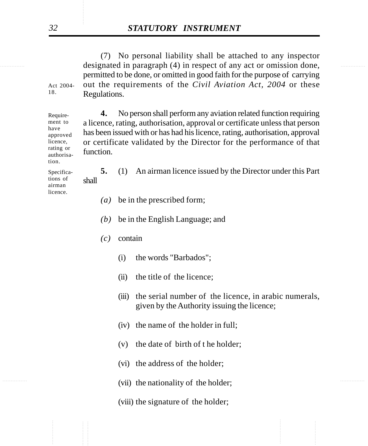designated in paragraph (4) in respect of any act or omission done, (7) No personal liability shall be attached to any inspector permitted to be done, or omitted in good faith for the purpose of carrying out the requirements of the *Civil Aviation Act, 2004* or these Regulations.

> **4.** No person shall perform any aviation related function requiring a licence, rating, authorisation, approval or certificate unless that person has been issued with or has had his licence, rating, authorisation, approval or certificate validated by the Director for the performance of that function.

**5.** (1) An airman licence issued by the Director under this Part shall

- *(a)* be in the prescribed form;
- *(b)* be in the English Language; and
- *(c)* contain
	- (i) the words "Barbados";
	- (ii) the title of the licence;
	- (iii) the serial number of the licence, in arabic numerals, given by the Authority issuing the licence;
	- (iv) the name of the holder in full;
	- (v) the date of birth of t he holder;
	- (vi) the address of the holder;
- (vii) the nationality of the holder;
	- (viii) the signature of the holder;

Act 2004- 18.

Requirement to have approved licence, rating or authorisation.

Specifications of airman licence.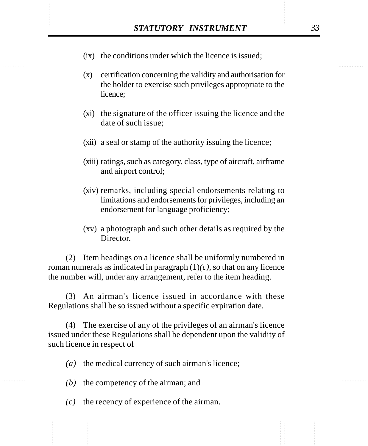- STATUTORY INSTRUMENT 33<br>(ix) the conditions under which the licence is issued; (ix) the conditions under which the licence is issued;
	- (x) certification concerning the validity and authorisation for the holder to exercise such privileges appropriate to the licence;
	- (xi) the signature of the officer issuing the licence and the date of such issue;
	- (xii) a seal or stamp of the authority issuing the licence;
	- (xiii) ratings, such as category, class, type of aircraft, airframe and airport control;
	- (xiv) remarks, including special endorsements relating to limitations and endorsements for privileges, including an endorsement for language proficiency;
	- (xv) a photograph and such other details as required by the Director.

(2) Item headings on a licence shall be uniformly numbered in roman numerals as indicated in paragraph (1)*(c)*, so that on any licence the number will, under any arrangement, refer to the item heading.

(3) An airman's licence issued in accordance with these Regulations shall be so issued without a specific expiration date.

(4) The exercise of any of the privileges of an airman's licence issued under these Regulations shall be dependent upon the validity of such licence in respect of

*(a)* the medical currency of such airman's licence;

- *(b)* the competency of the airman; and
- *(c)* the recency of experience of the airman.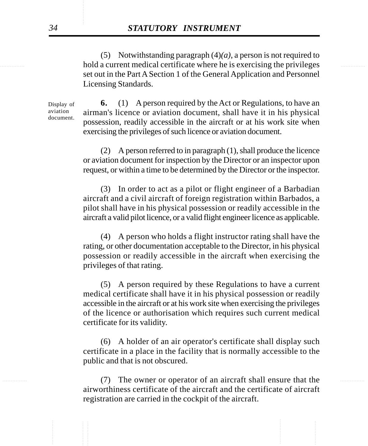............... ............... hold a current medical certificate where he is exercising the privileges (5) Notwithstanding paragraph (4)*(a)*, a person is not required to set out in the Part A Section 1 of the General Application and Personnel Licensing Standards.

> Display of aviation document.

**6.** (1) A person required by the Act or Regulations, to have an airman's licence or aviation document, shall have it in his physical possession, readily accessible in the aircraft or at his work site when exercising the privileges of such licence or aviation document.

(2) A person referred to in paragraph (1), shall produce the licence or aviation document for inspection by the Director or an inspector upon request, or within a time to be determined by the Director or the inspector.

(3) In order to act as a pilot or flight engineer of a Barbadian aircraft and a civil aircraft of foreign registration within Barbados, a pilot shall have in his physical possession or readily accessible in the aircraft a valid pilot licence, or a valid flight engineer licence as applicable.

(4) A person who holds a flight instructor rating shall have the rating, or other documentation acceptable to the Director, in his physical possession or readily accessible in the aircraft when exercising the privileges of that rating.

(5) A person required by these Regulations to have a current medical certificate shall have it in his physical possession or readily accessible in the aircraft or at his work site when exercising the privileges of the licence or authorisation which requires such current medical certificate for its validity.

(6) A holder of an air operator's certificate shall display such certificate in a place in the facility that is normally accessible to the public and that is not obscured.

............... ............... (7) The owner or operator of an aircraft shall ensure that the airworthiness certificate of the aircraft and the certificate of aircraft registration are carried in the cockpit of the aircraft.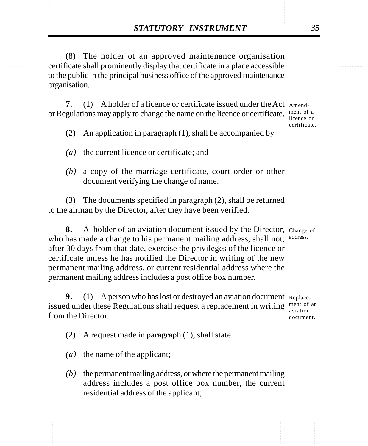**STATUTORY INSTRUMENT** 35<br>(8) The holder of an approved maintenance organisation<br>certificate shall prominently display that certificate in a place accessible (8) The holder of an approved maintenance organisation certificate shall prominently display that certificate in a place accessible to the public in the principal business office of the approved maintenance organisation.

> **7.** (1) A holder of a licence or certificate issued under the Act Amendor Regulations may apply to change the name on the licence or certificate. Internsity of a

licence or certificate.

(2) An application in paragraph (1), shall be accompanied by

- *(a)* the current licence or certificate; and
- *(b)* a copy of the marriage certificate, court order or other document verifying the change of name.

(3) The documents specified in paragraph (2), shall be returned to the airman by the Director, after they have been verified.

**8.** A holder of an aviation document issued by the Director, Change of who has made a change to his permanent mailing address, shall not, after 30 days from that date, exercise the privileges of the licence or certificate unless he has notified the Director in writing of the new permanent mailing address, or current residential address where the permanent mailing address includes a post office box number. address.

**9.** (1) A person who has lost or destroyed an aviation document Replaceissued under these Regulations shall request a replacement in writing  $\frac{m_{\text{ent of an}}}{m_{\text{e}}}}$ from the Director. document.

- (2) A request made in paragraph (1), shall state
- *(a)* the name of the applicant;
- *(b)* the permanent mailing address, or where the permanent mailing address includes a post office box number, the current residential address of the applicant;

aviation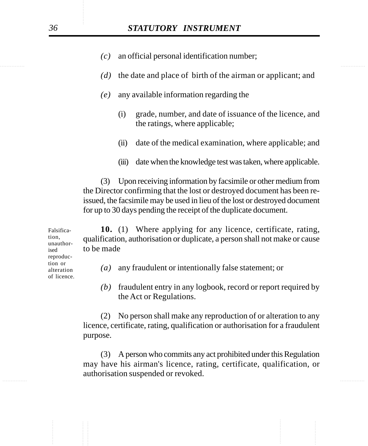- *(c)* an official personal identification number;
- *(d)* the date and place of birth of the airman or applicant; and
- *(e)* any available information regarding the
	- (i) grade, number, and date of issuance of the licence, and the ratings, where applicable;
	- (ii) date of the medical examination, where applicable; and
	- (iii) date when the knowledge test was taken, where applicable.

(3) Upon receiving information by facsimile or other medium from the Director confirming that the lost or destroyed document has been reissued, the facsimile may be used in lieu of the lost or destroyed document for up to 30 days pending the receipt of the duplicate document.

**10.** (1) Where applying for any licence, certificate, rating, qualification, authorisation or duplicate, a person shall not make or cause to be made

- *(a)* any fraudulent or intentionally false statement; or
- *(b)* fraudulent entry in any logbook, record or report required by the Act or Regulations.

(2) No person shall make any reproduction of or alteration to any licence, certificate, rating, qualification or authorisation for a fraudulent purpose.

............... ............... (3) A person who commits any act prohibited under this Regulation may have his airman's licence, rating, certificate, qualification, or authorisation suspended or revoked.

Falsification, unauthorised reproduction or alteration of licence.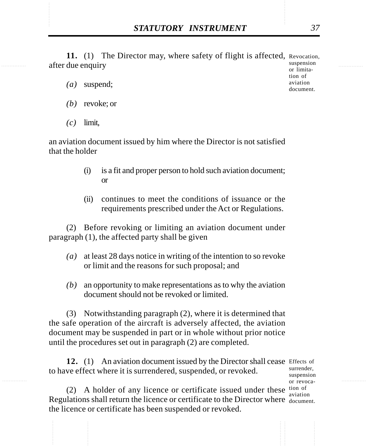**STATUTORY INSTRUMENT** 37<br>11. (1) The Director may, where safety of flight is affected, Revocation,<br>after due enquiry 11. (1) The Director may, where safety of flight is affected, Revocation, after due enquiry

- *(a)* suspend;
- *(b)* revoke; or
- *(c)* limit,

an aviation document issued by him where the Director is not satisfied that the holder

- (i) is a fit and proper person to hold such aviation document; or
- (ii) continues to meet the conditions of issuance or the requirements prescribed under the Act or Regulations.

(2) Before revoking or limiting an aviation document under paragraph (1), the affected party shall be given

- *(a)* at least 28 days notice in writing of the intention to so revoke or limit and the reasons for such proposal; and
- *(b)* an opportunity to make representations as to why the aviation document should not be revoked or limited.

(3) Notwithstanding paragraph (2), where it is determined that the safe operation of the aircraft is adversely affected, the aviation document may be suspended in part or in whole without prior notice until the procedures set out in paragraph (2) are completed.

12. (1) An aviation document issued by the Director shall cease Effects of to have effect where it is surrendered, suspended, or revoked.

surrender, suspension or revocaaviation

(2) A holder of any licence or certificate issued under these  $\frac{\text{tion of}}{\text{equation of the image}}$ Regulations shall return the licence or certificate to the Director where document. the licence or certificate has been suspended or revoked.

suspension or limitation of aviation document.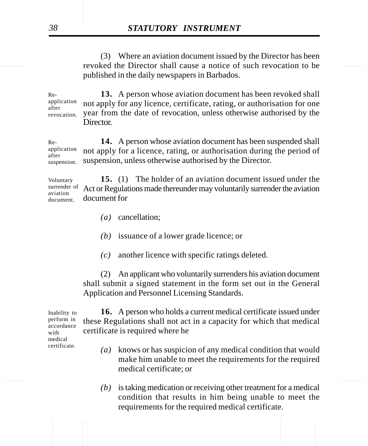revoked the Director shall cause a notice of such revocation to be (3) Where an aviation document issued by the Director has been published in the daily newspapers in Barbados.

> **13.** A person whose aviation document has been revoked shall not apply for any licence, certificate, rating, or authorisation for one year from the date of revocation, unless otherwise authorised by the Director. Reapplication after revocation.

> **14.** A person whose aviation document has been suspended shall not apply for a licence, rating, or authorisation during the period of suspension, unless otherwise authorised by the Director. Reapplication after suspension.

> **15.** (1) The holder of an aviation document issued under the Act or Regulations made thereunder may voluntarily surrender the aviation document for Voluntary surrender of aviation document.

> > *(a)* cancellation;

*(b)* issuance of a lower grade licence; or

*(c)* another licence with specific ratings deleted.

(2) An applicant who voluntarily surrenders his aviation document shall submit a signed statement in the form set out in the General Application and Personnel Licensing Standards.

**16.** A person who holds a current medical certificate issued under these Regulations shall not act in a capacity for which that medical certificate is required where he

- *(a)* knows or has suspicion of any medical condition that would make him unable to meet the requirements for the required medical certificate; or
- *(b)* is taking medication or receiving other treatment for a medical condition that results in him being unable to meet the requirements for the required medical certificate.

Inability to perform in accordance with medical certificate.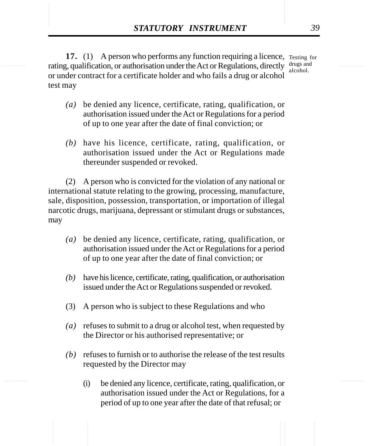**STATUTORY INSTRUMENT** 39<br>
17. (1) A person who performs any function requiring a licence, Testing for<br>
Tating. qualification. or authorisation under the Act or Regulations. directly drugs and **17.** (1) A person who performs any function requiring a licence, Testing for rating, qualification, or authorisation under the Act or Regulations, directly drugs and or under contract for a certificate holder and who fails a drug or alcohol test may alcohol.

- *(a)* be denied any licence, certificate, rating, qualification, or authorisation issued under the Act or Regulations for a period of up to one year after the date of final conviction; or
- *(b)* have his licence, certificate, rating, qualification, or authorisation issued under the Act or Regulations made thereunder suspended or revoked.

(2) A person who is convicted for the violation of any national or international statute relating to the growing, processing, manufacture, sale, disposition, possession, transportation, or importation of illegal narcotic drugs, marijuana, depressant or stimulant drugs or substances, may

- *(a)* be denied any licence, certificate, rating, qualification, or authorisation issued under the Act or Regulations for a period of up to one year after the date of final conviction; or
- *(b)* have his licence, certificate, rating, qualification, or authorisation issued under the Act or Regulations suspended or revoked.
- (3) A person who is subject to these Regulations and who
- *(a)* refuses to submit to a drug or alcohol test, when requested by the Director or his authorised representative; or
- *(b)* refuses to furnish or to authorise the release of the test results requested by the Director may
	- (i) be denied any licence, certificate, rating, qualification, or authorisation issued under the Act or Regulations, for a period of up to one year after the date of that refusal; or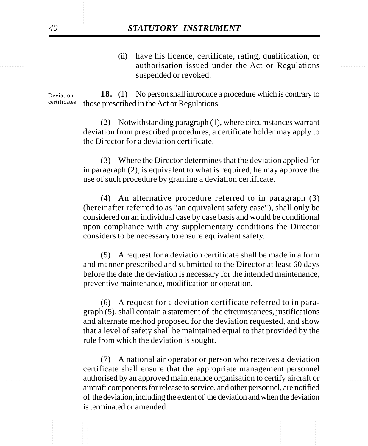equation issued under the Act or Regulations and the Act of Regulations and the Act of Regulations and the Act of Regulations and the Act of Regulations and the Act of Regulations and the Act of Regulations and the Act of (ii) have his licence, certificate, rating, qualification, or suspended or revoked.

> **18.** (1) No person shall introduce a procedure which is contrary to certificates. those prescribed in the Act or Regulations. Deviation

> > (2) Notwithstanding paragraph (1), where circumstances warrant deviation from prescribed procedures, a certificate holder may apply to the Director for a deviation certificate.

> > (3) Where the Director determines that the deviation applied for in paragraph (2), is equivalent to what is required, he may approve the use of such procedure by granting a deviation certificate.

> > (4) An alternative procedure referred to in paragraph (3) (hereinafter referred to as "an equivalent safety case"), shall only be considered on an individual case by case basis and would be conditional upon compliance with any supplementary conditions the Director considers to be necessary to ensure equivalent safety.

> > (5) A request for a deviation certificate shall be made in a form and manner prescribed and submitted to the Director at least 60 days before the date the deviation is necessary for the intended maintenance, preventive maintenance, modification or operation.

> > (6) A request for a deviation certificate referred to in paragraph (5), shall contain a statement of the circumstances, justifications and alternate method proposed for the deviation requested, and show that a level of safety shall be maintained equal to that provided by the rule from which the deviation is sought.

............... ............... authorised by an approved maintenance organisation to certify aircraft or (7) A national air operator or person who receives a deviation certificate shall ensure that the appropriate management personnel aircraft components for release to service, and other personnel, are notified of the deviation, including the extent of the deviation and when the deviation is terminated or amended.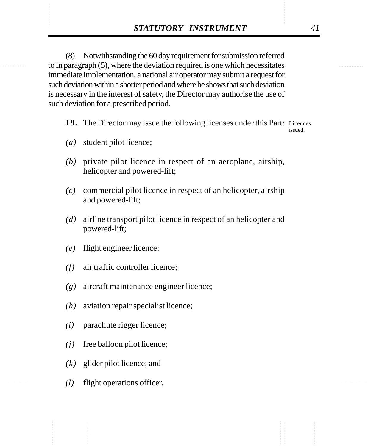**STATUTORY INSTRUMENT** 41<br>(8) Notwithstanding the 60 day requirement for submission referred<br>to in paragraph (5), where the deviation required is one which necessitates (8) Notwithstanding the 60 day requirement for submission referred to in paragraph (5), where the deviation required is one which necessitates immediate implementation, a national air operator may submit a request for such deviation within a shorter period and where he shows that such deviation is necessary in the interest of safety, the Director may authorise the use of such deviation for a prescribed period.

19. The Director may issue the following licenses under this Part: Licences

issued.

- *(a)* student pilot licence;
- *(b)* private pilot licence in respect of an aeroplane, airship, helicopter and powered-lift;
- *(c)* commercial pilot licence in respect of an helicopter, airship and powered-lift;
- *(d)* airline transport pilot licence in respect of an helicopter and powered-lift;
- *(e)* flight engineer licence;
- *(f)* air traffic controller licence;
- *(g)* aircraft maintenance engineer licence;
- *(h)* aviation repair specialist licence;
- *(i)* parachute rigger licence;
- *(j)* free balloon pilot licence;
- *(k)* glider pilot licence; and
- *(l)* flight operations officer.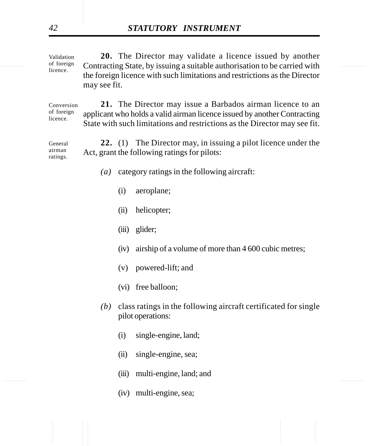of foreign Contracting State, by issuing a suitable authorisation to be carried with **20.** The Director may validate a licence issued by another the foreign licence with such limitations and restrictions as the Director may see fit. Validation of foreign licence.

> **21.** The Director may issue a Barbados airman licence to an applicant who holds a valid airman licence issued by another Contracting State with such limitations and restrictions as the Director may see fit. Conversion of foreign licence.

> **22.** (1) The Director may, in issuing a pilot licence under the Act, grant the following ratings for pilots: General airman ratings.

- *(a)* category ratings in the following aircraft:
	- (i) aeroplane;
	- (ii) helicopter;
	- (iii) glider;
	- (iv) airship of a volume of more than 4 600 cubic metres;
	- (v) powered-lift; and
	- (vi) free balloon;
- *(b)* class ratings in the following aircraft certificated for single pilot operations:
	- (i) single-engine, land;
	- (ii) single-engine, sea;
- ............... ............... (iii) multi-engine, land; and
	- (iv) multi-engine, sea;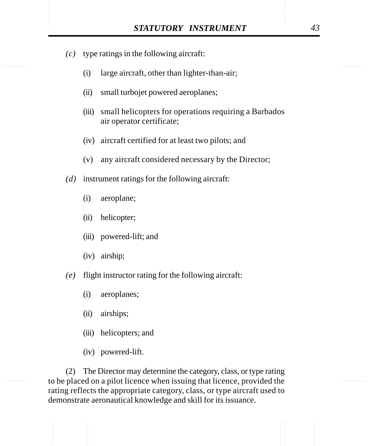- STATUTORY INSTRUMENT 43<br>(c) type ratings in the following aircraft: *(c)* type ratings in the following aircraft:
	- (i) large aircraft, other than lighter-than-air;
	- (ii) small turbojet powered aeroplanes;
	- (iii) small helicopters for operations requiring a Barbados air operator certificate;
	- (iv) aircraft certified for at least two pilots; and
	- (v) any aircraft considered necessary by the Director;
	- *(d)* instrument ratings for the following aircraft:
		- (i) aeroplane;
		- (ii) helicopter;
		- (iii) powered-lift; and
		- (iv) airship;
	- *(e)* flight instructor rating for the following aircraft:
		- (i) aeroplanes;
		- (ii) airships;
		- (iii) helicopters; and
		- (iv) powered-lift.

(2) The Director may determine the category, class, or type rating to be placed on a pilot licence when issuing that licence, provided the rating reflects the appropriate category, class, or type aircraft used to demonstrate aeronautical knowledge and skill for its issuance.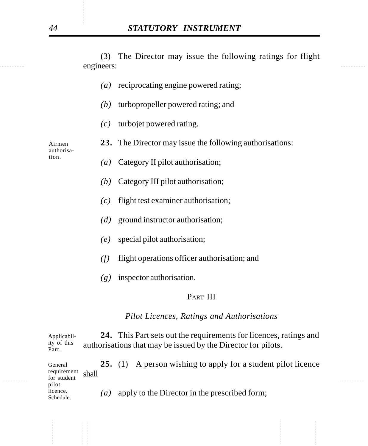**Example 2018 Example 2018 Example 2018 Example 2018 Example 2018 Example 2018 Example 2018 Example 2018** (3) The Director may issue the following ratings for flight engineers:

- *(a)* reciprocating engine powered rating;
- *(b)* turbopropeller powered rating; and
- *(c)* turbojet powered rating.
- **23.** The Director may issue the following authorisations:

Airmen authorisation.

- *(a)* Category II pilot authorisation;
- *(b)* Category III pilot authorisation;
- *(c)* flight test examiner authorisation;
- *(d)* ground instructor authorisation;
- *(e)* special pilot authorisation;
- *(f)* flight operations officer authorisation; and
- *(g)* inspector authorisation.

## PART III

## *Pilot Licences, Ratings and Authorisations*

**24.** This Part sets out the requirements for licences, ratings and authorisations that may be issued by the Director for pilots. Applicability of this Part.

............... ............... **25.** (1) A person wishing to apply for a student pilot licence shall *(a)* apply to the Director in the prescribed form; General requirement for student pilot licence. Schedule.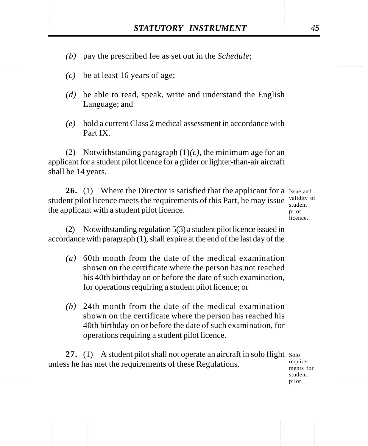- STATUTORY INSTRUMENT 45<br>(b) pay the prescribed fee as set out in the *Schedule*; *(b)* pay the prescribed fee as set out in the *Schedule*;
	- *(c)* be at least 16 years of age;
	- *(d)* be able to read, speak, write and understand the English Language; and
	- *(e)* hold a current Class 2 medical assessment in accordance with Part IX.

(2) Notwithstanding paragraph (1)*(c)*, the minimum age for an applicant for a student pilot licence for a glider or lighter-than-air aircraft shall be 14 years.

26. (1) Where the Director is satisfied that the applicant for a Issue and student pilot licence meets the requirements of this Part, he may issue  $\frac{\text{validity of}}{\text{student}}$ the applicant with a student pilot licence.

student pilot licence.

(2) Notwithstanding regulation 5(3) a student pilot licence issued in accordance with paragraph (1), shall expire at the end of the last day of the

- *(a)* 60th month from the date of the medical examination shown on the certificate where the person has not reached his 40th birthday on or before the date of such examination, for operations requiring a student pilot licence; or
- *(b)* 24th month from the date of the medical examination shown on the certificate where the person has reached his 40th birthday on or before the date of such examination, for operations requiring a student pilot licence.

27. (1) A student pilot shall not operate an aircraft in solo flight Solo unless he has met the requirements of these Regulations.

requirements for student pilot.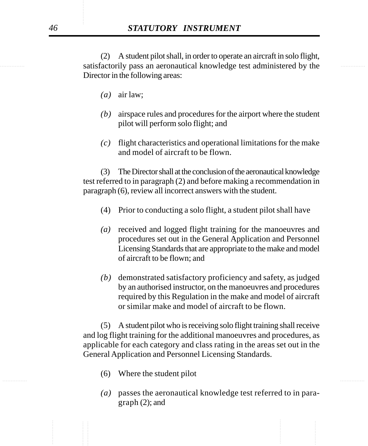satisfactorily pass an aeronautical knowledge test administered by the (2) A student pilot shall, in order to operate an aircraft in solo flight, Director in the following areas:

- *(a)* air law;
- *(b)* airspace rules and procedures for the airport where the student pilot will perform solo flight; and
- *(c)* flight characteristics and operational limitations for the make and model of aircraft to be flown.

(3) The Director shall at the conclusion of the aeronautical knowledge test referred to in paragraph (2) and before making a recommendation in paragraph (6), review all incorrect answers with the student.

- (4) Prior to conducting a solo flight, a student pilot shall have
- *(a)* received and logged flight training for the manoeuvres and procedures set out in the General Application and Personnel Licensing Standards that are appropriate to the make and model of aircraft to be flown; and
- *(b)* demonstrated satisfactory proficiency and safety, as judged by an authorised instructor, on the manoeuvres and procedures required by this Regulation in the make and model of aircraft or similar make and model of aircraft to be flown.

(5) A student pilot who is receiving solo flight training shall receive and log flight training for the additional manoeuvres and procedures, as applicable for each category and class rating in the areas set out in the General Application and Personnel Licensing Standards.

- ............... ............... (6) Where the student pilot
	- *(a)* passes the aeronautical knowledge test referred to in paragraph (2); and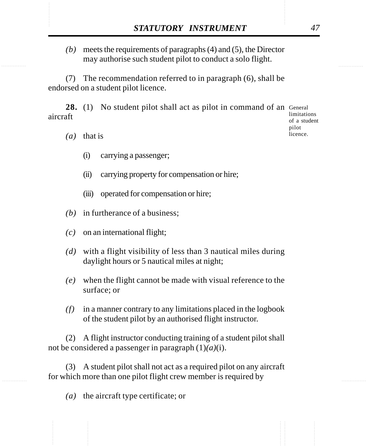STATUTORY INSTRUMENT 47<br>(b) meets the requirements of paragraphs (4) and (5), the Director may authorise such student pilot to conduct a solo flight. *(b)* meets the requirements of paragraphs (4) and (5), the Director may authorise such student pilot to conduct a solo flight.

> (7) The recommendation referred to in paragraph (6), shall be endorsed on a student pilot licence.

28. (1) No student pilot shall act as pilot in command of an General aircraft

limitations of a student pilot licence.

- *(a)* that is
	- (i) carrying a passenger;
	- (ii) carrying property for compensation or hire;
	- (iii) operated for compensation or hire;
- *(b)* in furtherance of a business;
- *(c)* on an international flight;
- *(d)* with a flight visibility of less than 3 nautical miles during daylight hours or 5 nautical miles at night;
- *(e)* when the flight cannot be made with visual reference to the surface; or
- *(f)* in a manner contrary to any limitations placed in the logbook of the student pilot by an authorised flight instructor.

(2) A flight instructor conducting training of a student pilot shall not be considered a passenger in paragraph (1)*(a)*(i).

(3) A student pilot shall not act as a required pilot on any aircraft for which more than one pilot flight crew member is required by

*(a)* the aircraft type certificate; or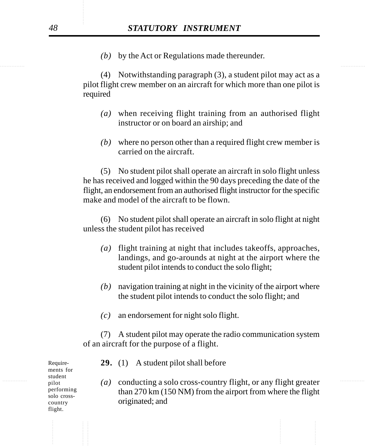*(b)* by the Act or Regulations made thereunder.

(4) Notwithstanding paragraph (3), a student pilot may act as a pilot flight crew member on an aircraft for which more than one pilot is required

- *(a)* when receiving flight training from an authorised flight instructor or on board an airship; and
- *(b)* where no person other than a required flight crew member is carried on the aircraft.

(5) No student pilot shall operate an aircraft in solo flight unless he has received and logged within the 90 days preceding the date of the flight, an endorsement from an authorised flight instructor for the specific make and model of the aircraft to be flown.

(6) No student pilot shall operate an aircraft in solo flight at night unless the student pilot has received

- *(a)* flight training at night that includes takeoffs, approaches, landings, and go-arounds at night at the airport where the student pilot intends to conduct the solo flight;
- *(b)* navigation training at night in the vicinity of the airport where the student pilot intends to conduct the solo flight; and
- *(c)* an endorsement for night solo flight.

(7) A student pilot may operate the radio communication system of an aircraft for the purpose of a flight.

Requirements for student pilot performing solo crosscountry flight.

- **29.** (1) A student pilot shall before
- ............... ............... *(a)* conducting a solo cross-country flight, or any flight greater than 270 km (150 NM) from the airport from where the flight originated; and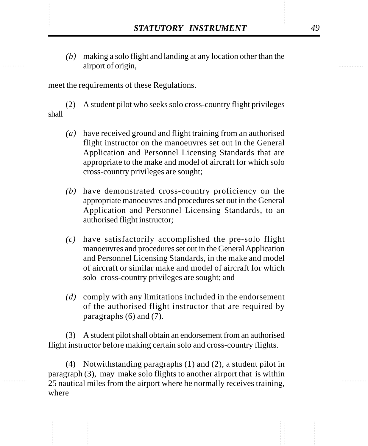**STATUTORY INSTRUMENT** 49<br>(b) making a solo flight and landing at any location other than the airport of origin. *(b)* making a solo flight and landing at any location other than the airport of origin,

meet the requirements of these Regulations.

(2) A student pilot who seeks solo cross-country flight privileges shall

- *(a)* have received ground and flight training from an authorised flight instructor on the manoeuvres set out in the General Application and Personnel Licensing Standards that are appropriate to the make and model of aircraft for which solo cross-country privileges are sought;
- *(b)* have demonstrated cross-country proficiency on the appropriate manoeuvres and procedures set out in the General Application and Personnel Licensing Standards, to an authorised flight instructor;
- *(c)* have satisfactorily accomplished the pre-solo flight manoeuvres and procedures set out in the General Application and Personnel Licensing Standards, in the make and model of aircraft or similar make and model of aircraft for which solo cross-country privileges are sought; and
- *(d)* comply with any limitations included in the endorsement of the authorised flight instructor that are required by paragraphs (6) and (7).

(3) A student pilot shall obtain an endorsement from an authorised flight instructor before making certain solo and cross-country flights.

(4) Notwithstanding paragraphs (1) and (2), a student pilot in paragraph (3), may make solo flights to another airport that is within 25 nautical miles from the airport where he normally receives training, where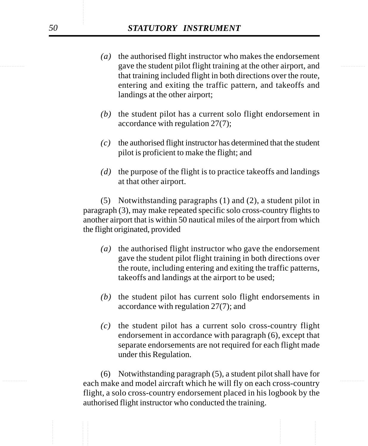- gave the student pilot flight training at the other airport, and *(a)* the authorised flight instructor who makes the endorsement that training included flight in both directions over the route, entering and exiting the traffic pattern, and takeoffs and landings at the other airport;
	- *(b)* the student pilot has a current solo flight endorsement in accordance with regulation 27(7);
	- *(c)* the authorised flight instructor has determined that the student pilot is proficient to make the flight; and
	- *(d)* the purpose of the flight is to practice takeoffs and landings at that other airport.

(5) Notwithstanding paragraphs (1) and (2), a student pilot in paragraph (3), may make repeated specific solo cross-country flights to another airport that is within 50 nautical miles of the airport from which the flight originated, provided

- *(a)* the authorised flight instructor who gave the endorsement gave the student pilot flight training in both directions over the route, including entering and exiting the traffic patterns, takeoffs and landings at the airport to be used;
- *(b)* the student pilot has current solo flight endorsements in accordance with regulation 27(7); and
- *(c)* the student pilot has a current solo cross-country flight endorsement in accordance with paragraph (6), except that separate endorsements are not required for each flight made under this Regulation.

each make and model aircraft which he will fly on each cross-country (6) Notwithstanding paragraph (5), a student pilot shall have for flight, a solo cross-country endorsement placed in his logbook by the authorised flight instructor who conducted the training.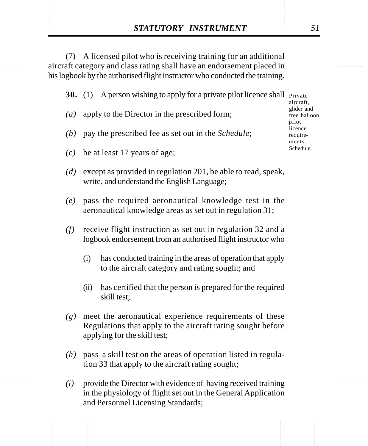**STATUTORY INSTRUMENT** 51<br>
(7) A licensed pilot who is receiving training for an additional<br>
aircraft category and class rating shall have an endorsement placed in (7) A licensed pilot who is receiving training for an additional aircraft category and class rating shall have an endorsement placed in his logbook by the authorised flight instructor who conducted the training.

**30.** (1) A person wishing to apply for a private pilot licence shall Private

- *(a)* apply to the Director in the prescribed form;
- *(b)* pay the prescribed fee as set out in the *Schedule*;
- *(c)* be at least 17 years of age;
- *(d)* except as provided in regulation 201, be able to read, speak, write, and understand the English Language;
- *(e)* pass the required aeronautical knowledge test in the aeronautical knowledge areas as set out in regulation 31;
- *(f)* receive flight instruction as set out in regulation 32 and a logbook endorsement from an authorised flight instructor who
	- (i) has conducted training in the areas of operation that apply to the aircraft category and rating sought; and
	- (ii) has certified that the person is prepared for the required skill test;
- *(g)* meet the aeronautical experience requirements of these Regulations that apply to the aircraft rating sought before applying for the skill test;
- *(h)* pass a skill test on the areas of operation listed in regulation 33 that apply to the aircraft rating sought;
- *(i)* provide the Director with evidence of having received training in the physiology of flight set out in the General Application and Personnel Licensing Standards;

aircraft, glider and free balloon pilot licence requirements. Schedule.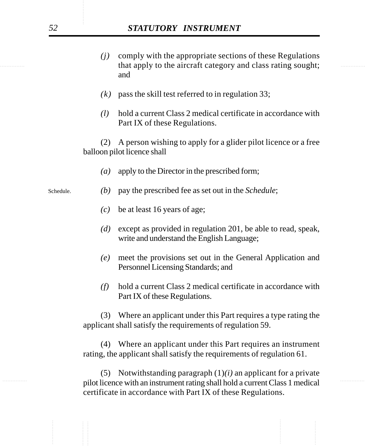## *52 STATUTORY INSTRUMENT*

- that apply to the aircraft category and class rating sought; *(j)* comply with the appropriate sections of these Regulations and
	- *(k)* pass the skill test referred to in regulation 33;
	- *(l)* hold a current Class 2 medical certificate in accordance with Part IX of these Regulations.

(2) A person wishing to apply for a glider pilot licence or a free balloon pilot licence shall

- *(a)* apply to the Director in the prescribed form;
- *(b)* pay the prescribed fee as set out in the *Schedule*;
	- *(c)* be at least 16 years of age;
	- *(d)* except as provided in regulation 201, be able to read, speak, write and understand the English Language;
	- *(e)* meet the provisions set out in the General Application and Personnel Licensing Standards; and
	- *(f)* hold a current Class 2 medical certificate in accordance with Part IX of these Regulations.

(3) Where an applicant under this Part requires a type rating the applicant shall satisfy the requirements of regulation 59.

(4) Where an applicant under this Part requires an instrument rating, the applicant shall satisfy the requirements of regulation 61.

............... ............... pilot licence with an instrument rating shall hold a current Class 1 medical (5) Notwithstanding paragraph (1)*(i)* an applicant for a private certificate in accordance with Part IX of these Regulations.

Schedule.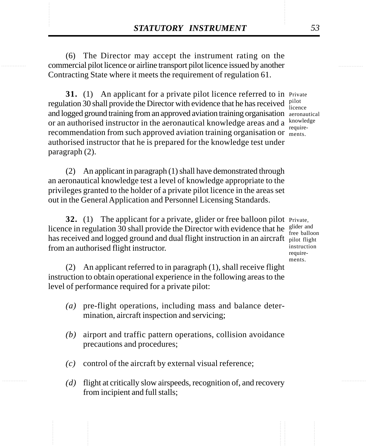**STATUTORY INSTRUMENT** 53<br>
(6) The Director may accept the instrument rating on the commercial pilot licence or airline transport pilot licence issued by another (6) The Director may accept the instrument rating on the commercial pilot licence or airline transport pilot licence issued by another Contracting State where it meets the requirement of regulation 61.

> **31.** (1) An applicant for a private pilot licence referred to in Private regulation 30 shall provide the Director with evidence that he has received  $\frac{\text{pilot}}{\text{licen}}$ and logged ground training from an approved aviation training organisation aeronautical or an authorised instructor in the aeronautical knowledge areas and a  $k_{\text{nonline}}$ recommendation from such approved aviation training organisation or ments. authorised instructor that he is prepared for the knowledge test under paragraph (2).

(2) An applicant in paragraph (1) shall have demonstrated through an aeronautical knowledge test a level of knowledge appropriate to the privileges granted to the holder of a private pilot licence in the areas set out in the General Application and Personnel Licensing Standards.

**32.** (1) The applicant for a private, glider or free balloon pilot Private, licence in regulation 30 shall provide the Director with evidence that he  $\frac{glider}{freq}$  and has received and logged ground and dual flight instruction in an aircraft pilot flight from an authorised flight instructor.

free balloon instruction requirements.

(2) An applicant referred to in paragraph (1), shall receive flight instruction to obtain operational experience in the following areas to the level of performance required for a private pilot:

- *(a)* pre-flight operations, including mass and balance determination, aircraft inspection and servicing;
- *(b)* airport and traffic pattern operations, collision avoidance precautions and procedures;
- *(c)* control of the aircraft by external visual reference;
- *(d)* flight at critically slow airspeeds, recognition of, and recovery from incipient and full stalls;

licence require-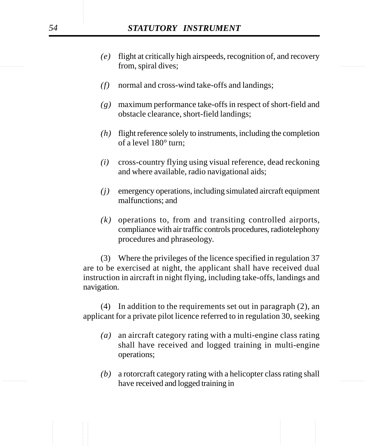- from, spiral dives; *(e)* flight at critically high airspeeds, recognition of, and recovery
	- *(f)* normal and cross-wind take-offs and landings;
	- *(g)* maximum performance take-offs in respect of short-field and obstacle clearance, short-field landings;
	- *(h)* flight reference solely to instruments, including the completion of a level 180° turn;
	- *(i)* cross-country flying using visual reference, dead reckoning and where available, radio navigational aids;
	- *(j)* emergency operations, including simulated aircraft equipment malfunctions; and
	- *(k)* operations to, from and transiting controlled airports, compliance with air traffic controls procedures, radiotelephony procedures and phraseology.

(3) Where the privileges of the licence specified in regulation 37 are to be exercised at night, the applicant shall have received dual instruction in aircraft in night flying, including take-offs, landings and navigation.

(4) In addition to the requirements set out in paragraph (2), an applicant for a private pilot licence referred to in regulation 30, seeking

- *(a)* an aircraft category rating with a multi-engine class rating shall have received and logged training in multi-engine operations;
- have received and logged training in *(b)* a rotorcraft category rating with a helicopter class rating shall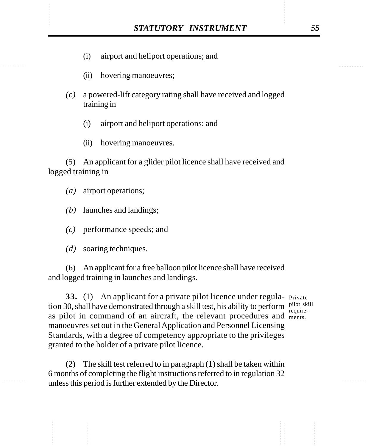- STATUTORY INSTRUMENT 55<br>(i) airport and heliport operations; and (i) airport and heliport operations; and
	- (ii) hovering manoeuvres;
	- *(c)* a powered-lift category rating shall have received and logged training in
		- (i) airport and heliport operations; and
		- (ii) hovering manoeuvres.

(5) An applicant for a glider pilot licence shall have received and logged training in

- *(a)* airport operations;
- *(b)* launches and landings;
- *(c)* performance speeds; and
- *(d)* soaring techniques.

(6) An applicant for a free balloon pilot licence shall have received and logged training in launches and landings.

**33.** (1) An applicant for a private pilot licence under regula- Private tion 30, shall have demonstrated through a skill test, his ability to perform pilot skill as pilot in command of an aircraft, the relevant procedures and ments. manoeuvres set out in the General Application and Personnel Licensing Standards, with a degree of competency appropriate to the privileges granted to the holder of a private pilot licence.

require-

(2) The skill test referred to in paragraph (1) shall be taken within 6 months of completing the flight instructions referred to in regulation 32 unless this period is further extended by the Director.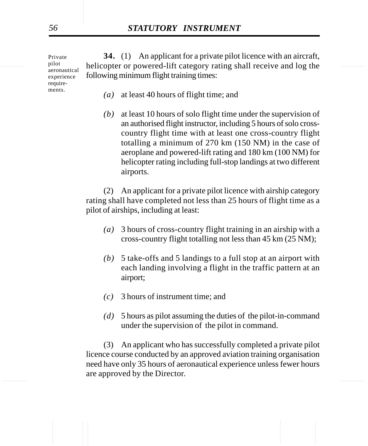Private pilot aeronautical experience requirements.

in the pilot included approximately helicopter or powered-lift category rating shall receive and log the **34.** (1) An applicant for a private pilot licence with an aircraft, following minimum flight training times:

- *(a)* at least 40 hours of flight time; and
- *(b)* at least 10 hours of solo flight time under the supervision of an authorised flight instructor, including 5 hours of solo crosscountry flight time with at least one cross-country flight totalling a minimum of 270 km (150 NM) in the case of aeroplane and powered-lift rating and 180 km (100 NM) for helicopter rating including full-stop landings at two different airports.

(2) An applicant for a private pilot licence with airship category rating shall have completed not less than 25 hours of flight time as a pilot of airships, including at least:

- *(a)* 3 hours of cross-country flight training in an airship with a cross-country flight totalling not less than 45 km (25 NM);
- *(b)* 5 take-offs and 5 landings to a full stop at an airport with each landing involving a flight in the traffic pattern at an airport;
- *(c)* 3 hours of instrument time; and
- *(d)* 5 hours as pilot assuming the duties of the pilot-in-command under the supervision of the pilot in command.

............... ............... (3) An applicant who has successfully completed a private pilot licence course conducted by an approved aviation training organisation need have only 35 hours of aeronautical experience unless fewer hours are approved by the Director.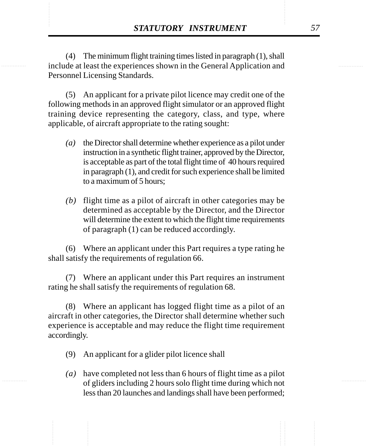**STATUTORY INSTRUMENT** 57<br>(4) The minimum flight training times listed in paragraph (1), shall<br>include at least the experiences shown in the General Application and (4) The minimum flight training times listed in paragraph (1), shall include at least the experiences shown in the General Application and Personnel Licensing Standards.

> (5) An applicant for a private pilot licence may credit one of the following methods in an approved flight simulator or an approved flight training device representing the category, class, and type, where applicable, of aircraft appropriate to the rating sought:

- *(a)* the Director shall determine whether experience as a pilot under instruction in a synthetic flight trainer, approved by the Director, is acceptable as part of the total flight time of 40 hours required in paragraph (1), and credit for such experience shall be limited to a maximum of 5 hours;
- *(b)* flight time as a pilot of aircraft in other categories may be determined as acceptable by the Director, and the Director will determine the extent to which the flight time requirements of paragraph (1) can be reduced accordingly.

(6) Where an applicant under this Part requires a type rating he shall satisfy the requirements of regulation 66.

(7) Where an applicant under this Part requires an instrument rating he shall satisfy the requirements of regulation 68.

(8) Where an applicant has logged flight time as a pilot of an aircraft in other categories, the Director shall determine whether such experience is acceptable and may reduce the flight time requirement accordingly.

- (9) An applicant for a glider pilot licence shall
- *(a)* have completed not less than 6 hours of flight time as a pilot of gliders including 2 hours solo flight time during which not less than 20 launches and landings shall have been performed;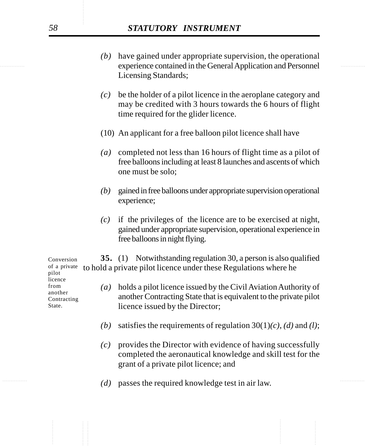- experience contained in the General Application and Personnel *(b)* have gained under appropriate supervision, the operational Licensing Standards;
	- *(c)* be the holder of a pilot licence in the aeroplane category and may be credited with 3 hours towards the 6 hours of flight time required for the glider licence.
	- (10) An applicant for a free balloon pilot licence shall have
	- *(a)* completed not less than 16 hours of flight time as a pilot of free balloons including at least 8 launches and ascents of which one must be solo;
	- *(b)* gained in free balloons under appropriate supervision operational experience;
	- *(c)* if the privileges of the licence are to be exercised at night, gained under appropriate supervision, operational experience in free balloons in night flying.

**35.** (1) Notwithstanding regulation 30, a person is also qualified of a private to hold a private pilot licence under these Regulations where he

- *(a)* holds a pilot licence issued by the Civil Aviation Authority of another Contracting State that is equivalent to the private pilot licence issued by the Director;
- *(b)* satisfies the requirements of regulation  $30(1)(c)$ , *(d)* and *(l)*;
- *(c)* provides the Director with evidence of having successfully completed the aeronautical knowledge and skill test for the grant of a private pilot licence; and
- (d) passes the required knowledge test in air law.

Conversion pilot licence from another Contracting State.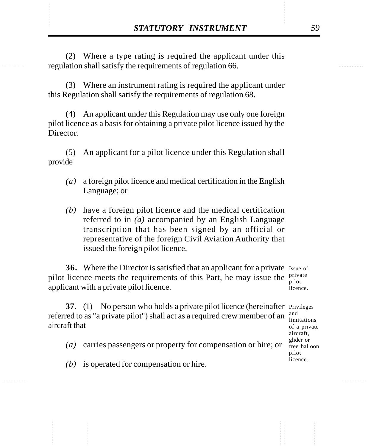**STATUTORY INSTRUMENT** 59<br>(2) Where a type rating is required the applicant under this<br>regulation shall satisfy the requirements of regulation 66. (2) Where a type rating is required the applicant under this regulation shall satisfy the requirements of regulation 66.

> (3) Where an instrument rating is required the applicant under this Regulation shall satisfy the requirements of regulation 68.

> (4) An applicant under this Regulation may use only one foreign pilot licence as a basis for obtaining a private pilot licence issued by the Director

> (5) An applicant for a pilot licence under this Regulation shall provide

- *(a)* a foreign pilot licence and medical certification in the English Language; or
- *(b)* have a foreign pilot licence and the medical certification referred to in *(a)* accompanied by an English Language transcription that has been signed by an official or representative of the foreign Civil Aviation Authority that issued the foreign pilot licence.

**36.** Where the Director is satisfied that an applicant for a private Issue of pilot licence meets the requirements of this Part, he may issue the  $\frac{private}{nilot}$ applicant with a private pilot licence.

pilot licence.

**37.** (1) No person who holds a private pilot licence (hereinafter Privileges referred to as "a private pilot") shall act as a required crew member of an aircraft that

- *(a)* carries passengers or property for compensation or hire; or
- *(b)* is operated for compensation or hire.

and limitations of a private aircraft, glider or free balloon pilot licence.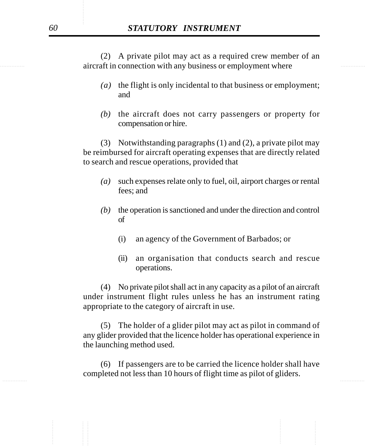aircraft in connection with any business or employment where (2) A private pilot may act as a required crew member of an

- *(a)* the flight is only incidental to that business or employment; and
- *(b)* the aircraft does not carry passengers or property for compensation or hire.

(3) Notwithstanding paragraphs (1) and (2), a private pilot may be reimbursed for aircraft operating expenses that are directly related to search and rescue operations, provided that

- *(a)* such expenses relate only to fuel, oil, airport charges or rental fees; and
- *(b)* the operation is sanctioned and under the direction and control of
	- (i) an agency of the Government of Barbados; or
	- (ii) an organisation that conducts search and rescue operations.

(4) No private pilot shall act in any capacity as a pilot of an aircraft under instrument flight rules unless he has an instrument rating appropriate to the category of aircraft in use.

(5) The holder of a glider pilot may act as pilot in command of any glider provided that the licence holder has operational experience in the launching method used.

............... ............... (6) If passengers are to be carried the licence holder shall have completed not less than 10 hours of flight time as pilot of gliders.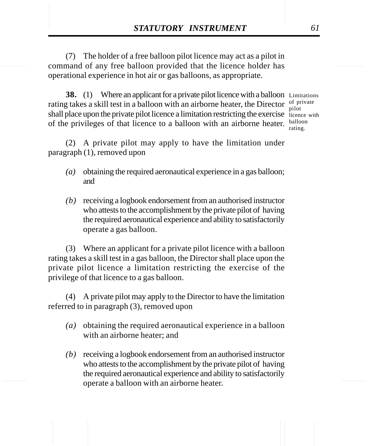**STATUTORY INSTRUMENT** 61<br>
(7) The holder of a free balloon pilot licence may act as a pilot in<br>
command of any free balloon provided that the licence holder has (7) The holder of a free balloon pilot licence may act as a pilot in command of any free balloon provided that the licence holder has operational experience in hot air or gas balloons, as appropriate.

> **38.** (1) Where an applicant for a private pilot licence with a balloon Limitations rating takes a skill test in a balloon with an airborne heater, the Director  $\frac{of}{nilot}$ shall place upon the private pilot licence a limitation restricting the exercise licence with of the privileges of that licence to a balloon with an airborne heater. **balloon**

pilot rating.

(2) A private pilot may apply to have the limitation under paragraph (1), removed upon

- *(a)* obtaining the required aeronautical experience in a gas balloon; and
- *(b)* receiving a logbook endorsement from an authorised instructor who attests to the accomplishment by the private pilot of having the required aeronautical experience and ability to satisfactorily operate a gas balloon.

(3) Where an applicant for a private pilot licence with a balloon rating takes a skill test in a gas balloon, the Director shall place upon the private pilot licence a limitation restricting the exercise of the privilege of that licence to a gas balloon.

(4) A private pilot may apply to the Director to have the limitation referred to in paragraph (3), removed upon

- *(a)* obtaining the required aeronautical experience in a balloon with an airborne heater; and
- *(b)* receiving a logbook endorsement from an authorised instructor who attests to the accomplishment by the private pilot of having the required aeronautical experience and ability to satisfactorily operate a balloon with an airborne heater.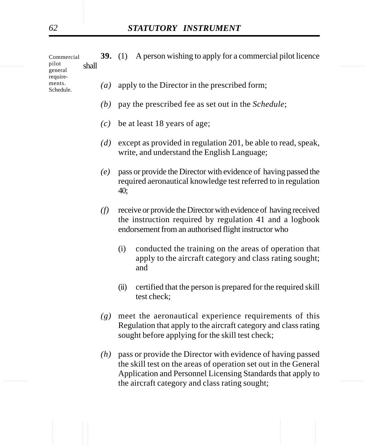|   | Commercial                   |       |                   | <b>39.</b> (1) A person wishing to apply for a commercial pilot licence |   |
|---|------------------------------|-------|-------------------|-------------------------------------------------------------------------|---|
| . | pilot<br>general<br>require- | shall |                   |                                                                         | . |
|   | ments.<br>Schedule.          |       | $\left( a\right)$ | apply to the Director in the prescribed form;                           |   |

- *(b)* pay the prescribed fee as set out in the *Schedule*;
- *(c)* be at least 18 years of age;
- *(d)* except as provided in regulation 201, be able to read, speak, write, and understand the English Language;
- *(e)* pass or provide the Director with evidence of having passed the required aeronautical knowledge test referred to in regulation 40;
- *(f)* receive or provide the Director with evidence of having received the instruction required by regulation 41 and a logbook endorsement from an authorised flight instructor who
	- (i) conducted the training on the areas of operation that apply to the aircraft category and class rating sought; and
	- (ii) certified that the person is prepared for the required skill test check;
- *(g)* meet the aeronautical experience requirements of this Regulation that apply to the aircraft category and class rating sought before applying for the skill test check;
- the aircraft category and class rating sought; *(h)* pass or provide the Director with evidence of having passed the skill test on the areas of operation set out in the General Application and Personnel Licensing Standards that apply to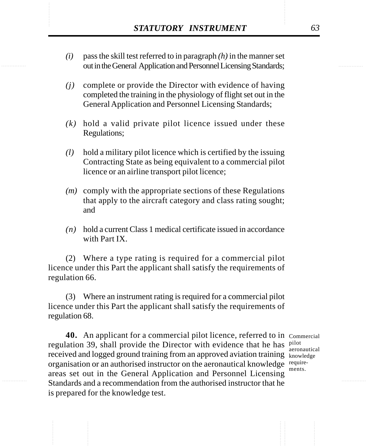- **STATUTORY INSTRUMENT** 63<br>(*i*) pass the skill test referred to in paragraph (*h*) in the manner set<br>out in the General Application and Personnel Licensing Standards: *(i)* pass the skill test referred to in paragraph *(h)* in the manner set out in the General Application and Personnel Licensing Standards;
	- *(j)* complete or provide the Director with evidence of having completed the training in the physiology of flight set out in the General Application and Personnel Licensing Standards;
	- *(k)* hold a valid private pilot licence issued under these Regulations;
	- *(l)* hold a military pilot licence which is certified by the issuing Contracting State as being equivalent to a commercial pilot licence or an airline transport pilot licence;
	- *(m)* comply with the appropriate sections of these Regulations that apply to the aircraft category and class rating sought; and
	- *(n)* hold a current Class 1 medical certificate issued in accordance with Part IX.

(2) Where a type rating is required for a commercial pilot licence under this Part the applicant shall satisfy the requirements of regulation 66.

(3) Where an instrument rating is required for a commercial pilot licence under this Part the applicant shall satisfy the requirements of regulation 68.

**40.** An applicant for a commercial pilot licence, referred to in Commercial regulation 39, shall provide the Director with evidence that he has  $\frac{pilot}{qarrow}$ received and logged ground training from an approved aviation training knowledge organisation or an authorised instructor on the aeronautical knowledge requireareas set out in the General Application and Personnel Licensing Standards and a recommendation from the authorised instructor that he is prepared for the knowledge test.

aeronautical ments.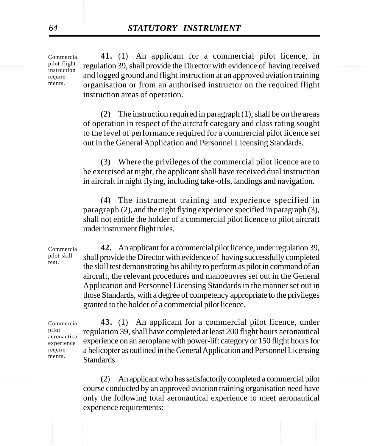$\frac{\text{pilot flight}}{\text{inertuation}}$  regulation 39, shall provide the Director with evidence of having received **41.** (1) An applicant for a commercial pilot licence, in and logged ground and flight instruction at an approved aviation training organisation or from an authorised instructor on the required flight instruction areas of operation. Commercial

> (2) The instruction required in paragraph (1), shall be on the areas of operation in respect of the aircraft category and class rating sought to the level of performance required for a commercial pilot licence set out in the General Application and Personnel Licensing Standards.

> (3) Where the privileges of the commercial pilot licence are to be exercised at night, the applicant shall have received dual instruction in aircraft in night flying, including take-offs, landings and navigation.

> (4) The instrument training and experience specified in paragraph (2), and the night flying experience specified in paragraph (3), shall not entitle the holder of a commercial pilot licence to pilot aircraft under instrument flight rules.

**42.** An applicant for a commercial pilot licence, under regulation 39, shall provide the Director with evidence of having successfully completed the skill test demonstrating his ability to perform as pilot in command of an aircraft, the relevant procedures and manoeuvres set out in the General Application and Personnel Licensing Standards in the manner set out in those Standards, with a degree of competency appropriate to the privileges granted to the holder of a commercial pilot licence. Commercial pilot skill test.

**43.** (1) An applicant for a commercial pilot licence, under regulation 39, shall have completed at least 200 flight hours aeronautical experience on an aeroplane with power-lift category or 150 flight hours for a helicopter as outlined in the General Application and Personnel Licensing Standards. Commercial pilot aeronautical experience requirements.

............... ............... (2) An applicant who has satisfactorily completed a commercial pilot course conducted by an approved aviation training organisation need have only the following total aeronautical experience to meet aeronautical experience requirements:

pilot flight instruction requirements.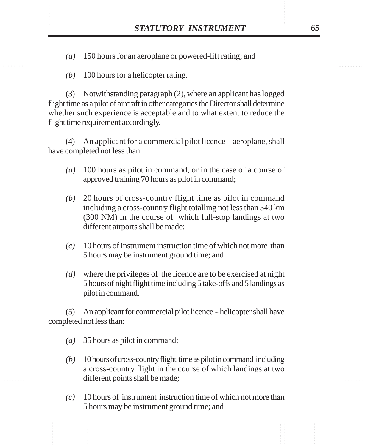STATUTORY INSTRUMENT 65<br>(a) 150 hours for an aeroplane or powered-lift rating; and *(a)* 150 hours for an aeroplane or powered-lift rating; and

*(b)* 100 hours for a helicopter rating.

(3) Notwithstanding paragraph (2), where an applicant has logged flight time as a pilot of aircraft in other categories the Director shall determine whether such experience is acceptable and to what extent to reduce the flight time requirement accordingly.

 $(4)$  An applicant for a commercial pilot licence – aeroplane, shall have completed not less than:

- *(a)* 100 hours as pilot in command, or in the case of a course of approved training 70 hours as pilot in command;
- *(b)* 20 hours of cross-country flight time as pilot in command including a cross-country flight totalling not less than 540 km (300 NM) in the course of which full-stop landings at two different airports shall be made;
- *(c)* 10 hours of instrument instruction time of which not more than 5 hours may be instrument ground time; and
- *(d)* where the privileges of the licence are to be exercised at night 5 hours of night flight time including 5 take-offs and 5 landings as pilot in command.

 $(5)$  An applicant for commercial pilot licence – helicopter shall have completed not less than:

- *(a)* 35 hours as pilot in command;
- *(b)* 10 hours of cross-country flight time as pilot in command including a cross-country flight in the course of which landings at two different points shall be made;
- *(c)* 10 hours of instrument instruction time of which not more than 5 hours may be instrument ground time; and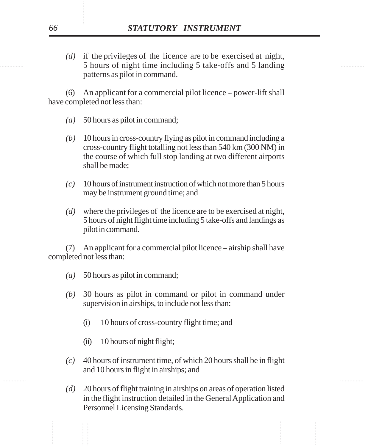............... ............... 5 hours of night time including 5 take-offs and 5 landing *(d)* if the privileges of the licence are to be exercised at night, patterns as pilot in command.

> $(6)$  An applicant for a commercial pilot licence – power-lift shall have completed not less than:

- *(a)* 50 hours as pilot in command;
- *(b)* 10 hours in cross-country flying as pilot in command including a cross-country flight totalling not less than 540 km (300 NM) in the course of which full stop landing at two different airports shall be made;
- *(c)* 10 hours of instrument instruction of which not more than 5 hours may be instrument ground time; and
- *(d)* where the privileges of the licence are to be exercised at night, 5 hours of night flight time including 5 take-offs and landings as pilot in command.

 $(7)$  An applicant for a commercial pilot licence – airship shall have completed not less than:

- *(a)* 50 hours as pilot in command;
- *(b)* 30 hours as pilot in command or pilot in command under supervision in airships, to include not less than:
	- (i) 10 hours of cross-country flight time; and
	- (ii) 10 hours of night flight;
- *(c)* 40 hours of instrument time, of which 20 hours shall be in flight and 10 hours in flight in airships; and
- *(d)* 20 hours of flight training in airships on areas of operation listed in the flight instruction detailed in the General Application and Personnel Licensing Standards.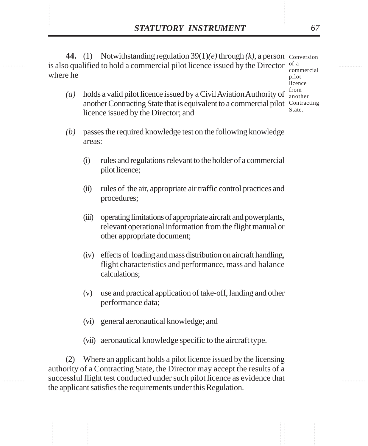**STATUTORY INSTRUMENT** 67<br>
44. (1) Notwithstanding regulation  $39(1)(e)$  through  $(k)$ , a person Conversion<br>
is also qualified to hold a commercial pilot licence issued by the Director <sup>of a</sup> **44.** (1) Notwithstanding regulation 39(1)*(e)* through *(k)*, a person Conversion is also qualified to hold a commercial pilot licence issued by the Director  $\frac{1}{2}$ where he pilot

commercial licence from another State.

- *(a)* holds a valid pilot licence issued by a Civil Aviation Authority of another Contracting State that is equivalent to a commercial pilot Contracting licence issued by the Director; and
- *(b)* passes the required knowledge test on the following knowledge areas:
	- (i) rules and regulations relevant to the holder of a commercial pilot licence;
	- (ii) rules of the air, appropriate air traffic control practices and procedures;
	- (iii) operating limitations of appropriate aircraft and powerplants, relevant operational information from the flight manual or other appropriate document;
	- (iv) effects of loading and mass distribution on aircraft handling, flight characteristics and performance, mass and balance calculations;
	- (v) use and practical application of take-off, landing and other performance data;
	- (vi) general aeronautical knowledge; and
	- (vii) aeronautical knowledge specific to the aircraft type.

(2) Where an applicant holds a pilot licence issued by the licensing authority of a Contracting State, the Director may accept the results of a successful flight test conducted under such pilot licence as evidence that the applicant satisfies the requirements under this Regulation.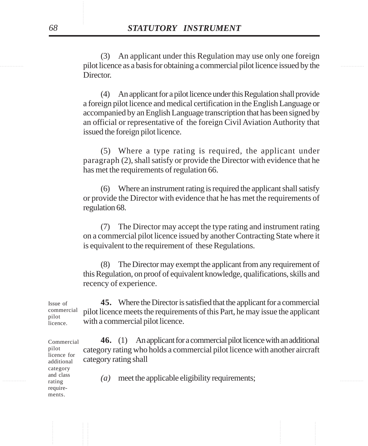explored as a basis for obtaining a commercial pilot licence issued by the (3) An applicant under this Regulation may use only one foreign **Director** 

> (4) An applicant for a pilot licence under this Regulation shall provide a foreign pilot licence and medical certification in the English Language or accompanied by an English Language transcription that has been signed by an official or representative of the foreign Civil Aviation Authority that issued the foreign pilot licence.

> (5) Where a type rating is required, the applicant under paragraph (2), shall satisfy or provide the Director with evidence that he has met the requirements of regulation 66.

> (6) Where an instrument rating is required the applicant shall satisfy or provide the Director with evidence that he has met the requirements of regulation 68.

> (7) The Director may accept the type rating and instrument rating on a commercial pilot licence issued by another Contracting State where it is equivalent to the requirement of these Regulations.

> (8) The Director may exempt the applicant from any requirement of this Regulation, on proof of equivalent knowledge, qualifications, skills and recency of experience.

**45.** Where the Director is satisfied that the applicant for a commercial pilot licence meets the requirements of this Part, he may issue the applicant with a commercial pilot licence. Issue of commercial

**46.** (1) An applicant for a commercial pilot licence with an additional category rating who holds a commercial pilot licence with another aircraft category rating shall Commercial

 $\lim_{\text{ratio}}$  and class  $\left(a\right)$  meet the applicable eligibility requirements;

pilot licence.

pilot licence for additional category and class rating requirements.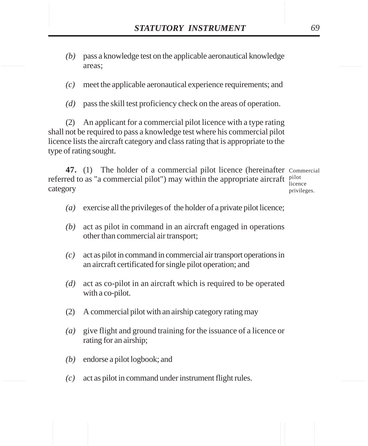- STATUTORY INSTRUMENT 69<br>
(b) pass a knowledge test on the applicable aeronautical knowledge areas: *(b)* pass a knowledge test on the applicable aeronautical knowledge areas;
	- *(c)* meet the applicable aeronautical experience requirements; and
	- *(d)* pass the skill test proficiency check on the areas of operation.

(2) An applicant for a commercial pilot licence with a type rating shall not be required to pass a knowledge test where his commercial pilot licence lists the aircraft category and class rating that is appropriate to the type of rating sought.

**47.** (1) The holder of a commercial pilot licence (hereinafter Commercial referred to as "a commercial pilot") may within the appropriate aircraft  $\frac{\text{pilot}}{\text{linear}}$ category licence privileges.

*(a)* exercise all the privileges of the holder of a private pilot licence;

- *(b)* act as pilot in command in an aircraft engaged in operations other than commercial air transport;
- *(c)* act as pilot in command in commercial air transport operations in an aircraft certificated for single pilot operation; and
- *(d)* act as co-pilot in an aircraft which is required to be operated with a co-pilot.
- (2) A commercial pilot with an airship category rating may
- *(a)* give flight and ground training for the issuance of a licence or rating for an airship;
- *(b)* endorse a pilot logbook; and
- *(c)* act as pilot in command under instrument flight rules.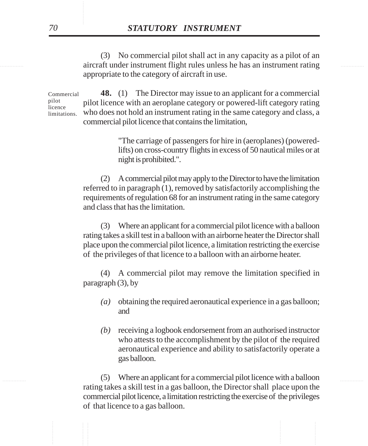............... ............... aircraft under instrument flight rules unless he has an instrument rating (3) No commercial pilot shall act in any capacity as a pilot of an appropriate to the category of aircraft in use.

> **48.** (1) The Director may issue to an applicant for a commercial pilot licence with an aeroplane category or powered-lift category rating who does not hold an instrument rating in the same category and class, a commercial pilot licence that contains the limitation, Commercial pilot licence limitations.

> > "The carriage of passengers for hire in (aeroplanes) (poweredlifts) on cross-country flights in excess of 50 nautical miles or at night is prohibited.".

(2) A commercial pilot may apply to the Director to have the limitation referred to in paragraph (1), removed by satisfactorily accomplishing the requirements of regulation 68 for an instrument rating in the same category and class that has the limitation.

(3) Where an applicant for a commercial pilot licence with a balloon rating takes a skill test in a balloon with an airborne heater the Director shall place upon the commercial pilot licence, a limitation restricting the exercise of the privileges of that licence to a balloon with an airborne heater.

(4) A commercial pilot may remove the limitation specified in paragraph (3), by

- *(a)* obtaining the required aeronautical experience in a gas balloon; and
- *(b)* receiving a logbook endorsement from an authorised instructor who attests to the accomplishment by the pilot of the required aeronautical experience and ability to satisfactorily operate a gas balloon.

............... ............... (5) Where an applicant for a commercial pilot licence with a balloon rating takes a skill test in a gas balloon, the Director shall place upon the commercial pilot licence, a limitation restricting the exercise of the privileges of that licence to a gas balloon.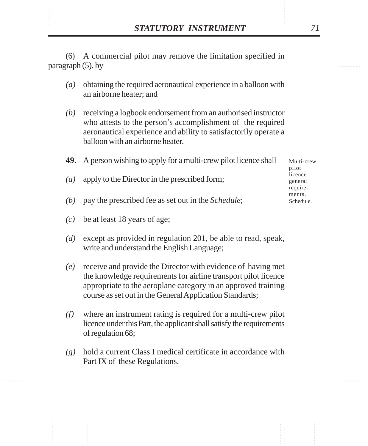**STATUTORY INSTRUMENT** 71<br>
(6) A commercial pilot may remove the limitation specified in paragraph (5), by (6) A commercial pilot may remove the limitation specified in paragraph (5), by

- *(a)* obtaining the required aeronautical experience in a balloon with an airborne heater; and
- *(b)* receiving a logbook endorsement from an authorised instructor who attests to the person's accomplishment of the required aeronautical experience and ability to satisfactorily operate a balloon with an airborne heater.

|     | <b>49.</b> A person wishing to apply for a multi-crew pilot licence shall | Multi-crew<br>pilot            |  |
|-----|---------------------------------------------------------------------------|--------------------------------|--|
| (a) | apply to the Director in the prescribed form;                             | licence<br>general<br>require- |  |
| (b) | pay the prescribed fee as set out in the <i>Schedule</i> ;                | ments.<br>Schedule.            |  |

- *(c)* be at least 18 years of age;
- *(d)* except as provided in regulation 201, be able to read, speak, write and understand the English Language;
- *(e)* receive and provide the Director with evidence of having met the knowledge requirements for airline transport pilot licence appropriate to the aeroplane category in an approved training course as set out in the General Application Standards;
- *(f)* where an instrument rating is required for a multi-crew pilot licence under this Part, the applicant shall satisfy the requirements of regulation 68;
- *(g)* hold a current Class I medical certificate in accordance with Part IX of these Regulations.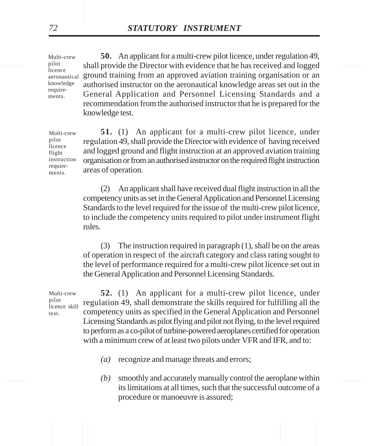in the pilot shall provide the Director with evidence that he has received and logged **50.** An applicant for a multi-crew pilot licence, under regulation 49, ground training from an approved aviation training organisation or an authorised instructor on the aeronautical knowledge areas set out in the General Application and Personnel Licensing Standards and a recommendation from the authorised instructor that he is prepared for the knowledge test. aeronautical

> **51.** (1) An applicant for a multi-crew pilot licence, under regulation 49, shall provide the Director with evidence of having received and logged ground and flight instruction at an approved aviation training organisation or from an authorised instructor on the required flight instruction areas of operation.

(2) An applicant shall have received dual flight instruction in all the competency units as set in the General Application and Personnel Licensing Standards to the level required for the issue of the multi-crew pilot licence, to include the competency units required to pilot under instrument flight rules.

(3) The instruction required in paragraph (1), shall be on the areas of operation in respect of the aircraft category and class rating sought to the level of performance required for a multi-crew pilot licence set out in the General Application and Personnel Licensing Standards.

**52.** (1) An applicant for a multi-crew pilot licence, under regulation 49, shall demonstrate the skills required for fulfilling all the competency units as specified in the General Application and Personnel Licensing Standards as pilot flying and pilot not flying, to the level required to perform as a co-pilot of turbine-powered aeroplanes certified for operation with a minimum crew of at least two pilots under VFR and IFR, and to: Multi-crew licence skill

- *(a)* recognize and manage threats and errors;
- ............... ............... *(b)* smoothly and accurately manually control the aeroplane within its limitations at all times, such that the successful outcome of a procedure or manoeuvre is assured;

Multi-crew pilot licence

knowledge requirements.

Multi-crew pilot licence flight instruction requirements.

pilot

test.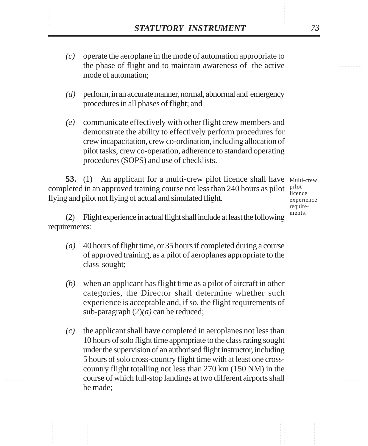- **STATUTORY INSTRUMENT** 73<br>(c) operate the aeroplane in the mode of automation appropriate to<br>the phase of flight and to maintain awareness of the active *(c)* operate the aeroplane in the mode of automation appropriate to the phase of flight and to maintain awareness of the active mode of automation;
	- *(d)* perform, in an accurate manner, normal, abnormal and emergency procedures in all phases of flight; and
	- *(e)* communicate effectively with other flight crew members and demonstrate the ability to effectively perform procedures for crew incapacitation, crew co-ordination, including allocation of pilot tasks, crew co-operation, adherence to standard operating procedures (SOPS) and use of checklists.

**53.** (1) An applicant for a multi-crew pilot licence shall have Multi-crew completed in an approved training course not less than 240 hours as pilot  $\frac{pilot}{t}=$ flying and pilot not flying of actual and simulated flight.

licence experience requirements.

(2) Flight experience in actual flight shall include at least the following requirements:

- *(a)* 40 hours of flight time, or 35 hours if completed during a course of approved training, as a pilot of aeroplanes appropriate to the class sought;
- *(b)* when an applicant has flight time as a pilot of aircraft in other categories, the Director shall determine whether such experience is acceptable and, if so, the flight requirements of sub-paragraph (2)*(a)* can be reduced;
- *(c)* the applicant shall have completed in aeroplanes not less than 10 hours of solo flight time appropriate to the class rating sought under the supervision of an authorised flight instructor, including 5 hours of solo cross-country flight time with at least one crosscountry flight totalling not less than 270 km (150 NM) in the course of which full-stop landings at two different airports shall be made;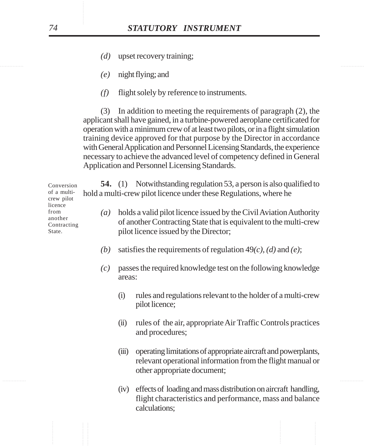- *(d)* upset recovery training;
- *(e)* night flying; and
- *(f)* flight solely by reference to instruments.

(3) In addition to meeting the requirements of paragraph (2), the applicant shall have gained, in a turbine-powered aeroplane certificated for operation with a minimum crew of at least two pilots, or in a flight simulation training device approved for that purpose by the Director in accordance with General Application and Personnel Licensing Standards, the experience necessary to achieve the advanced level of competency defined in General Application and Personnel Licensing Standards.

**54.** (1) Notwithstanding regulation 53, a person is also qualified to hold a multi-crew pilot licence under these Regulations, where he

- *(a)* holds a valid pilot licence issued by the Civil Aviation Authority of another Contracting State that is equivalent to the multi-crew pilot licence issued by the Director;
- *(b)* satisfies the requirements of regulation 49*(c)*, *(d)* and *(e)*;
- *(c)* passes the required knowledge test on the following knowledge areas:
	- (i) rules and regulations relevant to the holder of a multi-crew pilot licence;
	- (ii) rules of the air, appropriate Air Traffic Controls practices and procedures;
	- (iii) operating limitations of appropriate aircraft and powerplants, relevant operational information from the flight manual or other appropriate document;
	- (iv) effects of loading and mass distribution on aircraft handling, flight characteristics and performance, mass and balance calculations;

Conversion of a multicrew pilot licence from another Contracting State.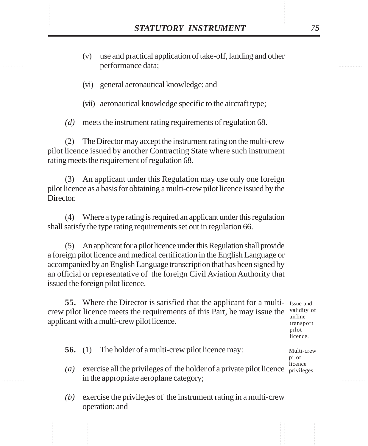- **STATUTORY INSTRUMENT** 75<br>(v) use and practical application of take-off, landing and other performance data: (v) use and practical application of take-off, landing and other performance data;
	- (vi) general aeronautical knowledge; and
	- (vii) aeronautical knowledge specific to the aircraft type;

*(d)* meets the instrument rating requirements of regulation 68.

(2) The Director may accept the instrument rating on the multi-crew pilot licence issued by another Contracting State where such instrument rating meets the requirement of regulation 68.

(3) An applicant under this Regulation may use only one foreign pilot licence as a basis for obtaining a multi-crew pilot licence issued by the Director.

(4) Where a type rating is required an applicant under this regulation shall satisfy the type rating requirements set out in regulation 66.

(5) An applicant for a pilot licence under this Regulation shall provide a foreign pilot licence and medical certification in the English Language or accompanied by an English Language transcription that has been signed by an official or representative of the foreign Civil Aviation Authority that issued the foreign pilot licence.

**55.** Where the Director is satisfied that the applicant for a multi- Issue and crew pilot licence meets the requirements of this Part, he may issue the validity of applicant with a multi-crew pilot licence.

airline transport pilot licence.

Multi-crew pilot

- **56.** (1) The holder of a multi-crew pilot licence may:
- (*a*) exercise all the privileges of the holder of a private pilot licence  $\frac{1}{\text{privileges}}$ . in the appropriate aeroplane category; licence
- *(b)* exercise the privileges of the instrument rating in a multi-crew operation; and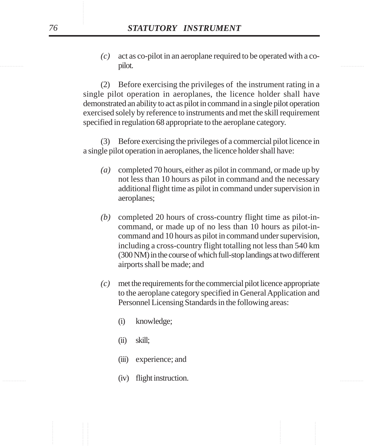............... ............... *(c)* act as co-pilot in an aeroplane required to be operated with a copilot.

> (2) Before exercising the privileges of the instrument rating in a single pilot operation in aeroplanes, the licence holder shall have demonstrated an ability to act as pilot in command in a single pilot operation exercised solely by reference to instruments and met the skill requirement specified in regulation 68 appropriate to the aeroplane category.

> (3) Before exercising the privileges of a commercial pilot licence in a single pilot operation in aeroplanes, the licence holder shall have:

- *(a)* completed 70 hours, either as pilot in command, or made up by not less than 10 hours as pilot in command and the necessary additional flight time as pilot in command under supervision in aeroplanes;
- *(b)* completed 20 hours of cross-country flight time as pilot-incommand, or made up of no less than 10 hours as pilot-incommand and 10 hours as pilot in command under supervision, including a cross-country flight totalling not less than 540 km (300 NM) in the course of which full-stop landings at two different airports shall be made; and
- *(c)* met the requirements for the commercial pilot licence appropriate to the aeroplane category specified in General Application and Personnel Licensing Standards in the following areas:
	- (i) knowledge;
	- (ii) skill;
	- (iii) experience; and
- ............... ............... (iv) flight instruction.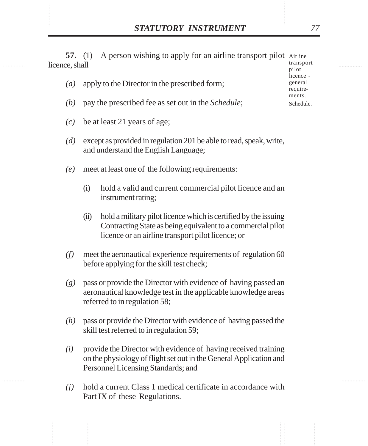**STATUTORY INSTRUMENT** 77<br>57. (1) A person wishing to apply for an airline transport pilot Airline<br>licence, shall **57.** (1) A person wishing to apply for an airline transport pilot Airline licence, shall transport pilot

- *(a)* apply to the Director in the prescribed form;
- *(b)* pay the prescribed fee as set out in the *Schedule*;
- *(c)* be at least 21 years of age;
- *(d)* except as provided in regulation 201 be able to read, speak, write, and understand the English Language;
- *(e)* meet at least one of the following requirements:
	- (i) hold a valid and current commercial pilot licence and an instrument rating;
	- (ii) hold a military pilot licence which is certified by the issuing Contracting State as being equivalent to a commercial pilot licence or an airline transport pilot licence; or
- *(f)* meet the aeronautical experience requirements of regulation 60 before applying for the skill test check;
- *(g)* pass or provide the Director with evidence of having passed an aeronautical knowledge test in the applicable knowledge areas referred to in regulation 58;
- *(h)* pass or provide the Director with evidence of having passed the skill test referred to in regulation 59;
- *(i)* provide the Director with evidence of having received training on the physiology of flight set out in the General Application and Personnel Licensing Standards; and
- *(j)* hold a current Class 1 medical certificate in accordance with Part IX of these Regulations.

licence general requirements. Schedule.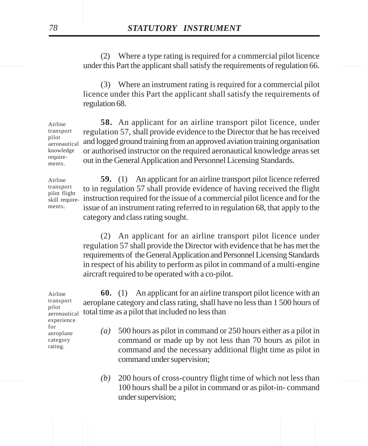experiments of regulation 66. (2) Where a type rating is required for a commercial pilot licence

> (3) Where an instrument rating is required for a commercial pilot licence under this Part the applicant shall satisfy the requirements of regulation 68.

**58.** An applicant for an airline transport pilot licence, under regulation 57, shall provide evidence to the Director that he has received and logged ground training from an approved aviation training organisation or authorised instructor on the required aeronautical knowledge areas set out in the General Application and Personnel Licensing Standards. Airline transport aeronautical knowledge requirements.

**59.** (1) An applicant for an airline transport pilot licence referred to in regulation 57 shall provide evidence of having received the flight instruction required for the issue of a commercial pilot licence and for the issue of an instrument rating referred to in regulation 68, that apply to the category and class rating sought. Airline transport pilot flight skill requirements.

> (2) An applicant for an airline transport pilot licence under regulation 57 shall provide the Director with evidence that he has met the requirements of the General Application and Personnel Licensing Standards in respect of his ability to perform as pilot in command of a multi-engine aircraft required to be operated with a co-pilot.

**60.** (1) An applicant for an airline transport pilot licence with an aeroplane category and class rating, shall have no less than 1 500 hours of total time as a pilot that included no less than Airline transport

- pilot aeronautical experience for aeroplane category rating.
- *(a)* 500 hours as pilot in command or 250 hours either as a pilot in command or made up by not less than 70 hours as pilot in command and the necessary additional flight time as pilot in command under supervision;
- ............... ............... *(b)* 200 hours of cross-country flight time of which not less than 100 hours shall be a pilot in command or as pilot-in- command under supervision;

pilot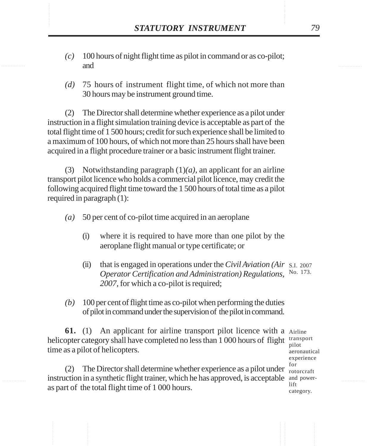- STATUTORY INSTRUMENT 79<br>(c) 100 hours of night flight time as pilot in command or as co-pilot;<br>and *(c)* 100 hours of night flight time as pilot in command or as co-pilot; and
	- *(d)* 75 hours of instrument flight time, of which not more than 30 hours may be instrument ground time.

(2) The Director shall determine whether experience as a pilot under instruction in a flight simulation training device is acceptable as part of the total flight time of 1 500 hours; credit for such experience shall be limited to a maximum of 100 hours, of which not more than 25 hours shall have been acquired in a flight procedure trainer or a basic instrument flight trainer.

(3) Notwithstanding paragraph  $(1)(a)$ , an applicant for an airline transport pilot licence who holds a commercial pilot licence, may credit the following acquired flight time toward the 1 500 hours of total time as a pilot required in paragraph (1):

*(a)* 50 per cent of co-pilot time acquired in an aeroplane

- (i) where it is required to have more than one pilot by the aeroplane flight manual or type certificate; or
- (ii) that is engaged in operations under the *Civil Aviation (Air* S.I. 2007 *Operator Certification and Administration) Regulations,* No. 173. *2007,* for which a co-pilot is required;
- *(b)* 100 per cent of flight time as co-pilot when performing the duties of pilot in command under the supervision of the pilot in command.

**61.** (1) An applicant for airline transport pilot licence with a Airline helicopter category shall have completed no less than 1 000 hours of flight time as a pilot of helicopters.

(2) The Director shall determine whether experience as a pilot under  $\frac{101}{\text{rotorcraft}}$ instruction in a synthetic flight trainer, which he has approved, is acceptable and poweras part of the total flight time of 1 000 hours.

transport pilot aeronautical experience for lift category.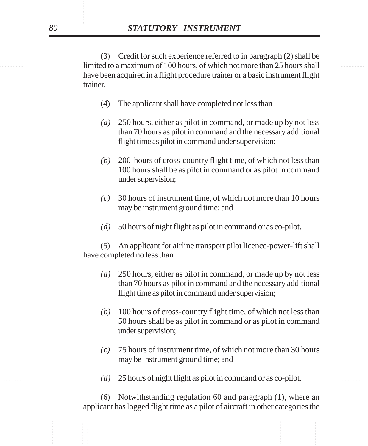limited to a maximum of 100 hours, of which not more than 25 hours shall (3) Credit for such experience referred to in paragraph (2) shall be have been acquired in a flight procedure trainer or a basic instrument flight trainer.

- (4) The applicant shall have completed not less than
- *(a)* 250 hours, either as pilot in command, or made up by not less than 70 hours as pilot in command and the necessary additional flight time as pilot in command under supervision;
- *(b)* 200 hours of cross-country flight time, of which not less than 100 hours shall be as pilot in command or as pilot in command under supervision;
- *(c)* 30 hours of instrument time, of which not more than 10 hours may be instrument ground time; and
- *(d)* 50 hours of night flight as pilot in command or as co-pilot.

(5) An applicant for airline transport pilot licence-power-lift shall have completed no less than

- *(a)* 250 hours, either as pilot in command, or made up by not less than 70 hours as pilot in command and the necessary additional flight time as pilot in command under supervision;
- *(b)* 100 hours of cross-country flight time, of which not less than 50 hours shall be as pilot in command or as pilot in command under supervision;
- *(c)* 75 hours of instrument time, of which not more than 30 hours may be instrument ground time; and
- ............... ............... *(d)* 25 hours of night flight as pilot in command or as co-pilot.

(6) Notwithstanding regulation 60 and paragraph (1), where an applicant has logged flight time as a pilot of aircraft in other categories the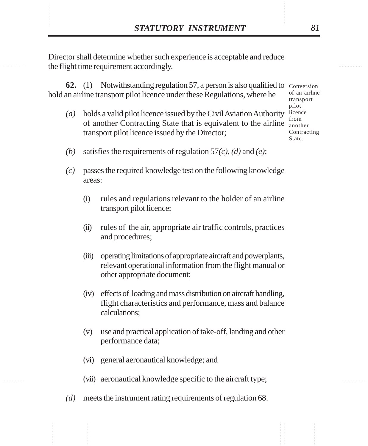**STATUTORY INSTRUMENT** 81<br>Director shall determine whether such experience is acceptable and reduce<br>the flight time requirement accordingly. Director shall determine whether such experience is acceptable and reduce the flight time requirement accordingly.

> **62.** (1) Notwithstanding regulation 57, a person is also qualified to Conversion hold an airline transport pilot licence under these Regulations, where he

- *(a)* holds a valid pilot licence issued by the Civil Aviation Authority of another Contracting State that is equivalent to the airline transport pilot licence issued by the Director;
- of an airline transport pilot licence from another Contracting State.
- *(b)* satisfies the requirements of regulation 57*(c)*, *(d)* and *(e)*;
- *(c)* passes the required knowledge test on the following knowledge areas:
	- (i) rules and regulations relevant to the holder of an airline transport pilot licence;
	- (ii) rules of the air, appropriate air traffic controls, practices and procedures;
	- (iii) operating limitations of appropriate aircraft and powerplants, relevant operational information from the flight manual or other appropriate document;
	- (iv) effects of loading and mass distribution on aircraft handling, flight characteristics and performance, mass and balance calculations;
	- (v) use and practical application of take-off, landing and other performance data;
	- (vi) general aeronautical knowledge; and
	- (vii) aeronautical knowledge specific to the aircraft type;
- *(d)* meets the instrument rating requirements of regulation 68.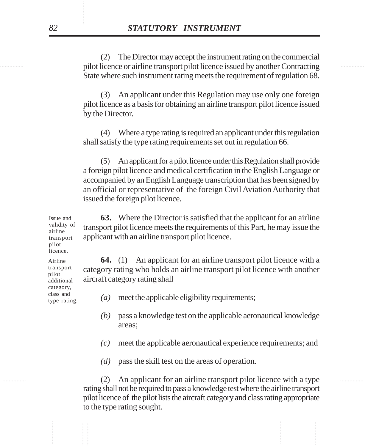............... ............... pilot licence or airline transport pilot licence issued by another Contracting (2) The Director may accept the instrument rating on the commercial State where such instrument rating meets the requirement of regulation 68.

> (3) An applicant under this Regulation may use only one foreign pilot licence as a basis for obtaining an airline transport pilot licence issued by the Director.

> (4) Where a type rating is required an applicant under this regulation shall satisfy the type rating requirements set out in regulation 66.

> (5) An applicant for a pilot licence under this Regulation shall provide a foreign pilot licence and medical certification in the English Language or accompanied by an English Language transcription that has been signed by an official or representative of the foreign Civil Aviation Authority that issued the foreign pilot licence.

**63.** Where the Director is satisfied that the applicant for an airline transport pilot licence meets the requirements of this Part, he may issue the applicant with an airline transport pilot licence.

**64.** (1) An applicant for an airline transport pilot licence with a category rating who holds an airline transport pilot licence with another aircraft category rating shall

- *(a)* meet the applicable eligibility requirements;
- *(b)* pass a knowledge test on the applicable aeronautical knowledge areas;
- *(c)* meet the applicable aeronautical experience requirements; and
- *(d)* pass the skill test on the areas of operation.

............... ............... (2) An applicant for an airline transport pilot licence with a type rating shall not be required to pass a knowledge test where the airline transport pilot licence of the pilot lists the aircraft category and class rating appropriate to the type rating sought.

Issue and validity of airline transport pilot licence.

Airline transport pilot additional category, class and type rating.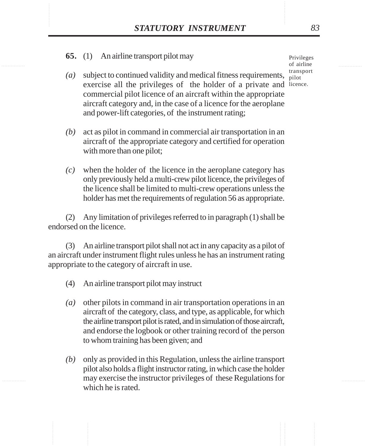## **STATUTORY INSTRUMENT** 83<br>
65. (1) An airline transport pilot may Privileges of airline **65.** (1) An airline transport pilot may

- (*a*) subject to continued validity and medical fitness requirements,  $\frac{d}{pilot}$ exercise all the privileges of the holder of a private and licence. commercial pilot licence of an aircraft within the appropriate aircraft category and, in the case of a licence for the aeroplane and power-lift categories, of the instrument rating;
- *(b)* act as pilot in command in commercial air transportation in an aircraft of the appropriate category and certified for operation with more than one pilot;
- *(c)* when the holder of the licence in the aeroplane category has only previously held a multi-crew pilot licence, the privileges of the licence shall be limited to multi-crew operations unless the holder has met the requirements of regulation 56 as appropriate.

(2) Any limitation of privileges referred to in paragraph (1) shall be endorsed on the licence.

(3) An airline transport pilot shall not act in any capacity as a pilot of an aircraft under instrument flight rules unless he has an instrument rating appropriate to the category of aircraft in use.

- (4) An airline transport pilot may instruct
- *(a)* other pilots in command in air transportation operations in an aircraft of the category, class, and type, as applicable, for which the airline transport pilot is rated, and in simulation of those aircraft, and endorse the logbook or other training record of the person to whom training has been given; and
- *(b)* only as provided in this Regulation, unless the airline transport pilot also holds a flight instructor rating, in which case the holder may exercise the instructor privileges of these Regulations for which he is rated.

Privileges of airline transport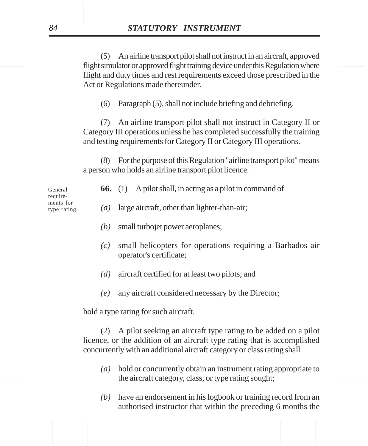............... ............... flight simulator or approved flight training device under this Regulation where (5) An airline transport pilot shall not instruct in an aircraft, approved flight and duty times and rest requirements exceed those prescribed in the Act or Regulations made thereunder.

(6) Paragraph (5), shall not include briefing and debriefing.

(7) An airline transport pilot shall not instruct in Category II or Category III operations unless he has completed successfully the training and testing requirements for Category II or Category III operations.

(8) For the purpose of this Regulation "airline transport pilot" means a person who holds an airline transport pilot licence.

|  | 66. $(1)$ |  |  |  |  | A pilot shall, in acting as a pilot in command of |  |
|--|-----------|--|--|--|--|---------------------------------------------------|--|
|--|-----------|--|--|--|--|---------------------------------------------------|--|

requirements for type rating.

- *(a)* large aircraft, other than lighter-than-air;
- *(b)* small turbojet power aeroplanes;
- *(c)* small helicopters for operations requiring a Barbados air operator's certificate;
- *(d)* aircraft certified for at least two pilots; and
- *(e)* any aircraft considered necessary by the Director;

hold a type rating for such aircraft.

(2) A pilot seeking an aircraft type rating to be added on a pilot licence, or the addition of an aircraft type rating that is accomplished concurrently with an additional aircraft category or class rating shall

- the aircraft category, class, or type rating sought; *(a)* hold or concurrently obtain an instrument rating appropriate to
	- *(b)* have an endorsement in his logbook or training record from an authorised instructor that within the preceding 6 months the

General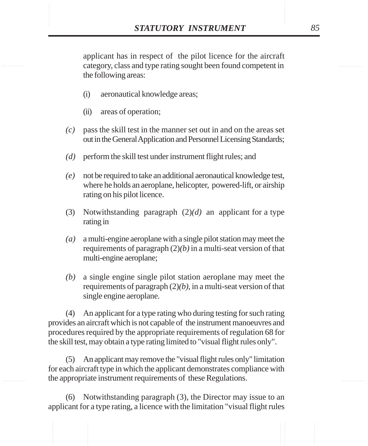**STATUTORY INSTRUMENT** 85<br>applicant has in respect of the pilot licence for the aircraft<br>category, class and type rating sought been found competent in applicant has in respect of the pilot licence for the aircraft category, class and type rating sought been found competent in the following areas:

- (i) aeronautical knowledge areas;
- (ii) areas of operation;
- *(c)* pass the skill test in the manner set out in and on the areas set out in the General Application and Personnel Licensing Standards;
- *(d)* perform the skill test under instrument flight rules; and
- *(e)* not be required to take an additional aeronautical knowledge test, where he holds an aeroplane, helicopter, powered-lift, or airship rating on his pilot licence.
- (3) Notwithstanding paragraph (2)*(d)* an applicant for a type rating in
- *(a)* a multi-engine aeroplane with a single pilot station may meet the requirements of paragraph (2)*(b)* in a multi-seat version of that multi-engine aeroplane;
- *(b)* a single engine single pilot station aeroplane may meet the requirements of paragraph (2)*(b)*, in a multi-seat version of that single engine aeroplane.

(4) An applicant for a type rating who during testing for such rating provides an aircraft which is not capable of the instrument manoeuvres and procedures required by the appropriate requirements of regulation 68 for the skill test, may obtain a type rating limited to "visual flight rules only".

(5) An applicant may remove the "visual flight rules only" limitation for each aircraft type in which the applicant demonstrates compliance with the appropriate instrument requirements of these Regulations.

(6) Notwithstanding paragraph (3), the Director may issue to an applicant for a type rating, a licence with the limitation "visual flight rules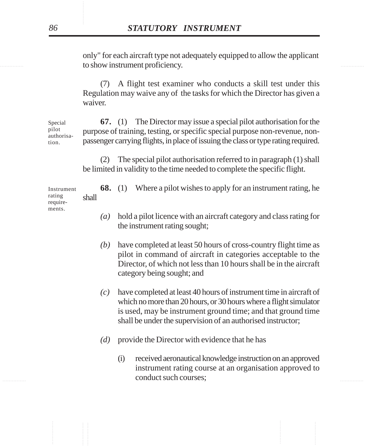to show instrument proficiency. only" for each aircraft type not adequately equipped to allow the applicant

> (7) A flight test examiner who conducts a skill test under this Regulation may waive any of the tasks for which the Director has given a waiver.

**67.** (1) The Director may issue a special pilot authorisation for the purpose of training, testing, or specific special purpose non-revenue, nonpassenger carrying flights, in place of issuing the class or type rating required. Special authorisa-

> (2) The special pilot authorisation referred to in paragraph (1) shall be limited in validity to the time needed to complete the specific flight.

**68.** (1) Where a pilot wishes to apply for an instrument rating, he shall

- *(a)* hold a pilot licence with an aircraft category and class rating for the instrument rating sought;
- *(b)* have completed at least 50 hours of cross-country flight time as pilot in command of aircraft in categories acceptable to the Director, of which not less than 10 hours shall be in the aircraft category being sought; and
- *(c)* have completed at least 40 hours of instrument time in aircraft of which no more than 20 hours, or 30 hours where a flight simulator is used, may be instrument ground time; and that ground time shall be under the supervision of an authorised instructor;
- *(d)* provide the Director with evidence that he has
- explanate such courses; (i) received aeronautical knowledge instruction on an approved instrument rating course at an organisation approved to

pilot

tion.

Instrument rating requirements.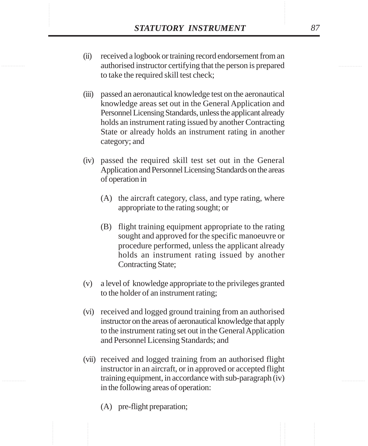- **STATUTORY INSTRUMENT** 87<br>
(ii) received a logbook or training record endorsement from an authorised instructor certifying that the person is prepared (ii) received a logbook or training record endorsement from an authorised instructor certifying that the person is prepared to take the required skill test check;
	- (iii) passed an aeronautical knowledge test on the aeronautical knowledge areas set out in the General Application and Personnel Licensing Standards, unless the applicant already holds an instrument rating issued by another Contracting State or already holds an instrument rating in another category; and
	- (iv) passed the required skill test set out in the General Application and Personnel Licensing Standards on the areas of operation in
		- (A) the aircraft category, class, and type rating, where appropriate to the rating sought; or
		- (B) flight training equipment appropriate to the rating sought and approved for the specific manoeuvre or procedure performed, unless the applicant already holds an instrument rating issued by another Contracting State;
	- (v) a level of knowledge appropriate to the privileges granted to the holder of an instrument rating;
	- (vi) received and logged ground training from an authorised instructor on the areas of aeronautical knowledge that apply to the instrument rating set out in the General Application and Personnel Licensing Standards; and
	- (vii) received and logged training from an authorised flight instructor in an aircraft, or in approved or accepted flight training equipment, in accordance with sub-paragraph (iv) in the following areas of operation:
		- (A) pre-flight preparation;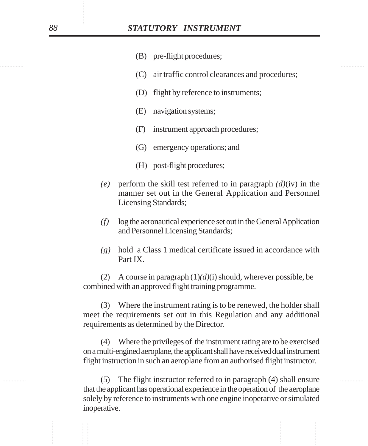- (B) pre-flight procedures;
- (C) air traffic control clearances and procedures;
- (D) flight by reference to instruments;
- (E) navigation systems;
- (F) instrument approach procedures;
- (G) emergency operations; and
- (H) post-flight procedures;
- *(e)* perform the skill test referred to in paragraph *(d)*(iv) in the manner set out in the General Application and Personnel Licensing Standards;
- *(f)* log the aeronautical experience set out in the General Application and Personnel Licensing Standards;
- *(g)* hold a Class 1 medical certificate issued in accordance with Part IX.

(2) A course in paragraph (1)*(d)*(i) should, wherever possible, be combined with an approved flight training programme.

(3) Where the instrument rating is to be renewed, the holder shall meet the requirements set out in this Regulation and any additional requirements as determined by the Director.

(4) Where the privileges of the instrument rating are to be exercised on a multi-engined aeroplane, the applicant shall have received dual instrument flight instruction in such an aeroplane from an authorised flight instructor.

............... ............... (5) The flight instructor referred to in paragraph (4) shall ensure that the applicant has operational experience in the operation of the aeroplane solely by reference to instruments with one engine inoperative or simulated inoperative.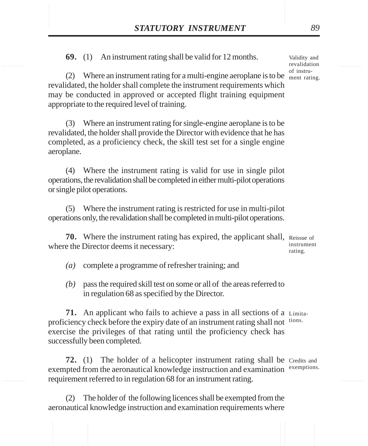**STATUTORY INSTRUMENT** 89<br> **69.** (1) An instrument rating shall be valid for 12 months. Validity and revalidation **69.** (1) An instrument rating shall be valid for 12 months.

> (2) Where an instrument rating for a multi-engine aeroplane is to be  $\frac{M_{\text{mend}}}{m_{\text{ent rating}}}$ . revalidated, the holder shall complete the instrument requirements which may be conducted in approved or accepted flight training equipment appropriate to the required level of training.

(3) Where an instrument rating for single-engine aeroplane is to be revalidated, the holder shall provide the Director with evidence that he has completed, as a proficiency check, the skill test set for a single engine aeroplane.

(4) Where the instrument rating is valid for use in single pilot operations, the revalidation shall be completed in either multi-pilot operations or single pilot operations.

(5) Where the instrument rating is restricted for use in multi-pilot operations only, the revalidation shall be completed in multi-pilot operations.

**70.** Where the instrument rating has expired, the applicant shall, Reissue of where the Director deems it necessary:

instrument rating.

- *(a)* complete a programme of refresher training; and
- *(b)* pass the required skill test on some or all of the areas referred to in regulation 68 as specified by the Director.

**71.** An applicant who fails to achieve a pass in all sections of a Limitaproficiency check before the expiry date of an instrument rating shall not tions. exercise the privileges of that rating until the proficiency check has successfully been completed.

**72.** (1) The holder of a helicopter instrument rating shall be Credits and exempted from the aeronautical knowledge instruction and examination requirement referred to in regulation 68 for an instrument rating. exemptions.

(2) The holder of the following licences shall be exempted from the aeronautical knowledge instruction and examination requirements where

Validity and revalidation of instru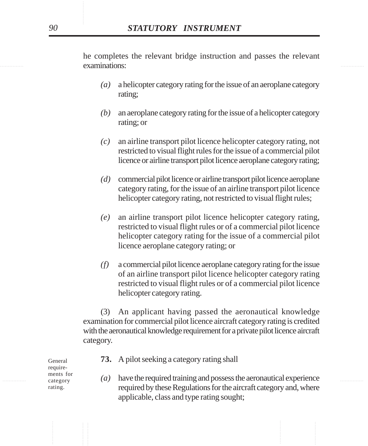examinations: he completes the relevant bridge instruction and passes the relevant

- *(a)* a helicopter category rating for the issue of an aeroplane category rating;
- *(b)* an aeroplane category rating for the issue of a helicopter category rating; or
- *(c)* an airline transport pilot licence helicopter category rating, not restricted to visual flight rules for the issue of a commercial pilot licence or airline transport pilot licence aeroplane category rating;
- *(d)* commercial pilot licence or airline transport pilot licence aeroplane category rating, for the issue of an airline transport pilot licence helicopter category rating, not restricted to visual flight rules;
- *(e)* an airline transport pilot licence helicopter category rating, restricted to visual flight rules or of a commercial pilot licence helicopter category rating for the issue of a commercial pilot licence aeroplane category rating; or
- *(f)* a commercial pilot licence aeroplane category rating for the issue of an airline transport pilot licence helicopter category rating restricted to visual flight rules or of a commercial pilot licence helicopter category rating.

(3) An applicant having passed the aeronautical knowledge examination for commercial pilot licence aircraft category rating is credited with the aeronautical knowledge requirement for a private pilot licence aircraft category.

- **73.** A pilot seeking a category rating shall
- $\mathcal{L}$  at  $\mathcal{L}$  are  $\mathcal{L}$  and  $\mathcal{L}$  have the required training and possess the aeronautical experience required by these Regulations for the aircraft category and, where applicable, class and type rating sought;

General requirements for category rating.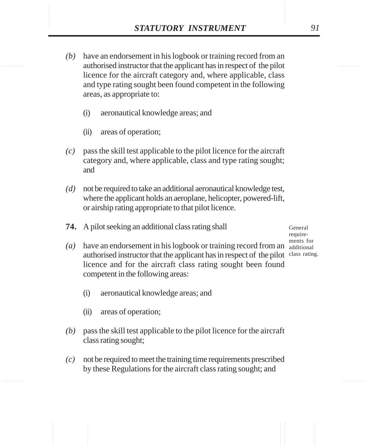- **STATUTORY INSTRUMENT** 91<br>(b) have an endorsement in his logbook or training record from an authorised instructor that the applicant has in respect of the pilot *(b)* have an endorsement in his logbook or training record from an authorised instructor that the applicant has in respect of the pilot licence for the aircraft category and, where applicable, class and type rating sought been found competent in the following areas, as appropriate to:
	- (i) aeronautical knowledge areas; and
	- (ii) areas of operation;
	- *(c)* pass the skill test applicable to the pilot licence for the aircraft category and, where applicable, class and type rating sought; and
	- *(d)* not be required to take an additional aeronautical knowledge test, where the applicant holds an aeroplane, helicopter, powered-lift, or airship rating appropriate to that pilot licence.
	- **74.** A pilot seeking an additional class rating shall

General requirements for

- $(a)$  have an endorsement in his logbook or training record from an  $\frac{d}{d}$  additional authorised instructor that the applicant has in respect of the pilot class rating. licence and for the aircraft class rating sought been found competent in the following areas:
	- (i) aeronautical knowledge areas; and
	- (ii) areas of operation;
- *(b)* pass the skill test applicable to the pilot licence for the aircraft class rating sought;
- *(c)* not be required to meet the training time requirements prescribed by these Regulations for the aircraft class rating sought; and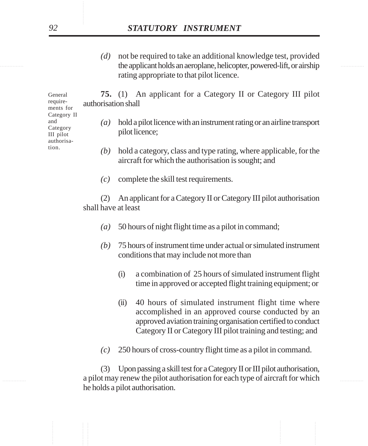the applicant holds an aeroplane, helicopter, powered-lift, or airship *(d)* not be required to take an additional knowledge test, provided rating appropriate to that pilot licence.

> **75.** (1) An applicant for a Category II or Category III pilot authorisation shall

- *(a)* hold a pilot licence with an instrument rating or an airline transport pilot licence;
- *(b)* hold a category, class and type rating, where applicable, for the aircraft for which the authorisation is sought; and
- *(c)* complete the skill test requirements.

(2) An applicant for a Category II or Category III pilot authorisation shall have at least

- *(a)* 50 hours of night flight time as a pilot in command;
- *(b)* 75 hours of instrument time under actual or simulated instrument conditions that may include not more than
	- (i) a combination of 25 hours of simulated instrument flight time in approved or accepted flight training equipment; or
	- (ii) 40 hours of simulated instrument flight time where accomplished in an approved course conducted by an approved aviation training organisation certified to conduct Category II or Category III pilot training and testing; and
- *(c)* 250 hours of cross-country flight time as a pilot in command.

............... ............... a pilot may renew the pilot authorisation for each type of aircraft for which (3) Upon passing a skill test for a Category II or III pilot authorisation, he holds a pilot authorisation.

General requirements for Category II and Category III pilot authorisation.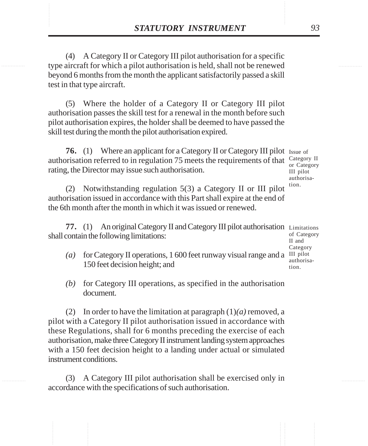**STATUTORY INSTRUMENT** 93<br>(4) A Category II or Category III pilot authorisation for a specific<br>type aircraft for which a pilot authorisation is held, shall not be renewed (4) A Category II or Category III pilot authorisation for a specific type aircraft for which a pilot authorisation is held, shall not be renewed beyond 6 months from the month the applicant satisfactorily passed a skill test in that type aircraft.

> (5) Where the holder of a Category II or Category III pilot authorisation passes the skill test for a renewal in the month before such pilot authorisation expires, the holder shall be deemed to have passed the skill test during the month the pilot authorisation expired.

**76.** (1) Where an applicant for a Category II or Category III pilot Issue of authorisation referred to in regulation 75 meets the requirements of that  $\frac{\text{Category II}}{\text{C}t\text{t}{t}}$ rating, the Director may issue such authorisation.

or Category III pilot authorisation.

(2) Notwithstanding regulation 5(3) a Category II or III pilot authorisation issued in accordance with this Part shall expire at the end of the 6th month after the month in which it was issued or renewed.

77. (1) An original Category II and Category III pilot authorisation Limitations shall contain the following limitations:

of Category II and Category authorisation.

- (a) for Category II operations,  $1600$  feet runway visual range and a III pilot 150 feet decision height; and
- *(b)* for Category III operations, as specified in the authorisation document.

(2) In order to have the limitation at paragraph  $(1)(a)$  removed, a pilot with a Category II pilot authorisation issued in accordance with these Regulations, shall for 6 months preceding the exercise of each authorisation, make three Category II instrument landing system approaches with a 150 feet decision height to a landing under actual or simulated instrument conditions.

(3) A Category III pilot authorisation shall be exercised only in accordance with the specifications of such authorisation.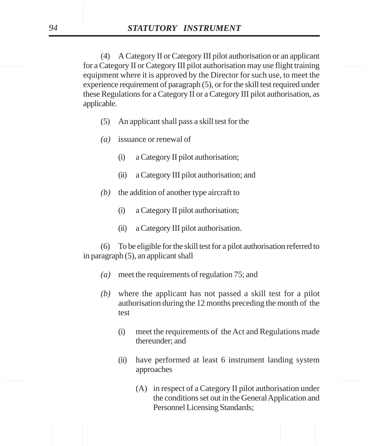............... ............... for a Category II or Category III pilot authorisation may use flight training (4) A Category II or Category III pilot authorisation or an applicant equipment where it is approved by the Director for such use, to meet the experience requirement of paragraph (5), or for the skill test required under these Regulations for a Category II or a Category III pilot authorisation, as applicable.

- (5) An applicant shall pass a skill test for the
- *(a)* issuance or renewal of
	- (i) a Category II pilot authorisation;
	- (ii) a Category III pilot authorisation; and
- *(b)* the addition of another type aircraft to
	- (i) a Category II pilot authorisation;
	- (ii) a Category III pilot authorisation.

(6) To be eligible for the skill test for a pilot authorisation referred to in paragraph (5), an applicant shall

- *(a)* meet the requirements of regulation 75; and
- *(b)* where the applicant has not passed a skill test for a pilot authorisation during the 12 months preceding the month of the test
	- (i) meet the requirements of the Act and Regulations made thereunder; and
	- (ii) have performed at least 6 instrument landing system approaches
		- (A) in respect of a Category II pilot authorisation under the conditions set out in the General Application and Personnel Licensing Standards;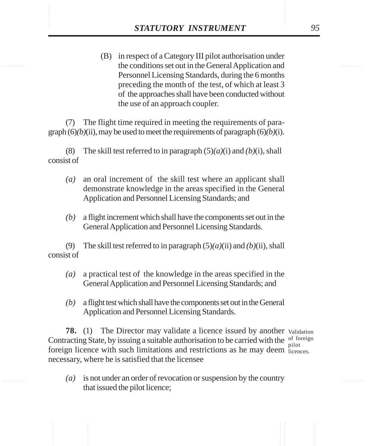**STATUTORY INSTRUMENT** 95<br>(B) in respect of a Category III pilot authorisation under<br>the conditions set out in the General Application and (B) in respect of a Category III pilot authorisation under the conditions set out in the General Application and Personnel Licensing Standards, during the 6 months preceding the month of the test, of which at least 3 of the approaches shall have been conducted without the use of an approach coupler.

> (7) The flight time required in meeting the requirements of paragraph  $(6)(b)(ii)$ , may be used to meet the requirements of paragraph  $(6)(b)(i)$ .

(8) The skill test referred to in paragraph (5)*(a)*(i) and *(b)*(i), shall consist of

- *(a)* an oral increment of the skill test where an applicant shall demonstrate knowledge in the areas specified in the General Application and Personnel Licensing Standards; and
- *(b)* a flight increment which shall have the components set out in the General Application and Personnel Licensing Standards.

(9) The skill test referred to in paragraph (5)*(a)*(ii) and *(b)*(ii), shall consist of

- *(a)* a practical test of the knowledge in the areas specified in the General Application and Personnel Licensing Standards; and
- *(b)* a flight test which shall have the components set out in the General Application and Personnel Licensing Standards.

**78.** (1) The Director may validate a licence issued by another validation Contracting State, by issuing a suitable authorisation to be carried with the  $\frac{0}{n^{10}}$ foreign licence with such limitations and restrictions as he may deem licences. necessary, where he is satisfied that the licensee pilot

*(a)* is not under an order of revocation or suspension by the country that issued the pilot licence;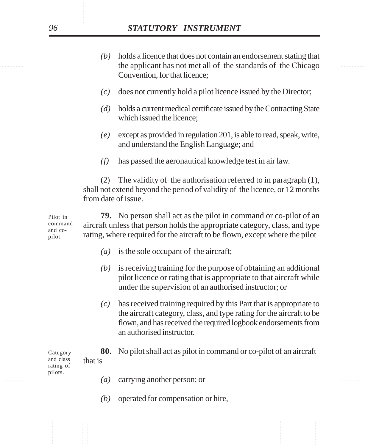- the applicant has not met all of the standards of the Chicago *(b)* holds a licence that does not contain an endorsement stating that Convention, for that licence;
	- *(c)* does not currently hold a pilot licence issued by the Director;
	- *(d)* holds a current medical certificate issued by the Contracting State which issued the licence;
	- *(e)* except as provided in regulation 201, is able to read, speak, write, and understand the English Language; and
	- *(f)* has passed the aeronautical knowledge test in air law.

(2) The validity of the authorisation referred to in paragraph (1), shall not extend beyond the period of validity of the licence, or 12 months from date of issue.

**79.** No person shall act as the pilot in command or co-pilot of an aircraft unless that person holds the appropriate category, class, and type rating, where required for the aircraft to be flown, except where the pilot Pilot in command and copilot.

- *(a)* is the sole occupant of the aircraft;
- *(b)* is receiving training for the purpose of obtaining an additional pilot licence or rating that is appropriate to that aircraft while under the supervision of an authorised instructor; or
- *(c)* has received training required by this Part that is appropriate to the aircraft category, class, and type rating for the aircraft to be flown, and has received the required logbook endorsements from an authorised instructor.

**80.** No pilot shall act as pilot in command or co-pilot of an aircraft that is

............... ............... *(a)* carrying another person; or

*(b)* operated for compensation or hire,

Category and class rating of pilots.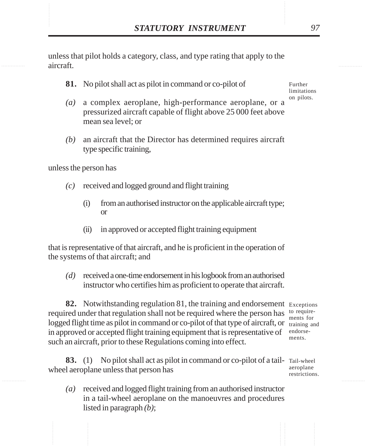XTATUTORY INSTRUMENT 97<br>unless that pilot holds a category, class, and type rating that apply to the aircraft. unless that pilot holds a category, class, and type rating that apply to the aircraft.

**81.** No pilot shall act as pilot in command or co-pilot of

Further limitations on pilots.

- *(a)* a complex aeroplane, high-performance aeroplane, or a pressurized aircraft capable of flight above 25 000 feet above mean sea level; or
- *(b)* an aircraft that the Director has determined requires aircraft type specific training,

unless the person has

- *(c)* received and logged ground and flight training
	- (i) from an authorised instructor on the applicable aircraft type; or
	- (ii) in approved or accepted flight training equipment

that is representative of that aircraft, and he is proficient in the operation of the systems of that aircraft; and

*(d)* received a one-time endorsement in his logbook from an authorised instructor who certifies him as proficient to operate that aircraft.

82. Notwithstanding regulation 81, the training and endorsement Exceptions required under that regulation shall not be required where the person has to requirelogged flight time as pilot in command or co-pilot of that type of aircraft, or training and in approved or accepted flight training equipment that is representative of endorsesuch an aircraft, prior to these Regulations coming into effect.

**83.** (1) No pilot shall act as pilot in command or co-pilot of a tail- Tail-wheel wheel aeroplane unless that person has

*(a)* received and logged flight training from an authorised instructor in a tail-wheel aeroplane on the manoeuvres and procedures listed in paragraph *(b)*;

ments for ments.

aeroplane restrictions.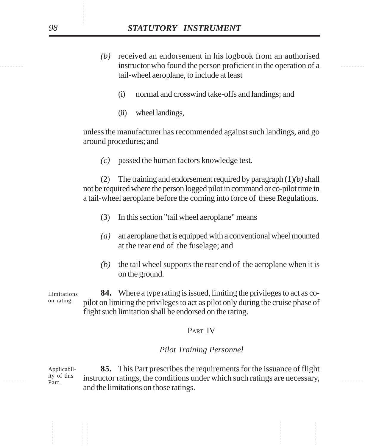- instructor who found the person proficient in the operation of a *(b)* received an endorsement in his logbook from an authorised tail-wheel aeroplane, to include at least
	- (i) normal and crosswind take-offs and landings; and
	- (ii) wheel landings,

unless the manufacturer has recommended against such landings, and go around procedures; and

*(c)* passed the human factors knowledge test.

(2) The training and endorsement required by paragraph (1)*(b)* shall not be required where the person logged pilot in command or co-pilot time in a tail-wheel aeroplane before the coming into force of these Regulations.

- (3) In this section "tail wheel aeroplane" means
- *(a)* an aeroplane that is equipped with a conventional wheel mounted at the rear end of the fuselage; and
- *(b)* the tail wheel supports the rear end of the aeroplane when it is on the ground.

**84.** Where a type rating is issued, limiting the privileges to act as copilot on limiting the privileges to act as pilot only during the cruise phase of flight such limitation shall be endorsed on the rating. Limitations on rating.

## PART IV

## *Pilot Training Personnel*

 $\frac{1}{10}$  is  $\frac{1}{10}$  instructor ratings, the conditions under which such ratings are necessary, **85.** This Part prescribes the requirements for the issuance of flight and the limitations on those ratings. Applicability of this Part.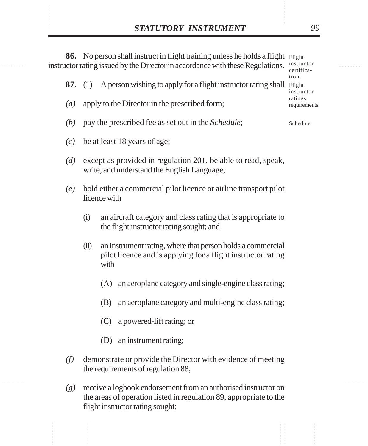**STATUTORY INSTRUMENT** 99<br> **86.** No person shall instruct in flight training unless he holds a flight Flight<br>
instructor rating issued by the Director in accordance with these Regulations. Instructor **86.** No person shall instruct in flight training unless he holds a flight Flight instructor rating issued by the Director in accordance with these Regulations. **87.** (1) A person wishing to apply for a flight instructor rating shall Flight *(a)* apply to the Director in the prescribed form; *(b)* pay the prescribed fee as set out in the *Schedule*; *(c)* be at least 18 years of age; *(d)* except as provided in regulation 201, be able to read, speak, write, and understand the English Language; *(e)* hold either a commercial pilot licence or airline transport pilot licence with (i) an aircraft category and class rating that is appropriate to the flight instructor rating sought; and (ii) an instrument rating, where that person holds a commercial pilot licence and is applying for a flight instructor rating with (A) an aeroplane category and single-engine class rating; (B) an aeroplane category and multi-engine class rating; (C) a powered-lift rating; or (D) an instrument rating; *(f)* demonstrate or provide the Director with evidence of meeting the requirements of regulation 88; instructor certification. instructor ratings requirements. Schedule.

> *(g)* receive a logbook endorsement from an authorised instructor on the areas of operation listed in regulation 89, appropriate to the flight instructor rating sought;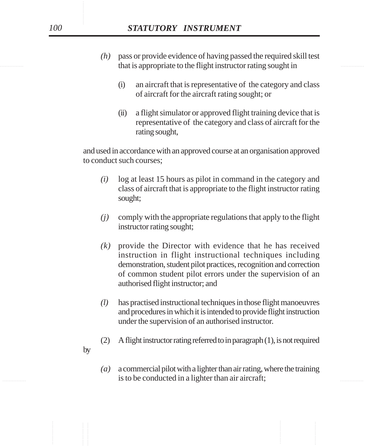- that is appropriate to the flight instructor rating sought in *(h)* pass or provide evidence of having passed the required skill test
	- (i) an aircraft that is representative of the category and class of aircraft for the aircraft rating sought; or
	- (ii) a flight simulator or approved flight training device that is representative of the category and class of aircraft for the rating sought,

and used in accordance with an approved course at an organisation approved to conduct such courses;

- *(i)* log at least 15 hours as pilot in command in the category and class of aircraft that is appropriate to the flight instructor rating sought;
- *(j)* comply with the appropriate regulations that apply to the flight instructor rating sought;
- *(k)* provide the Director with evidence that he has received instruction in flight instructional techniques including demonstration, student pilot practices, recognition and correction of common student pilot errors under the supervision of an authorised flight instructor; and
- *(l)* has practised instructional techniques in those flight manoeuvres and procedures in which it is intended to provide flight instruction under the supervision of an authorised instructor.
- (2) A flight instructor rating referred to in paragraph (1), is not required
- is to be conducted in a lighter than air aircraft; *(a)* a commercial pilot with a lighter than air rating, where the training

by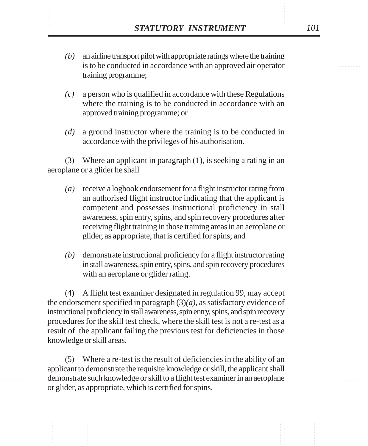- *STATUTORY INSTRUMENT* 101<br>(b) an airline transport pilot with appropriate ratings where the training<br>is to be conducted in accordance with an approved air operator *(b)* an airline transport pilot with appropriate ratings where the training is to be conducted in accordance with an approved air operator training programme;
	- *(c)* a person who is qualified in accordance with these Regulations where the training is to be conducted in accordance with an approved training programme; or
	- *(d)* a ground instructor where the training is to be conducted in accordance with the privileges of his authorisation.

(3) Where an applicant in paragraph (1), is seeking a rating in an aeroplane or a glider he shall

- *(a)* receive a logbook endorsement for a flight instructor rating from an authorised flight instructor indicating that the applicant is competent and possesses instructional proficiency in stall awareness, spin entry, spins, and spin recovery procedures after receiving flight training in those training areas in an aeroplane or glider, as appropriate, that is certified for spins; and
- *(b)* demonstrate instructional proficiency for a flight instructor rating in stall awareness, spin entry, spins, and spin recovery procedures with an aeroplane or glider rating.

(4) A flight test examiner designated in regulation 99, may accept the endorsement specified in paragraph  $(3)(a)$ , as satisfactory evidence of instructional proficiency in stall awareness, spin entry, spins, and spin recovery procedures for the skill test check, where the skill test is not a re-test as a result of the applicant failing the previous test for deficiencies in those knowledge or skill areas.

(5) Where a re-test is the result of deficiencies in the ability of an applicant to demonstrate the requisite knowledge or skill, the applicant shall demonstrate such knowledge or skill to a flight test examiner in an aeroplane or glider, as appropriate, which is certified for spins.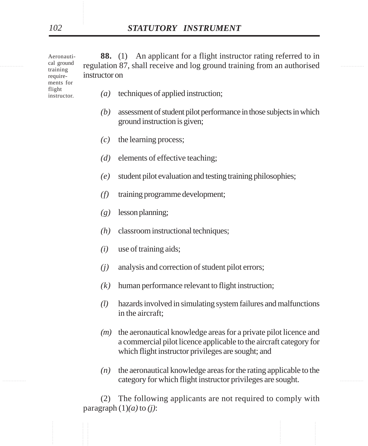| Aeronauti-<br>cal ground<br>training<br>require-<br>ments for | instructor on     | An applicant for a flight instructor rating referred to in<br><b>88.</b> (1)<br>regulation 87, shall receive and log ground training from an authorised                                      |  |
|---------------------------------------------------------------|-------------------|----------------------------------------------------------------------------------------------------------------------------------------------------------------------------------------------|--|
| flight<br>instructor.                                         | $\left( a\right)$ | techniques of applied instruction;                                                                                                                                                           |  |
|                                                               | (b)               | assessment of student pilot performance in those subjects in which<br>ground instruction is given;                                                                                           |  |
|                                                               | (c)               | the learning process;                                                                                                                                                                        |  |
|                                                               | (d)               | elements of effective teaching;                                                                                                                                                              |  |
|                                                               | (e)               | student pilot evaluation and testing training philosophies;                                                                                                                                  |  |
|                                                               | (f)               | training programme development;                                                                                                                                                              |  |
|                                                               | (g)               | lesson planning;                                                                                                                                                                             |  |
|                                                               | (h)               | classroom instructional techniques;                                                                                                                                                          |  |
|                                                               | (i)               | use of training aids;                                                                                                                                                                        |  |
|                                                               | (j)               | analysis and correction of student pilot errors;                                                                                                                                             |  |
|                                                               | (k)               | human performance relevant to flight instruction;                                                                                                                                            |  |
|                                                               | (l)               | hazards involved in simulating system failures and malfunctions<br>in the aircraft;                                                                                                          |  |
|                                                               | (m)               | the aeronautical knowledge areas for a private pilot licence and<br>a commercial pilot licence applicable to the aircraft category for<br>which flight instructor privileges are sought; and |  |
|                                                               | (n)               | the aeronautical knowledge areas for the rating applicable to the<br>category for which flight instructor privileges are sought.                                                             |  |

(2) The following applicants are not required to comply with paragraph  $(1)(a)$  to  $(j)$ :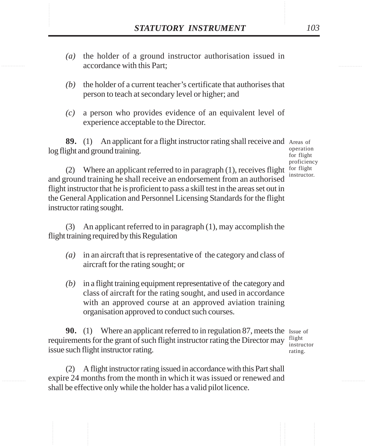- **STATUTORY INSTRUMENT** 103<br>(a) the holder of a ground instructor authorisation issued in accordance with this Part: *(a)* the holder of a ground instructor authorisation issued in accordance with this Part;
	- *(b)* the holder of a current teacher's certificate that authorises that person to teach at secondary level or higher; and
	- *(c)* a person who provides evidence of an equivalent level of experience acceptable to the Director.

**89.** (1) An applicant for a flight instructor rating shall receive and Areas of log flight and ground training.

operation for flight proficiency instructor.

(2) Where an applicant referred to in paragraph  $(1)$ , receives flight for flight and ground training he shall receive an endorsement from an authorised flight instructor that he is proficient to pass a skill test in the areas set out in the General Application and Personnel Licensing Standards for the flight instructor rating sought.

(3) An applicant referred to in paragraph (1), may accomplish the flight training required by this Regulation

- *(a)* in an aircraft that is representative of the category and class of aircraft for the rating sought; or
- *(b)* in a flight training equipment representative of the category and class of aircraft for the rating sought, and used in accordance with an approved course at an approved aviation training organisation approved to conduct such courses.

**90.** (1) Where an applicant referred to in regulation 87, meets the Issue of requirements for the grant of such flight instructor rating the Director may issue such flight instructor rating. flight

instructor rating.

(2) A flight instructor rating issued in accordance with this Part shall expire 24 months from the month in which it was issued or renewed and shall be effective only while the holder has a valid pilot licence.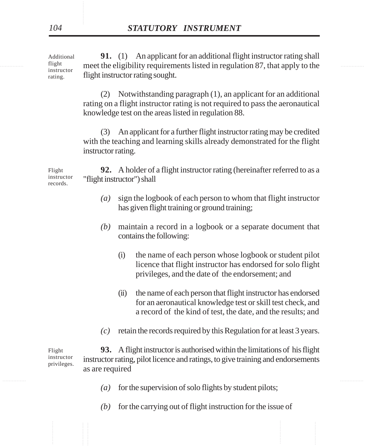If this meet the eligibility requirements listed in regulation 87, that apply to the **91.** (1) An applicant for an additional flight instructor rating shall flight instructor rating sought. Additional flight instructor rating.

> (2) Notwithstanding paragraph (1), an applicant for an additional rating on a flight instructor rating is not required to pass the aeronautical knowledge test on the areas listed in regulation 88.

> (3) An applicant for a further flight instructor rating may be credited with the teaching and learning skills already demonstrated for the flight instructor rating.

**92.** A holder of a flight instructor rating (hereinafter referred to as a "flight instructor") shall

- *(a)* sign the logbook of each person to whom that flight instructor has given flight training or ground training;
- *(b)* maintain a record in a logbook or a separate document that contains the following:
	- (i) the name of each person whose logbook or student pilot licence that flight instructor has endorsed for solo flight privileges, and the date of the endorsement; and
	- (ii) the name of each person that flight instructor has endorsed for an aeronautical knowledge test or skill test check, and a record of the kind of test, the date, and the results; and
- *(c)* retain the records required by this Regulation for at least 3 years.

**93.** A flight instructor is authorised within the limitations of his flight instructor rating, pilot licence and ratings, to give training and endorsements as are required Flight instructor privileges.

- *(a)* for the supervision of solo flights by student pilots;
- *(b)* for the carrying out of flight instruction for the issue of

Flight instructor records.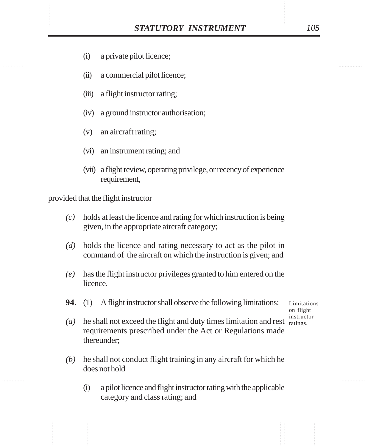- (i) a private pilot licence;
- (ii) a commercial pilot licence;
- (iii) a flight instructor rating;
- (iv) a ground instructor authorisation;
- (v) an aircraft rating;
- (vi) an instrument rating; and
- (vii) a flight review, operating privilege, or recency of experience requirement,

provided that the flight instructor

- *(c)* holds at least the licence and rating for which instruction is being given, in the appropriate aircraft category;
- *(d)* holds the licence and rating necessary to act as the pilot in command of the aircraft on which the instruction is given; and
- *(e)* has the flight instructor privileges granted to him entered on the licence.
- **94.** (1) A flight instructor shall observe the following limitations:

Limitations on flight instructor

- $(a)$  he shall not exceed the flight and duty times limitation and rest ratings. requirements prescribed under the Act or Regulations made thereunder;
- *(b)* he shall not conduct flight training in any aircraft for which he does not hold
	- (i) a pilot licence and flight instructor rating with the applicable category and class rating; and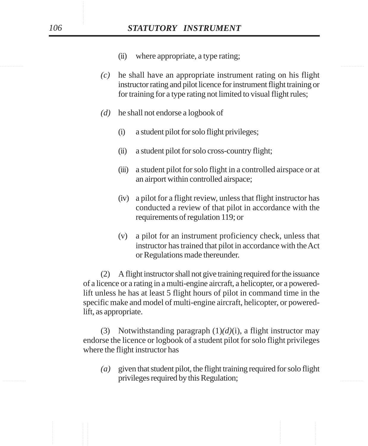- (ii) where appropriate, a type rating;
- *(c)* he shall have an appropriate instrument rating on his flight instructor rating and pilot licence for instrument flight training or for training for a type rating not limited to visual flight rules;
- *(d)* he shall not endorse a logbook of
	- (i) a student pilot for solo flight privileges;
	- (ii) a student pilot for solo cross-country flight;
	- (iii) a student pilot for solo flight in a controlled airspace or at an airport within controlled airspace;
	- (iv) a pilot for a flight review, unless that flight instructor has conducted a review of that pilot in accordance with the requirements of regulation 119; or
	- (v) a pilot for an instrument proficiency check, unless that instructor has trained that pilot in accordance with the Act or Regulations made thereunder.

(2) A flight instructor shall not give training required for the issuance of a licence or a rating in a multi-engine aircraft, a helicopter, or a poweredlift unless he has at least 5 flight hours of pilot in command time in the specific make and model of multi-engine aircraft, helicopter, or poweredlift, as appropriate.

(3) Notwithstanding paragraph (1)*(d)*(i), a flight instructor may endorse the licence or logbook of a student pilot for solo flight privileges where the flight instructor has

experiment privileges required by this Regulation; *(a)* given that student pilot, the flight training required for solo flight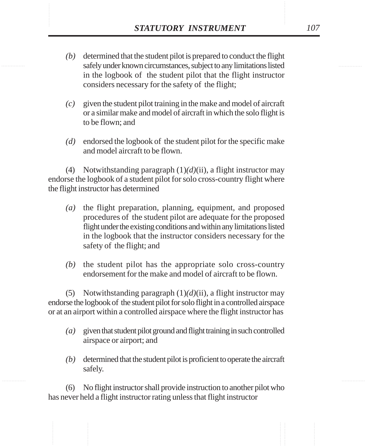- STATUTORY INSTRUMENT 107<br>
(b) determined that the student pilot is prepared to conduct the flight<br>
safely under known circumstances, subject to any limitations listed *(b)* determined that the student pilot is prepared to conduct the flight safely under known circumstances, subject to any limitations listed in the logbook of the student pilot that the flight instructor considers necessary for the safety of the flight;
	- *(c)* given the student pilot training in the make and model of aircraft or a similar make and model of aircraft in which the solo flight is to be flown; and
	- *(d)* endorsed the logbook of the student pilot for the specific make and model aircraft to be flown.

(4) Notwithstanding paragraph (1)*(d)*(ii), a flight instructor may endorse the logbook of a student pilot for solo cross-country flight where the flight instructor has determined

- *(a)* the flight preparation, planning, equipment, and proposed procedures of the student pilot are adequate for the proposed flight under the existing conditions and within any limitations listed in the logbook that the instructor considers necessary for the safety of the flight; and
- *(b)* the student pilot has the appropriate solo cross-country endorsement for the make and model of aircraft to be flown.

(5) Notwithstanding paragraph  $(1)(d)(ii)$ , a flight instructor may endorse the logbook of the student pilot for solo flight in a controlled airspace or at an airport within a controlled airspace where the flight instructor has

- *(a)* given that student pilot ground and flight training in such controlled airspace or airport; and
- *(b)* determined that the student pilot is proficient to operate the aircraft safely.

(6) No flight instructor shall provide instruction to another pilot who has never held a flight instructor rating unless that flight instructor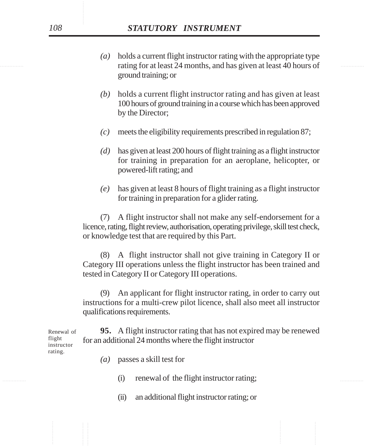- rating for at least 24 months, and has given at least 40 hours of *(a)* holds a current flight instructor rating with the appropriate type ground training; or
	- *(b)* holds a current flight instructor rating and has given at least 100 hours of ground training in a course which has been approved by the Director;
	- *(c)* meets the eligibility requirements prescribed in regulation 87;
	- *(d)* has given at least 200 hours of flight training as a flight instructor for training in preparation for an aeroplane, helicopter, or powered-lift rating; and
	- *(e)* has given at least 8 hours of flight training as a flight instructor for training in preparation for a glider rating.

(7) A flight instructor shall not make any self-endorsement for a licence, rating, flight review, authorisation, operating privilege, skill test check, or knowledge test that are required by this Part.

(8) A flight instructor shall not give training in Category II or Category III operations unless the flight instructor has been trained and tested in Category II or Category III operations.

(9) An applicant for flight instructor rating, in order to carry out instructions for a multi-crew pilot licence, shall also meet all instructor qualifications requirements.

**95.** A flight instructor rating that has not expired may be renewed for an additional 24 months where the flight instructor Renewal of flight instructor

rating.

- *(a)* passes a skill test for
- (i) renewal of the flight instructor rating;
	- (ii) an additional flight instructor rating; or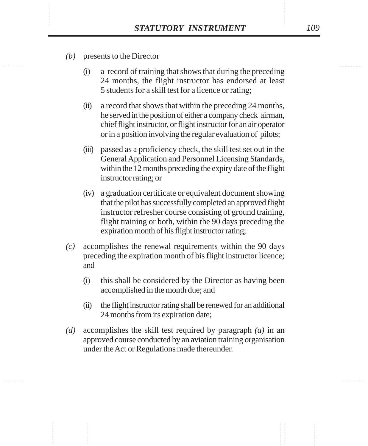- *(b)* presents to the Director
	- (i) a record of training that shows that during the preceding 24 months, the flight instructor has endorsed at least 5 students for a skill test for a licence or rating;
	- (ii) a record that shows that within the preceding 24 months, he served in the position of either a company check airman, chief flight instructor, or flight instructor for an air operator or in a position involving the regular evaluation of pilots;
	- (iii) passed as a proficiency check, the skill test set out in the General Application and Personnel Licensing Standards, within the 12 months preceding the expiry date of the flight instructor rating; or
	- (iv) a graduation certificate or equivalent document showing that the pilot has successfully completed an approved flight instructor refresher course consisting of ground training, flight training or both, within the 90 days preceding the expiration month of his flight instructor rating;
- *(c)* accomplishes the renewal requirements within the 90 days preceding the expiration month of his flight instructor licence; and
	- (i) this shall be considered by the Director as having been accomplished in the month due; and
	- (ii) the flight instructor rating shall be renewed for an additional 24 months from its expiration date;
- *(d)* accomplishes the skill test required by paragraph *(a)* in an approved course conducted by an aviation training organisation under the Act or Regulations made thereunder.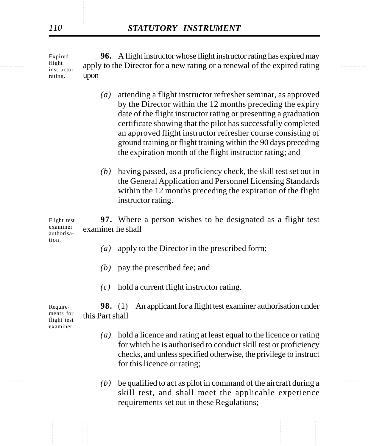$\frac{1}{2}$  instructor apply to the Director for a new rating or a renewal of the expired rating Expired flight instructor rating. **96.** A flight instructor whose flight instructor rating has expired may upon

- *(a)* attending a flight instructor refresher seminar, as approved by the Director within the 12 months preceding the expiry date of the flight instructor rating or presenting a graduation certificate showing that the pilot has successfully completed an approved flight instructor refresher course consisting of ground training or flight training within the 90 days preceding the expiration month of the flight instructor rating; and
- *(b)* having passed, as a proficiency check, the skill test set out in the General Application and Personnel Licensing Standards within the 12 months preceding the expiration of the flight instructor rating.

Flight test examiner authorisa-**97.** Where a person wishes to be designated as a flight test examiner he shall

- *(a)* apply to the Director in the prescribed form;
- *(b)* pay the prescribed fee; and
- *(c)* hold a current flight instructor rating.

**98.** (1) An applicant for a flight test examiner authorisation under this Part shall

- *(a)* hold a licence and rating at least equal to the licence or rating for which he is authorised to conduct skill test or proficiency checks, and unless specified otherwise, the privilege to instruct for this licence or rating;
- $(b)$  be qualified to act as pilot in command of the aircraft during a skill test, and shall meet the applicable experience requirements set out in these Regulations;

Requirements for flight test examiner.

tion.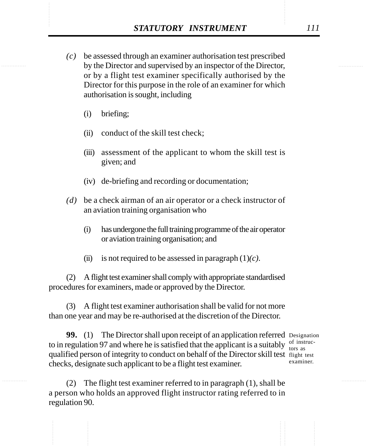- STATUTORY INSTRUMENT 111<br>
(c) be assessed through an examiner authorisation test prescribed<br>
by the Director and supervised by an inspector of the Director. *(c)* be assessed through an examiner authorisation test prescribed by the Director and supervised by an inspector of the Director, or by a flight test examiner specifically authorised by the Director for this purpose in the role of an examiner for which authorisation is sought, including
	- (i) briefing;
	- (ii) conduct of the skill test check;
	- (iii) assessment of the applicant to whom the skill test is given; and
	- (iv) de-briefing and recording or documentation;
	- *(d)* be a check airman of an air operator or a check instructor of an aviation training organisation who
		- (i) has undergone the full training programme of the air operator or aviation training organisation; and
		- (ii) is not required to be assessed in paragraph  $(1)(c)$ .

(2) A flight test examiner shall comply with appropriate standardised procedures for examiners, made or approved by the Director.

(3) A flight test examiner authorisation shall be valid for not more than one year and may be re-authorised at the discretion of the Director.

**99.** (1) The Director shall upon receipt of an application referred Designation to in regulation 97 and where he is satisfied that the applicant is a suitably  $\frac{d}{dx}$  tors as qualified person of integrity to conduct on behalf of the Director skill test flight test checks, designate such applicant to be a flight test examiner.

of instrucexaminer.

(2) The flight test examiner referred to in paragraph (1), shall be a person who holds an approved flight instructor rating referred to in regulation 90.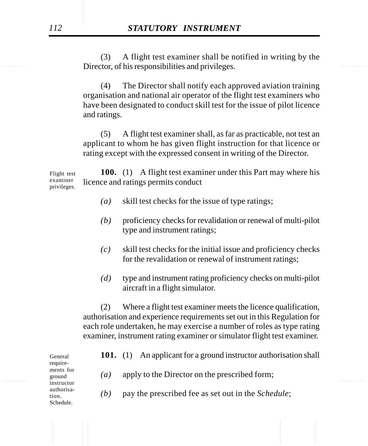Director, of his responsibilities and privileges. (3) A flight test examiner shall be notified in writing by the

> (4) The Director shall notify each approved aviation training organisation and national air operator of the flight test examiners who have been designated to conduct skill test for the issue of pilot licence and ratings.

> (5) A flight test examiner shall, as far as practicable, not test an applicant to whom he has given flight instruction for that licence or rating except with the expressed consent in writing of the Director.

**100.** (1) A flight test examiner under this Part may where his licence and ratings permits conduct Flight test examiner privileges.

- *(a)* skill test checks for the issue of type ratings;
- *(b)* proficiency checks for revalidation or renewal of multi-pilot type and instrument ratings;
- *(c)* skill test checks for the initial issue and proficiency checks for the revalidation or renewal of instrument ratings;
- *(d)* type and instrument rating proficiency checks on multi-pilot aircraft in a flight simulator.

(2) Where a flight test examiner meets the licence qualification, authorisation and experience requirements set out in this Regulation for each role undertaken, he may exercise a number of roles as type rating examiner, instrument rating examiner or simulator flight test examiner.

|   | General<br>require-<br>ments for<br>ground<br>instructor<br>authorisa-<br>tion.<br>Schedule. | 101.             | An applicant for a ground instructor authorisation shall<br>(1) | . |
|---|----------------------------------------------------------------------------------------------|------------------|-----------------------------------------------------------------|---|
| . |                                                                                              | $\left(a\right)$ | apply to the Director on the prescribed form;                   |   |
|   |                                                                                              | (b)              | pay the prescribed fee as set out in the <i>Schedule</i> ;      |   |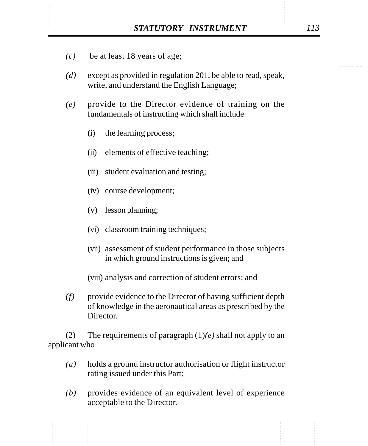- *(c)* be at least 18 years of age;
- *(d)* except as provided in regulation 201, be able to read, speak, write, and understand the English Language;
- *(e)* provide to the Director evidence of training on the fundamentals of instructing which shall include
	- (i) the learning process;
	- (ii) elements of effective teaching;
	- (iii) student evaluation and testing;
	- (iv) course development;
	- (v) lesson planning;
	- (vi) classroom training techniques;
	- (vii) assessment of student performance in those subjects in which ground instructions is given; and
	- (viii) analysis and correction of student errors; and
- *(f)* provide evidence to the Director of having sufficient depth of knowledge in the aeronautical areas as prescribed by the Director.

(2) The requirements of paragraph (1)*(e)* shall not apply to an applicant who

- *(a)* holds a ground instructor authorisation or flight instructor rating issued under this Part;
- *(b)* provides evidence of an equivalent level of experience acceptable to the Director.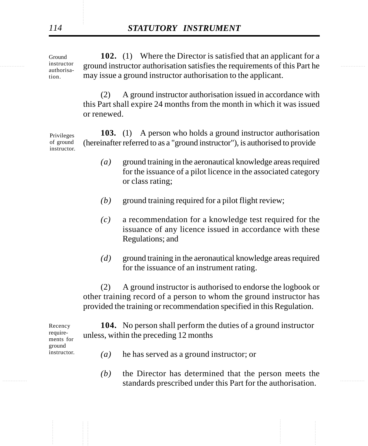instructor ground instructor authorisation satisfies the requirements of this Part he **102.** (1) Where the Director is satisfied that an applicant for a may issue a ground instructor authorisation to the applicant. Ground instructor authorisation.

> (2) A ground instructor authorisation issued in accordance with this Part shall expire 24 months from the month in which it was issued or renewed.

**103.** (1) A person who holds a ground instructor authorisation (hereinafter referred to as a "ground instructor"), is authorised to provide Privileges of ground instructor.

- *(a)* ground training in the aeronautical knowledge areas required for the issuance of a pilot licence in the associated category or class rating;
- *(b)* ground training required for a pilot flight review;
- *(c)* a recommendation for a knowledge test required for the issuance of any licence issued in accordance with these Regulations; and
- *(d)* ground training in the aeronautical knowledge areas required for the issuance of an instrument rating.

(2) A ground instructor is authorised to endorse the logbook or other training record of a person to whom the ground instructor has provided the training or recommendation specified in this Regulation.

**104.** No person shall perform the duties of a ground instructor unless, within the preceding 12 months

Recency requirements for ground instructor.

- *(a)* he has served as a ground instructor; or
- **Example 2.1.** Standards prescribed under this Part for the authorisation. *(b)* the Director has determined that the person meets the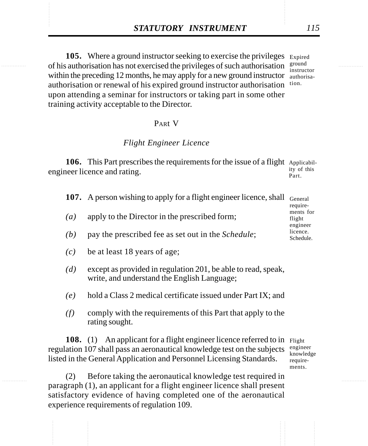**STATUTORY INSTRUMENT** 115<br> **105.** Where a ground instructor seeking to exercise the privileges Expired of his authorisation has not exercised the privileges of such authorisation  $\frac{\text{ground}}{\text{ground}}$ 105. Where a ground instructor seeking to exercise the privileges Expired of his authorisation has not exercised the privileges of such authorisation  $\frac{\text{ground}}{\text{interval}}$ within the preceding 12 months, he may apply for a new ground instructor authorisaauthorisation or renewal of his expired ground instructor authorisation tion. upon attending a seminar for instructors or taking part in some other training activity acceptable to the Director.

instructor

#### PARt V

#### *Flight Engineer Licence*

106. This Part prescribes the requirements for the issue of a flight Applicabilengineer licence and rating. ity of this Part.

|                   | <b>107.</b> A person wishing to apply for a flight engineer licence, shall General | require-                        |
|-------------------|------------------------------------------------------------------------------------|---------------------------------|
| $\left( a\right)$ | apply to the Director in the prescribed form;                                      | ments for<br>flight<br>engineer |
| (b)               | pay the prescribed fee as set out in the <i>Schedule</i> ;                         | licence.<br>Schedule.           |

- *(c)* be at least 18 years of age;
- *(d)* except as provided in regulation 201, be able to read, speak, write, and understand the English Language;
- *(e)* hold a Class 2 medical certificate issued under Part IX; and
- *(f)* comply with the requirements of this Part that apply to the rating sought.

108. (1) An applicant for a flight engineer licence referred to in Flight regulation 107 shall pass an aeronautical knowledge test on the subjects listed in the General Application and Personnel Licensing Standards.

engineer knowledge requirements.

(2) Before taking the aeronautical knowledge test required in paragraph (1), an applicant for a flight engineer licence shall present satisfactory evidence of having completed one of the aeronautical experience requirements of regulation 109.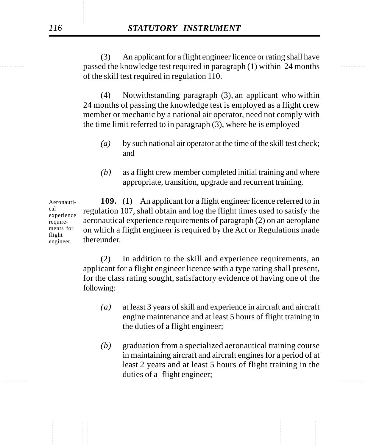**Example 12** passed the knowledge test required in paragraph (1) within 24 months (3) An applicant for a flight engineer licence or rating shall have of the skill test required in regulation 110.

> (4) Notwithstanding paragraph (3), an applicant who within 24 months of passing the knowledge test is employed as a flight crew member or mechanic by a national air operator, need not comply with the time limit referred to in paragraph (3), where he is employed

- *(a)* by such national air operator at the time of the skill test check; and
- *(b)* as a flight crew member completed initial training and where appropriate, transition, upgrade and recurrent training.

**109.** (1) An applicant for a flight engineer licence referred to in regulation 107, shall obtain and log the flight times used to satisfy the aeronautical experience requirements of paragraph (2) on an aeroplane on which a flight engineer is required by the Act or Regulations made thereunder. Aeronautical experience requirements for flight engineer.

> (2) In addition to the skill and experience requirements, an applicant for a flight engineer licence with a type rating shall present, for the class rating sought, satisfactory evidence of having one of the following:

- *(a)* at least 3 years of skill and experience in aircraft and aircraft engine maintenance and at least 5 hours of flight training in the duties of a flight engineer;
- ............... ............... *(b)* graduation from a specialized aeronautical training course in maintaining aircraft and aircraft engines for a period of at least 2 years and at least 5 hours of flight training in the duties of a flight engineer;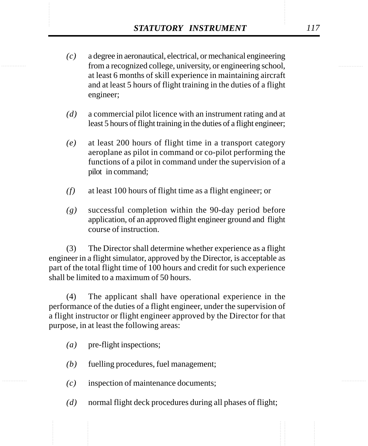- *STATUTORY INSTRUMENT* 117<br>
(c) a degree in aeronautical, electrical, or mechanical engineering<br>
from a recognized college, university, or engineering school. *(c)* a degree in aeronautical, electrical, or mechanical engineering from a recognized college, university, or engineering school, at least 6 months of skill experience in maintaining aircraft and at least 5 hours of flight training in the duties of a flight engineer;
	- *(d)* a commercial pilot licence with an instrument rating and at least 5 hours of flight training in the duties of a flight engineer;
	- *(e)* at least 200 hours of flight time in a transport category aeroplane as pilot in command or co-pilot performing the functions of a pilot in command under the supervision of a pilot in command;
	- *(f)* at least 100 hours of flight time as a flight engineer; or
	- *(g)* successful completion within the 90-day period before application, of an approved flight engineer ground and flight course of instruction.

(3) The Director shall determine whether experience as a flight engineer in a flight simulator, approved by the Director, is acceptable as part of the total flight time of 100 hours and credit for such experience shall be limited to a maximum of 50 hours.

(4) The applicant shall have operational experience in the performance of the duties of a flight engineer, under the supervision of a flight instructor or flight engineer approved by the Director for that purpose, in at least the following areas:

- *(a)* pre-flight inspections;
- *(b)* fuelling procedures, fuel management;
- *(c)* inspection of maintenance documents;
- *(d)* normal flight deck procedures during all phases of flight;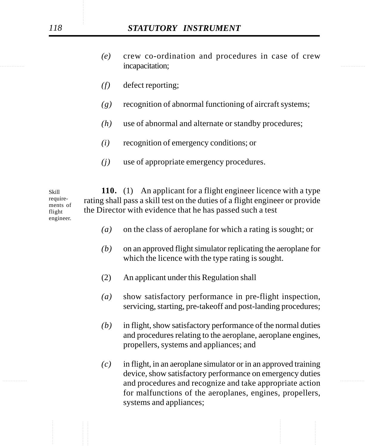- incapacitation; *(e)* crew co-ordination and procedures in case of crew
	- *(f)* defect reporting;
	- *(g)* recognition of abnormal functioning of aircraft systems;
	- *(h)* use of abnormal and alternate or standby procedures;
	- *(i)* recognition of emergency conditions; or
	- *(j)* use of appropriate emergency procedures.

**110.** (1) An applicant for a flight engineer licence with a type rating shall pass a skill test on the duties of a flight engineer or provide the Director with evidence that he has passed such a test Skill requirements of flight engineer.

- *(a)* on the class of aeroplane for which a rating is sought; or
- *(b)* on an approved flight simulator replicating the aeroplane for which the licence with the type rating is sought.
- (2) An applicant under this Regulation shall
- *(a)* show satisfactory performance in pre-flight inspection, servicing, starting, pre-takeoff and post-landing procedures;
- *(b)* in flight, show satisfactory performance of the normal duties and procedures relating to the aeroplane, aeroplane engines, propellers, systems and appliances; and
- ............... ............... and procedures and recognize and take appropriate action *(c)* in flight, in an aeroplane simulator or in an approved training device, show satisfactory performance on emergency duties for malfunctions of the aeroplanes, engines, propellers, systems and appliances;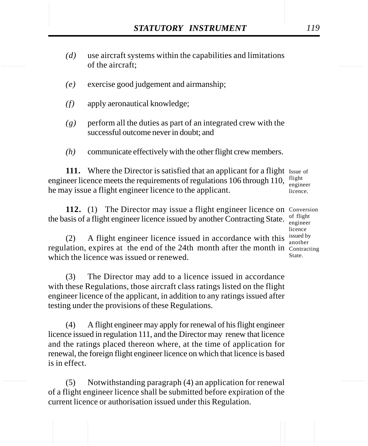- STATUTORY INSTRUMENT 119<br>
(d) use aircraft systems within the capabilities and limitations<br>
of the aircraft; *(d)* use aircraft systems within the capabilities and limitations of the aircraft;
	- *(e)* exercise good judgement and airmanship;
	- *(f)* apply aeronautical knowledge;
	- *(g)* perform all the duties as part of an integrated crew with the successful outcome never in doubt; and
	- *(h)* communicate effectively with the other flight crew members.

111. Where the Director is satisfied that an applicant for a flight Issue of engineer licence meets the requirements of regulations 106 through 110,  $\frac{flight}{\text{again}}$ he may issue a flight engineer licence to the applicant. engineer licence.

112. (1) The Director may issue a flight engineer licence on Conversion the basis of a flight engineer licence issued by another Contracting State.

(2) A flight engineer licence issued in accordance with this  $\frac{\text{isued by}}{\text{another}}$ regulation, expires at the end of the 24th month after the month in Contracting which the licence was issued or renewed.

(3) The Director may add to a licence issued in accordance with these Regulations, those aircraft class ratings listed on the flight engineer licence of the applicant, in addition to any ratings issued after testing under the provisions of these Regulations.

(4) A flight engineer may apply for renewal of his flight engineer licence issued in regulation 111, and the Director may renew that licence and the ratings placed thereon where, at the time of application for renewal, the foreign flight engineer licence on which that licence is based is in effect.

(5) Notwithstanding paragraph (4) an application for renewal of a flight engineer licence shall be submitted before expiration of the current licence or authorisation issued under this Regulation.

of flight engineer licence another State.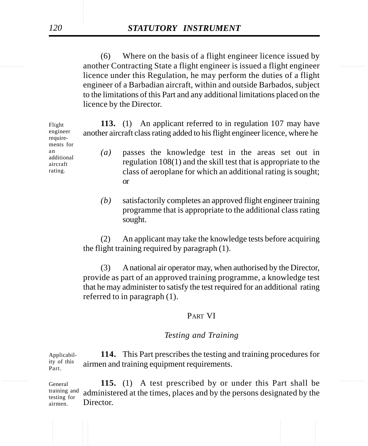another Contracting State a flight engineer is issued a flight engineer (6) Where on the basis of a flight engineer licence issued by licence under this Regulation, he may perform the duties of a flight engineer of a Barbadian aircraft, within and outside Barbados, subject to the limitations of this Part and any additional limitations placed on the licence by the Director.

> **113.** (1) An applicant referred to in regulation 107 may have another aircraft class rating added to his flight engineer licence, where he *(a)* passes the knowledge test in the areas set out in regulation 108(1) and the skill test that is appropriate to the class of aeroplane for which an additional rating is sought; or Flight engineer requirements for an additional aircraft rating.

> > *(b)* satisfactorily completes an approved flight engineer training programme that is appropriate to the additional class rating sought.

(2) An applicant may take the knowledge tests before acquiring the flight training required by paragraph (1).

(3) A national air operator may, when authorised by the Director, provide as part of an approved training programme, a knowledge test that he may administer to satisfy the test required for an additional rating referred to in paragraph (1).

### PART VI

## *Testing and Training*

**114.** This Part prescribes the testing and training procedures for airmen and training equipment requirements. Applicability of this Part.

General **115.** (1) A test prescribed by or under this Part shall be administered at the times, places and by the persons designated by the Director. General training and testing for airmen.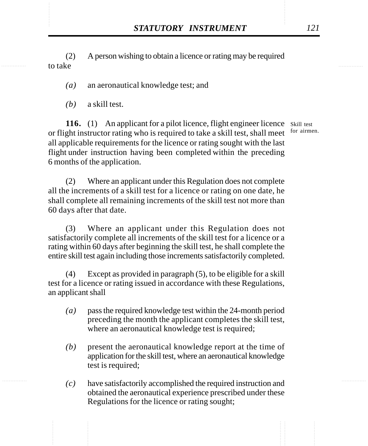STATUTORY INSTRUMENT 121<br>
(2) A person wishing to obtain a licence or rating may be required<br>
to take (2) A person wishing to obtain a licence or rating may be required to take

*(a)* an aeronautical knowledge test; and

*(b)* a skill test.

116. (1) An applicant for a pilot licence, flight engineer licence Skill test or flight instructor rating who is required to take a skill test, shall meet for airmen. all applicable requirements for the licence or rating sought with the last flight under instruction having been completed within the preceding 6 months of the application.

(2) Where an applicant under this Regulation does not complete all the increments of a skill test for a licence or rating on one date, he shall complete all remaining increments of the skill test not more than 60 days after that date.

(3) Where an applicant under this Regulation does not satisfactorily complete all increments of the skill test for a licence or a rating within 60 days after beginning the skill test, he shall complete the entire skill test again including those increments satisfactorily completed.

(4) Except as provided in paragraph (5), to be eligible for a skill test for a licence or rating issued in accordance with these Regulations, an applicant shall

- *(a)* pass the required knowledge test within the 24-month period preceding the month the applicant completes the skill test, where an aeronautical knowledge test is required;
- *(b)* present the aeronautical knowledge report at the time of application for the skill test, where an aeronautical knowledge test is required;
- *(c)* have satisfactorily accomplished the required instruction and obtained the aeronautical experience prescribed under these Regulations for the licence or rating sought;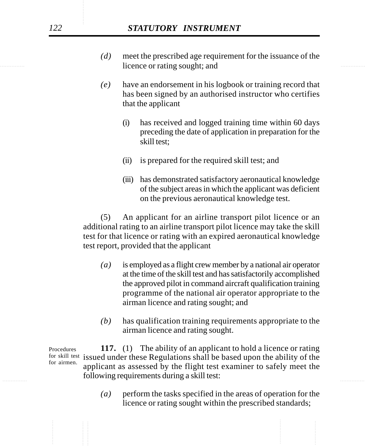- licence or rating sought; and the same sought is a set of the set of the set of the set of the set of the set of the set of the set of the set of the set of the set of the set of the set of the set of the set of the set of *(d)* meet the prescribed age requirement for the issuance of the
	- *(e)* have an endorsement in his logbook or training record that has been signed by an authorised instructor who certifies that the applicant
		- (i) has received and logged training time within 60 days preceding the date of application in preparation for the skill test;
		- (ii) is prepared for the required skill test; and
		- (iii) has demonstrated satisfactory aeronautical knowledge of the subject areas in which the applicant was deficient on the previous aeronautical knowledge test.

(5) An applicant for an airline transport pilot licence or an additional rating to an airline transport pilot licence may take the skill test for that licence or rating with an expired aeronautical knowledge test report, provided that the applicant

- *(a)* is employed as a flight crew member by a national air operator at the time of the skill test and has satisfactorily accomplished the approved pilot in command aircraft qualification training programme of the national air operator appropriate to the airman licence and rating sought; and
- *(b)* has qualification training requirements appropriate to the airman licence and rating sought.

following requirements during a skill test: **117.** (1) The ability of an applicant to hold a licence or rating for skill test issued under these Regulations shall be based upon the ability of the applicant as assessed by the flight test examiner to safely meet the Procedures for airmen.

> *(a)* perform the tasks specified in the areas of operation for the licence or rating sought within the prescribed standards;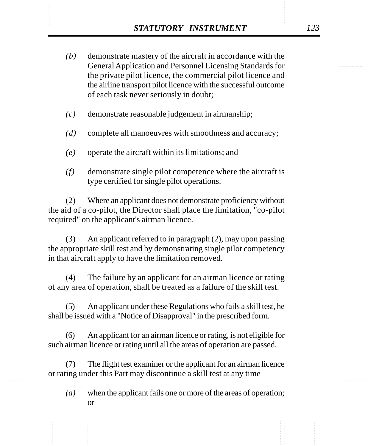- **STATUTORY INSTRUMENT** 123<br>
(b) demonstrate mastery of the aircraft in accordance with the General Application and Personnel Licensing Standards for *(b)* demonstrate mastery of the aircraft in accordance with the General Application and Personnel Licensing Standards for the private pilot licence, the commercial pilot licence and the airline transport pilot licence with the successful outcome of each task never seriously in doubt;
	- *(c)* demonstrate reasonable judgement in airmanship;
	- *(d)* complete all manoeuvres with smoothness and accuracy;
	- *(e)* operate the aircraft within its limitations; and
	- *(f)* demonstrate single pilot competence where the aircraft is type certified for single pilot operations.

(2) Where an applicant does not demonstrate proficiency without the aid of a co-pilot, the Director shall place the limitation, "co-pilot required" on the applicant's airman licence.

(3) An applicant referred to in paragraph (2), may upon passing the appropriate skill test and by demonstrating single pilot competency in that aircraft apply to have the limitation removed.

(4) The failure by an applicant for an airman licence or rating of any area of operation, shall be treated as a failure of the skill test.

(5) An applicant under these Regulations who fails a skill test, he shall be issued with a "Notice of Disapproval" in the prescribed form.

(6) An applicant for an airman licence or rating, is not eligible for such airman licence or rating until all the areas of operation are passed.

(7) The flight test examiner or the applicant for an airman licence or rating under this Part may discontinue a skill test at any time

*(a)* when the applicant fails one or more of the areas of operation; or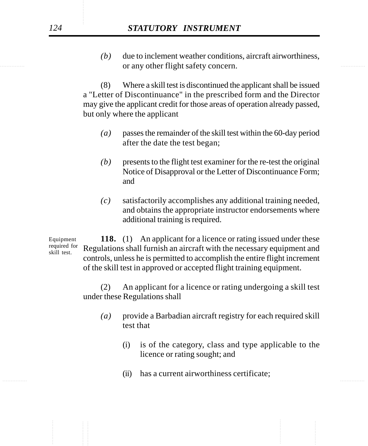or any other flight safety concern. *(b)* due to inclement weather conditions, aircraft airworthiness,

> (8) Where a skill test is discontinued the applicant shall be issued a "Letter of Discontinuance" in the prescribed form and the Director may give the applicant credit for those areas of operation already passed, but only where the applicant

- *(a)* passes the remainder of the skill test within the 60-day period after the date the test began;
- *(b)* presents to the flight test examiner for the re-test the original Notice of Disapproval or the Letter of Discontinuance Form; and
- *(c)* satisfactorily accomplishes any additional training needed, and obtains the appropriate instructor endorsements where additional training is required.

**118.** (1) An applicant for a licence or rating issued under these Regulations shall furnish an aircraft with the necessary equipment and controls, unless he is permitted to accomplish the entire flight increment of the skill test in approved or accepted flight training equipment. Equipment required for skill test.

> (2) An applicant for a licence or rating undergoing a skill test under these Regulations shall

- *(a)* provide a Barbadian aircraft registry for each required skill test that
	- (i) is of the category, class and type applicable to the licence or rating sought; and
- ............... ............... (ii) has a current airworthiness certificate;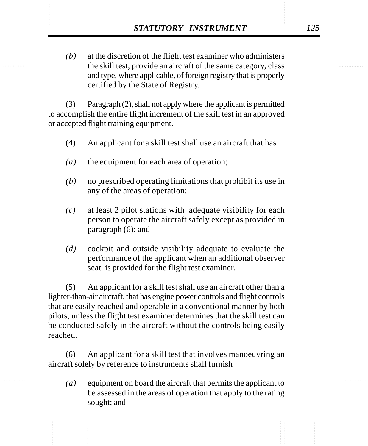**STATUTORY INSTRUMENT** 125<br>
(b) at the discretion of the flight test examiner who administers<br>
the skill test, provide an aircraft of the same category, class *(b)* at the discretion of the flight test examiner who administers the skill test, provide an aircraft of the same category, class and type, where applicable, of foreign registry that is properly certified by the State of Registry.

> (3) Paragraph (2), shall not apply where the applicant is permitted to accomplish the entire flight increment of the skill test in an approved or accepted flight training equipment.

- (4) An applicant for a skill test shall use an aircraft that has
- *(a)* the equipment for each area of operation;
- *(b)* no prescribed operating limitations that prohibit its use in any of the areas of operation;
- *(c)* at least 2 pilot stations with adequate visibility for each person to operate the aircraft safely except as provided in paragraph (6); and
- *(d)* cockpit and outside visibility adequate to evaluate the performance of the applicant when an additional observer seat is provided for the flight test examiner.

(5) An applicant for a skill test shall use an aircraft other than a lighter-than-air aircraft, that has engine power controls and flight controls that are easily reached and operable in a conventional manner by both pilots, unless the flight test examiner determines that the skill test can be conducted safely in the aircraft without the controls being easily reached.

(6) An applicant for a skill test that involves manoeuvring an aircraft solely by reference to instruments shall furnish

*(a)* equipment on board the aircraft that permits the applicant to be assessed in the areas of operation that apply to the rating sought; and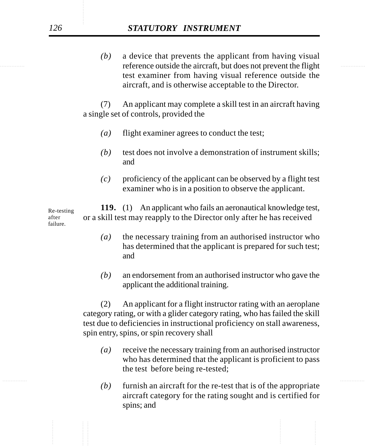# *126 STATUTORY INSTRUMENT*

reference outside the aircraft, but does not prevent the flight *(b)* a device that prevents the applicant from having visual test examiner from having visual reference outside the aircraft, and is otherwise acceptable to the Director.

> (7) An applicant may complete a skill test in an aircraft having a single set of controls, provided the

- *(a)* flight examiner agrees to conduct the test;
- *(b)* test does not involve a demonstration of instrument skills; and
- *(c)* proficiency of the applicant can be observed by a flight test examiner who is in a position to observe the applicant.

**119.** (1) An applicant who fails an aeronautical knowledge test, or a skill test may reapply to the Director only after he has received Re-testing after failure.

- *(a)* the necessary training from an authorised instructor who has determined that the applicant is prepared for such test; and
- *(b)* an endorsement from an authorised instructor who gave the applicant the additional training.

(2) An applicant for a flight instructor rating with an aeroplane category rating, or with a glider category rating, who has failed the skill test due to deficiencies in instructional proficiency on stall awareness, spin entry, spins, or spin recovery shall

- *(a)* receive the necessary training from an authorised instructor who has determined that the applicant is proficient to pass the test before being re-tested;
- *(b)* furnish an aircraft for the re-test that is of the appropriate aircraft category for the rating sought and is certified for spins; and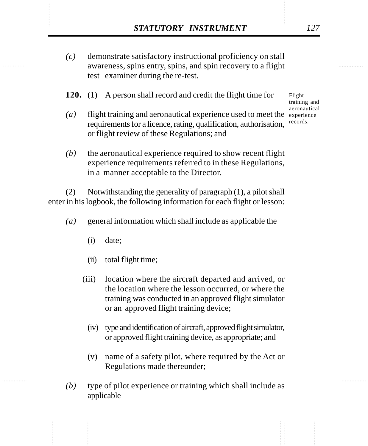- STATUTORY INSTRUMENT 127<br>
(c) demonstrate satisfactory instructional proficiency on stall<br>
awareness. spins entry, spins, and spin recovery to a flight *(c)* demonstrate satisfactory instructional proficiency on stall awareness, spins entry, spins, and spin recovery to a flight test examiner during the re-test.
	- **120.** (1) A person shall record and credit the flight time for
	- (a) flight training and aeronautical experience used to meet the experience requirements for a licence, rating, qualification, authorisation, or flight review of these Regulations; and

Flight training and aeronautical records.

*(b)* the aeronautical experience required to show recent flight experience requirements referred to in these Regulations, in a manner acceptable to the Director.

(2) Notwithstanding the generality of paragraph (1), a pilot shall enter in his logbook, the following information for each flight or lesson:

- *(a)* general information which shall include as applicable the
	- (i) date;
	- (ii) total flight time;
	- (iii) location where the aircraft departed and arrived, or the location where the lesson occurred, or where the training was conducted in an approved flight simulator or an approved flight training device;
		- (iv) type and identification of aircraft, approved flight simulator, or approved flight training device, as appropriate; and
		- (v) name of a safety pilot, where required by the Act or Regulations made thereunder;
- *(b)* type of pilot experience or training which shall include as applicable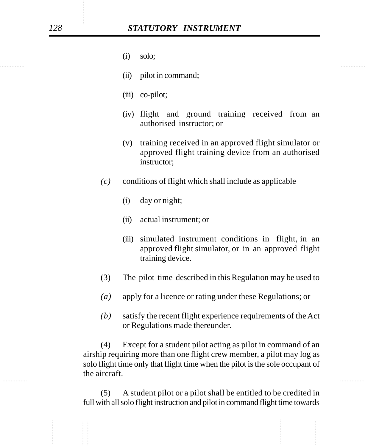- (i) solo;
- (ii) pilot in command;
- (iii) co-pilot;
- (iv) flight and ground training received from an authorised instructor; or
- (v) training received in an approved flight simulator or approved flight training device from an authorised instructor;
- $(c)$  conditions of flight which shall include as applicable
	- (i) day or night;
	- (ii) actual instrument; or
	- (iii) simulated instrument conditions in flight, in an approved flight simulator, or in an approved flight training device.
- (3) The pilot time described in this Regulation may be used to
- *(a)* apply for a licence or rating under these Regulations; or
- *(b)* satisfy the recent flight experience requirements of the Act or Regulations made thereunder.

(4) Except for a student pilot acting as pilot in command of an airship requiring more than one flight crew member, a pilot may log as solo flight time only that flight time when the pilot is the sole occupant of the aircraft.

(5) A student pilot or a pilot shall be entitled to be credited in full with all solo flight instruction and pilot in command flight time towards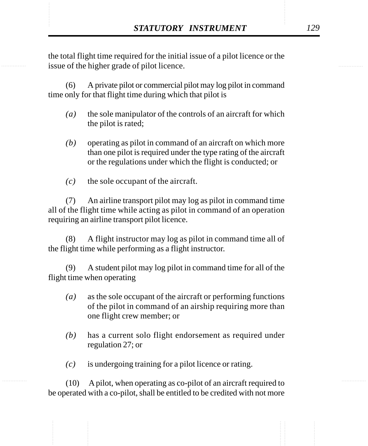**STATUTORY INSTRUMENT** 129<br>the total flight time required for the initial issue of a pilot licence or the<br>issue of the higher grade of pilot licence. the total flight time required for the initial issue of a pilot licence or the issue of the higher grade of pilot licence.

> (6) A private pilot or commercial pilot may log pilot in command time only for that flight time during which that pilot is

- *(a)* the sole manipulator of the controls of an aircraft for which the pilot is rated;
- *(b)* operating as pilot in command of an aircraft on which more than one pilot is required under the type rating of the aircraft or the regulations under which the flight is conducted; or
- *(c)* the sole occupant of the aircraft.

(7) An airline transport pilot may log as pilot in command time all of the flight time while acting as pilot in command of an operation requiring an airline transport pilot licence.

(8) A flight instructor may log as pilot in command time all of the flight time while performing as a flight instructor.

(9) A student pilot may log pilot in command time for all of the flight time when operating

- *(a)* as the sole occupant of the aircraft or performing functions of the pilot in command of an airship requiring more than one flight crew member; or
- *(b)* has a current solo flight endorsement as required under regulation 27; or
- *(c)* is undergoing training for a pilot licence or rating.

(10) A pilot, when operating as co-pilot of an aircraft required to be operated with a co-pilot, shall be entitled to be credited with not more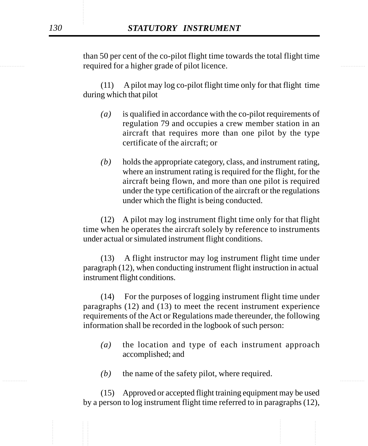required for a higher grade of pilot licence. than 50 per cent of the co-pilot flight time towards the total flight time

> (11) A pilot may log co-pilot flight time only for that flight time during which that pilot

- *(a)* is qualified in accordance with the co-pilot requirements of regulation 79 and occupies a crew member station in an aircraft that requires more than one pilot by the type certificate of the aircraft; or
- *(b)* holds the appropriate category, class, and instrument rating, where an instrument rating is required for the flight, for the aircraft being flown, and more than one pilot is required under the type certification of the aircraft or the regulations under which the flight is being conducted.

(12) A pilot may log instrument flight time only for that flight time when he operates the aircraft solely by reference to instruments under actual or simulated instrument flight conditions.

(13) A flight instructor may log instrument flight time under paragraph (12), when conducting instrument flight instruction in actual instrument flight conditions.

(14) For the purposes of logging instrument flight time under paragraphs (12) and (13) to meet the recent instrument experience requirements of the Act or Regulations made thereunder, the following information shall be recorded in the logbook of such person:

- *(a)* the location and type of each instrument approach accomplished; and
- ............... ............... *(b)* the name of the safety pilot, where required.

(15) Approved or accepted flight training equipment may be used by a person to log instrument flight time referred to in paragraphs (12),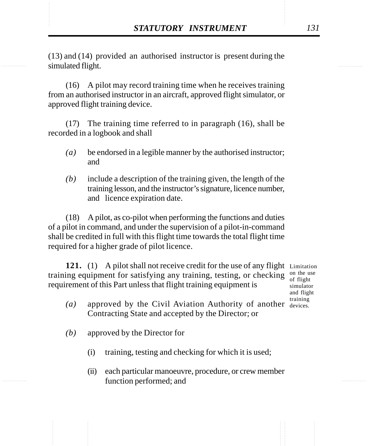**STATUTORY INSTRUMENT** 131<br>(13) and (14) provided an authorised instructor is present during the simulated flight. (13) and (14) provided an authorised instructor is present during the simulated flight.

> (16) A pilot may record training time when he receives training from an authorised instructor in an aircraft, approved flight simulator, or approved flight training device.

> (17) The training time referred to in paragraph (16), shall be recorded in a logbook and shall

- *(a)* be endorsed in a legible manner by the authorised instructor; and
- *(b)* include a description of the training given, the length of the training lesson, and the instructor's signature, licence number, and licence expiration date.

(18) A pilot, as co-pilot when performing the functions and duties of a pilot in command, and under the supervision of a pilot-in-command shall be credited in full with this flight time towards the total flight time required for a higher grade of pilot licence.

121. (1) A pilot shall not receive credit for the use of any flight Limitation training equipment for satisfying any training, testing, or checking  $\frac{0}{\text{ of flight}}$ requirement of this Part unless that flight training equipment is

of flight simulator and flight training

- (a) approved by the Civil Aviation Authority of another devices. Contracting State and accepted by the Director; or
- *(b)* approved by the Director for
	- (i) training, testing and checking for which it is used;
	- (ii) each particular manoeuvre, procedure, or crew member function performed; and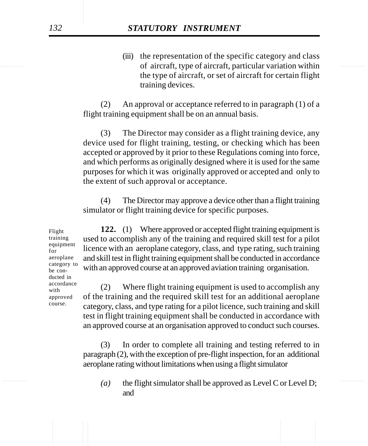of aircraft, type of aircraft, particular variation within (iii) the representation of the specific category and class the type of aircraft, or set of aircraft for certain flight training devices.

> (2) An approval or acceptance referred to in paragraph (1) of a flight training equipment shall be on an annual basis.

> (3) The Director may consider as a flight training device, any device used for flight training, testing, or checking which has been accepted or approved by it prior to these Regulations coming into force, and which performs as originally designed where it is used for the same purposes for which it was originally approved or accepted and only to the extent of such approval or acceptance.

> (4) The Director may approve a device other than a flight training simulator or flight training device for specific purposes.

**122.** (1) Where approved or accepted flight training equipment is used to accomplish any of the training and required skill test for a pilot licence with an aeroplane category, class, and type rating, such training and skill test in flight training equipment shall be conducted in accordance with an approved course at an approved aviation training organisation.

(2) Where flight training equipment is used to accomplish any of the training and the required skill test for an additional aeroplane category, class, and type rating for a pilot licence, such training and skill test in flight training equipment shall be conducted in accordance with an approved course at an organisation approved to conduct such courses.

(3) In order to complete all training and testing referred to in paragraph (2), with the exception of pre-flight inspection, for an additional aeroplane rating without limitations when using a flight simulator

............... ............... *(a)* the flight simulator shall be approved as Level C or Level D; and

Flight training equipment for aeroplane category to be conducted in accordance with approved course.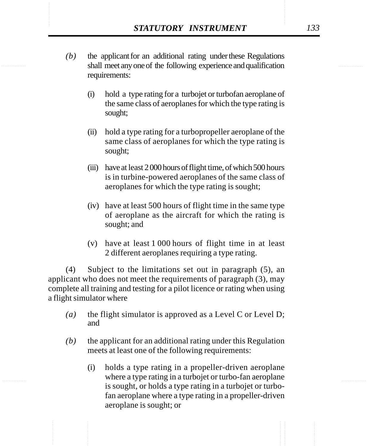- **STATUTORY INSTRUMENT** 133<br>(b) the applicant for an additional rating under these Regulations shall meet any one of the following experience and qualification *(b)* the applicant for an additional rating under these Regulations shall meet any one of the following experience and qualification requirements:
	- (i) hold a type rating for a turbojet or turbofan aeroplane of the same class of aeroplanes for which the type rating is sought;
	- (ii) hold a type rating for a turbopropeller aeroplane of the same class of aeroplanes for which the type rating is sought;
	- (iii) have at least 2 000 hours of flight time, of which 500 hours is in turbine-powered aeroplanes of the same class of aeroplanes for which the type rating is sought;
	- (iv) have at least 500 hours of flight time in the same type of aeroplane as the aircraft for which the rating is sought; and
	- (v) have at least 1 000 hours of flight time in at least 2 different aeroplanes requiring a type rating.

(4) Subject to the limitations set out in paragraph (5), an applicant who does not meet the requirements of paragraph (3), may complete all training and testing for a pilot licence or rating when using a flight simulator where

- *(a)* the flight simulator is approved as a Level C or Level D; and
- *(b)* the applicant for an additional rating under this Regulation meets at least one of the following requirements:
	- (i) holds a type rating in a propeller-driven aeroplane where a type rating in a turbojet or turbo-fan aeroplane is sought, or holds a type rating in a turbojet or turbofan aeroplane where a type rating in a propeller-driven aeroplane is sought; or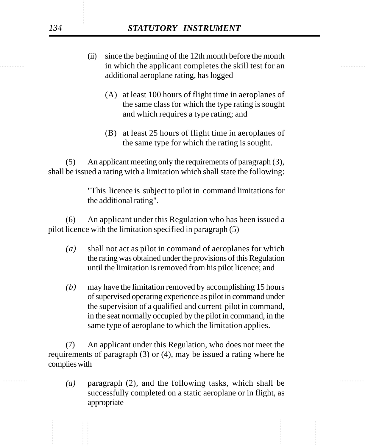# *134 STATUTORY INSTRUMENT*

- in which the applicant completes the skill test for an (ii) since the beginning of the 12th month before the month additional aeroplane rating, has logged
	- (A) at least 100 hours of flight time in aeroplanes of the same class for which the type rating is sought and which requires a type rating; and
	- (B) at least 25 hours of flight time in aeroplanes of the same type for which the rating is sought.

(5) An applicant meeting only the requirements of paragraph (3), shall be issued a rating with a limitation which shall state the following:

> "This licence is subject to pilot in command limitations for the additional rating".

(6) An applicant under this Regulation who has been issued a pilot licence with the limitation specified in paragraph (5)

- *(a)* shall not act as pilot in command of aeroplanes for which the rating was obtained under the provisions of this Regulation until the limitation is removed from his pilot licence; and
- *(b)* may have the limitation removed by accomplishing 15 hours of supervised operating experience as pilot in command under the supervision of a qualified and current pilot in command, in the seat normally occupied by the pilot in command, in the same type of aeroplane to which the limitation applies.

(7) An applicant under this Regulation, who does not meet the requirements of paragraph (3) or (4), may be issued a rating where he complies with

(a) paragraph (2), and the following tasks, which shall be successfully completed on a static aeroplane or in flight, as appropriate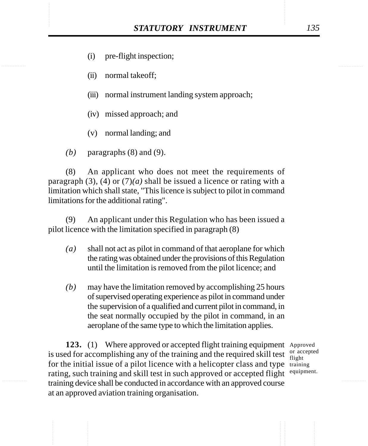- (i) pre-flight inspection;
- (ii) normal takeoff;
- (iii) normal instrument landing system approach;
- (iv) missed approach; and
- (v) normal landing; and
- *(b)* paragraphs (8) and (9).

(8) An applicant who does not meet the requirements of paragraph (3), (4) or  $(7)(a)$  shall be issued a licence or rating with a limitation which shall state, "This licence is subject to pilot in command limitations for the additional rating".

(9) An applicant under this Regulation who has been issued a pilot licence with the limitation specified in paragraph (8)

- *(a)* shall not act as pilot in command of that aeroplane for which the rating was obtained under the provisions of this Regulation until the limitation is removed from the pilot licence; and
- *(b)* may have the limitation removed by accomplishing 25 hours of supervised operating experience as pilot in command under the supervision of a qualified and current pilot in command, in the seat normally occupied by the pilot in command, in an aeroplane of the same type to which the limitation applies.

123. (1) Where approved or accepted flight training equipment Approved is used for accomplishing any of the training and the required skill test  $\frac{or\ acceted}{flioth}$ for the initial issue of a pilot licence with a helicopter class and type training rating, such training and skill test in such approved or accepted flight <sup>equipment.</sup> training device shall be conducted in accordance with an approved course at an approved aviation training organisation.

flight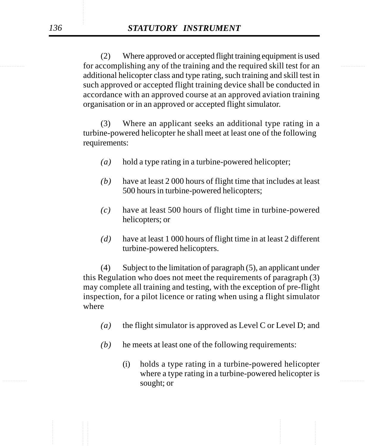for accomplishing any of the training and the required skill test for an (2) Where approved or accepted flight training equipment is used additional helicopter class and type rating, such training and skill test in such approved or accepted flight training device shall be conducted in accordance with an approved course at an approved aviation training organisation or in an approved or accepted flight simulator.

> (3) Where an applicant seeks an additional type rating in a turbine-powered helicopter he shall meet at least one of the following requirements:

- *(a)* hold a type rating in a turbine-powered helicopter;
- *(b)* have at least 2 000 hours of flight time that includes at least 500 hours in turbine-powered helicopters;
- *(c)* have at least 500 hours of flight time in turbine-powered helicopters; or
- *(d)* have at least 1 000 hours of flight time in at least 2 different turbine-powered helicopters.

(4) Subject to the limitation of paragraph (5), an applicant under this Regulation who does not meet the requirements of paragraph (3) may complete all training and testing, with the exception of pre-flight inspection, for a pilot licence or rating when using a flight simulator where

- *(a)* the flight simulator is approved as Level C or Level D; and
- *(b)* he meets at least one of the following requirements:
- ............... ............... (i) holds a type rating in a turbine-powered helicopter where a type rating in a turbine-powered helicopter is sought; or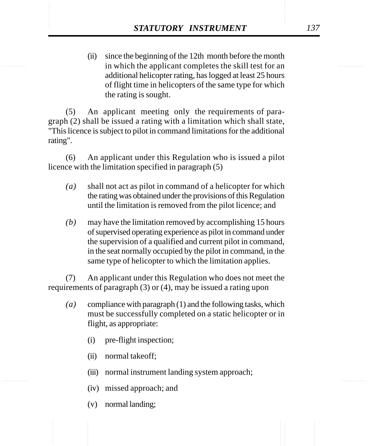**STATUTORY INSTRUMENT** 137<br>
(ii) since the beginning of the 12th month before the month<br>
in which the applicant completes the skill test for an (ii) since the beginning of the 12th month before the month in which the applicant completes the skill test for an additional helicopter rating, has logged at least 25 hours of flight time in helicopters of the same type for which the rating is sought.

> (5) An applicant meeting only the requirements of paragraph (2) shall be issued a rating with a limitation which shall state, "This licence is subject to pilot in command limitations for the additional rating".

> (6) An applicant under this Regulation who is issued a pilot licence with the limitation specified in paragraph (5)

- *(a)* shall not act as pilot in command of a helicopter for which the rating was obtained under the provisions of this Regulation until the limitation is removed from the pilot licence; and
- *(b)* may have the limitation removed by accomplishing 15 hours of supervised operating experience as pilot in command under the supervision of a qualified and current pilot in command, in the seat normally occupied by the pilot in command, in the same type of helicopter to which the limitation applies.

(7) An applicant under this Regulation who does not meet the requirements of paragraph (3) or (4), may be issued a rating upon

- *(a)* compliance with paragraph (1) and the following tasks, which must be successfully completed on a static helicopter or in flight, as appropriate:
	- (i) pre-flight inspection;
	- (ii) normal takeoff;
	- (iii) normal instrument landing system approach;
	- (iv) missed approach; and
	- (v) normal landing;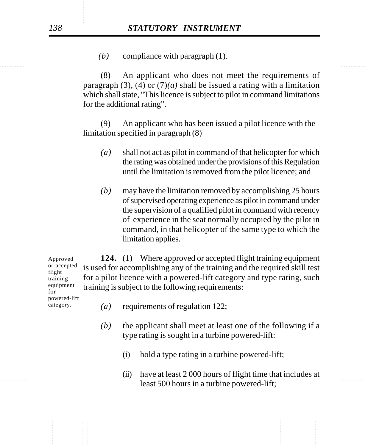*(b)* compliance with paragraph (1).

(8) An applicant who does not meet the requirements of paragraph (3), (4) or  $(7)(a)$  shall be issued a rating with a limitation which shall state, "This licence is subject to pilot in command limitations for the additional rating".

(9) An applicant who has been issued a pilot licence with the limitation specified in paragraph (8)

- *(a)* shall not act as pilot in command of that helicopter for which the rating was obtained under the provisions of this Regulation until the limitation is removed from the pilot licence; and
- *(b)* may have the limitation removed by accomplishing 25 hours of supervised operating experience as pilot in command under the supervision of a qualified pilot in command with recency of experience in the seat normally occupied by the pilot in command, in that helicopter of the same type to which the limitation applies.

**124.** (1) Where approved or accepted flight training equipment is used for accomplishing any of the training and the required skill test for a pilot licence with a powered-lift category and type rating, such training is subject to the following requirements: Approved or accepted flight training

equipment for powered-lift category.

- *(a)* requirements of regulation 122;
- *(b)* the applicant shall meet at least one of the following if a type rating is sought in a turbine powered-lift:
	- (i) hold a type rating in a turbine powered-lift;
- $\frac{1}{2}$ . The contracts of the set of the set of the set of the set of the set of the set of the set of the set of the set of the set of the set of the set of the set of the set of the set of the set of the set of the se (ii) have at least 2 000 hours of flight time that includes at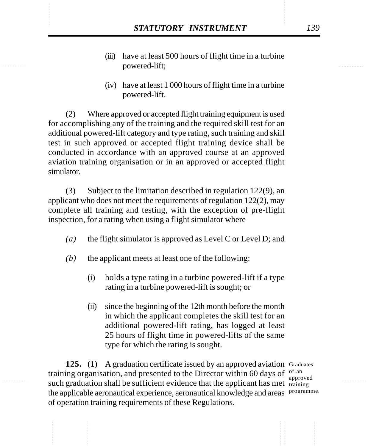- STATUTORY INSTRUMENT 139<br>
(iii) have at least 500 hours of flight time in a turbine<br>
powered-lift: (iii) have at least 500 hours of flight time in a turbine powered-lift;
	- (iv) have at least 1 000 hours of flight time in a turbine powered-lift.

(2) Where approved or accepted flight training equipment is used for accomplishing any of the training and the required skill test for an additional powered-lift category and type rating, such training and skill test in such approved or accepted flight training device shall be conducted in accordance with an approved course at an approved aviation training organisation or in an approved or accepted flight simulator.

(3) Subject to the limitation described in regulation 122(9), an applicant who does not meet the requirements of regulation 122(2), may complete all training and testing, with the exception of pre-flight inspection, for a rating when using a flight simulator where

- *(a)* the flight simulator is approved as Level C or Level D; and
- *(b)* the applicant meets at least one of the following:
	- (i) holds a type rating in a turbine powered-lift if a type rating in a turbine powered-lift is sought; or
	- (ii) since the beginning of the 12th month before the month in which the applicant completes the skill test for an additional powered-lift rating, has logged at least 25 hours of flight time in powered-lifts of the same type for which the rating is sought.

125. (1) A graduation certificate issued by an approved aviation Graduates training organisation, and presented to the Director within 60 days of  $\frac{1}{2}$ such graduation shall be sufficient evidence that the applicant has met training the applicable aeronautical experience, aeronautical knowledge and areas programme.of operation training requirements of these Regulations.

approved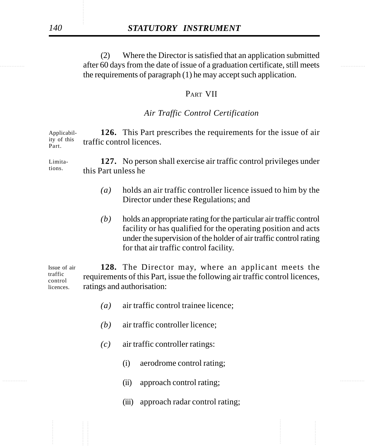after 60 days from the date of issue of a graduation certificate, still meets (2) Where the Director is satisfied that an application submitted the requirements of paragraph (1) he may accept such application.

### PART VII

## *Air Traffic Control Certification*

**126.** This Part prescribes the requirements for the issue of air traffic control licences. Applicability of this Part.

**127.** No person shall exercise air traffic control privileges under this Part unless he Limitations.

- *(a)* holds an air traffic controller licence issued to him by the Director under these Regulations; and
- *(b)* holds an appropriate rating for the particular air traffic control facility or has qualified for the operating position and acts under the supervision of the holder of air traffic control rating for that air traffic control facility.

**128.** The Director may, where an applicant meets the requirements of this Part, issue the following air traffic control licences, ratings and authorisation: Issue of air traffic control licences.

- *(a)* air traffic control trainee licence;
- *(b)* air traffic controller licence;
- *(c)* air traffic controller ratings:
	- (i) aerodrome control rating;
- ............... ............... (ii) approach control rating;
	- (iii) approach radar control rating;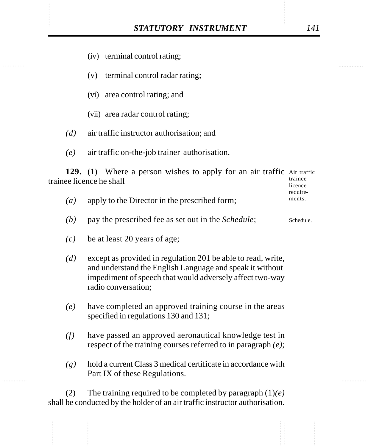- (iv) terminal control rating;
- (v) terminal control radar rating;
- (vi) area control rating; and
- (vii) area radar control rating;
- *(d)* air traffic instructor authorisation; and
- *(e)* air traffic on-the-job trainer authorisation.

129. (1) Where a person wishes to apply for an air traffic Air traffic trainee licence he shall trainee licence

|                   |                                               | require- |
|-------------------|-----------------------------------------------|----------|
| $\left( a\right)$ | apply to the Director in the prescribed form; | ments.   |

- *(b)* pay the prescribed fee as set out in the *Schedule*; Schedule.
- *(c)* be at least 20 years of age;
- *(d)* except as provided in regulation 201 be able to read, write, and understand the English Language and speak it without impediment of speech that would adversely affect two-way radio conversation;
- *(e)* have completed an approved training course in the areas specified in regulations 130 and 131;
- *(f)* have passed an approved aeronautical knowledge test in respect of the training courses referred to in paragraph *(e)*;
- *(g)* hold a current Class 3 medical certificate in accordance with Part IX of these Regulations.

(2) The training required to be completed by paragraph (1)*(e)* shall be conducted by the holder of an air traffic instructor authorisation.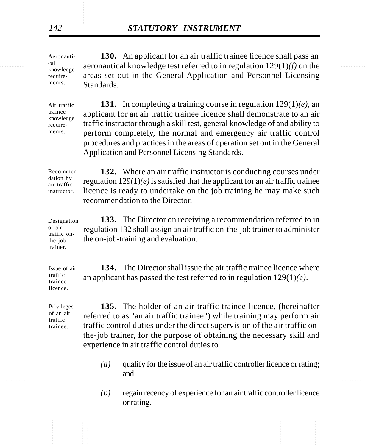$\frac{c}{k}$  aeronautical knowledge test referred to in regulation 129(1)*(f)* on the **130.** An applicant for an air traffic trainee licence shall pass an areas set out in the General Application and Personnel Licensing Standards. Aeronautiknowledge requirements.

> Air traffic trainee knowledge requirements.

**131.** In completing a training course in regulation 129(1)*(e)*, an applicant for an air traffic trainee licence shall demonstrate to an air traffic instructor through a skill test, general knowledge of and ability to perform completely, the normal and emergency air traffic control procedures and practices in the areas of operation set out in the General Application and Personnel Licensing Standards.

Recommendation by air traffic instructor.

**132.** Where an air traffic instructor is conducting courses under regulation 129(1)*(e)* is satisfied that the applicant for an air traffic trainee licence is ready to undertake on the job training he may make such recommendation to the Director.

**133.** The Director on receiving a recommendation referred to in regulation 132 shall assign an air traffic on-the-job trainer to administer the on-job-training and evaluation. Designation of air traffic onthe-job trainer.

**134.** The Director shall issue the air traffic trainee licence where an applicant has passed the test referred to in regulation 129(1)*(e)*. Issue of air

Privileges of an air traffic trainee.

traffic trainee licence.

> **135.** The holder of an air traffic trainee licence, (hereinafter referred to as "an air traffic trainee") while training may perform air traffic control duties under the direct supervision of the air traffic onthe-job trainer, for the purpose of obtaining the necessary skill and experience in air traffic control duties to

- *(a)* qualify for the issue of an air traffic controller licence or rating; and
- *(b)* regain recency of experience for an air traffic controller licence or rating.

cal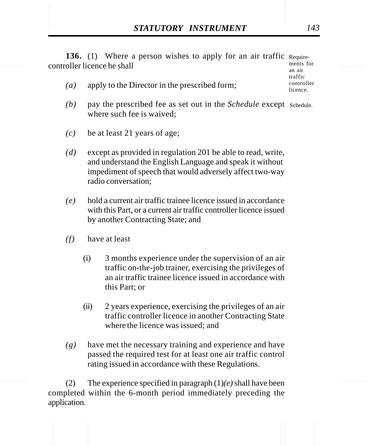**STATUTORY INSTRUMENT** 143<br> **136.** (1) Where a person wishes to apply for an air traffic Require-<br>
controller licence he shall **136.** (1) Where a person wishes to apply for an air traffic Requirecontroller licence he shall

- *(a)* apply to the Director in the prescribed form;
- (b) pay the prescribed fee as set out in the *Schedule* except schedule. where such fee is waived;
- *(c)* be at least 21 years of age;
- *(d)* except as provided in regulation 201 be able to read, write, and understand the English Language and speak it without impediment of speech that would adversely affect two-way radio conversation;
- *(e)* hold a current air traffic trainee licence issued in accordance with this Part, or a current air traffic controller licence issued by another Contracting State; and
- *(f)* have at least
	- (i) 3 months experience under the supervision of an air traffic on-the-job trainer, exercising the privileges of an air traffic trainee licence issued in accordance with this Part; or
	- (ii) 2 years experience, exercising the privileges of an air traffic controller licence in another Contracting State where the licence was issued; and
- *(g)* have met the necessary training and experience and have passed the required test for at least one air traffic control rating issued in accordance with these Regulations.

(2) The experience specified in paragraph (1)*(e)* shall have been completed within the 6-month period immediately preceding the application.

ments for an air traffic controller licence.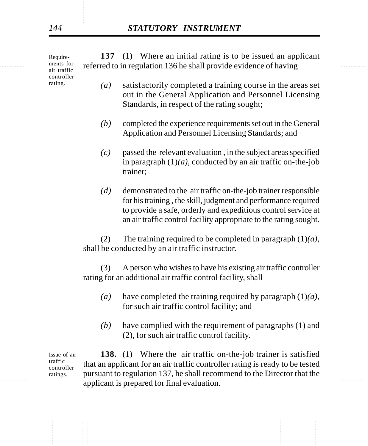ments for referred to in regulation 136 he shall provide evidence of having **137** (1) Where an initial rating is to be issued an applicant Requirements for air traffic controller rating.

- *(a)* satisfactorily completed a training course in the areas set out in the General Application and Personnel Licensing Standards, in respect of the rating sought;
- *(b)* completed the experience requirements set out in the General Application and Personnel Licensing Standards; and
- *(c)* passed the relevant evaluation , in the subject areas specified in paragraph  $(1)(a)$ , conducted by an air traffic on-the-job trainer;
- *(d)* demonstrated to the air traffic on-the-job trainer responsible for his training , the skill, judgment and performance required to provide a safe, orderly and expeditious control service at an air traffic control facility appropriate to the rating sought.

(2) The training required to be completed in paragraph (1)*(a)*, shall be conducted by an air traffic instructor.

(3) A person who wishes to have his existing air traffic controller rating for an additional air traffic control facility, shall

- *(a)* have completed the training required by paragraph (1)*(a)*, for such air traffic control facility; and
- *(b)* have complied with the requirement of paragraphs (1) and (2), for such air traffic control facility.

applicant is prepared for final evaluation. **138.** (1) Where the air traffic on-the-job trainer is satisfied that an applicant for an air traffic controller rating is ready to be tested pursuant to regulation 137, he shall recommend to the Director that the Issue of air traffic controller ratings.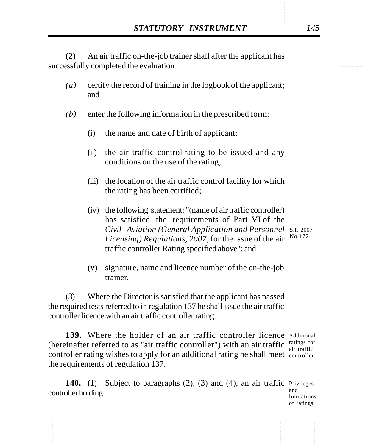**STATUTORY INSTRUMENT** 145<br>
(2) An air traffic on-the-job trainer shall after the applicant has<br>
successfully completed the evaluation (2) An air traffic on-the-job trainer shall after the applicant has successfully completed the evaluation

- *(a)* certify the record of training in the logbook of the applicant; and
- *(b)* enter the following information in the prescribed form:
	- (i) the name and date of birth of applicant;
	- (ii) the air traffic control rating to be issued and any conditions on the use of the rating;
	- (iii) the location of the air traffic control facility for which the rating has been certified;
	- (iv) the following statement: "(name of air traffic controller) has satisfied the requirements of Part VI of the *Civil Aviation (General Application and Personnel* S.I. 2007 Licensing) Regulations, 2007, for the issue of the air  $N0.172$ . traffic controller Rating specified above"; and
	- (v) signature, name and licence number of the on-the-job trainer.

(3) Where the Director is satisfied that the applicant has passed the required tests referred to in regulation 137 he shall issue the air traffic controller licence with an air traffic controller rating.

139. Where the holder of an air traffic controller licence Additional (hereinafter referred to as "air traffic controller") with an air traffic  $\frac{\text{ratings for}}{\text{air traffic}}$ controller rating wishes to apply for an additional rating he shall meet controller. the requirements of regulation 137. air traffic

140. (1) Subject to paragraphs (2), (3) and (4), an air traffic Privileges controller holding and

limitations of ratings.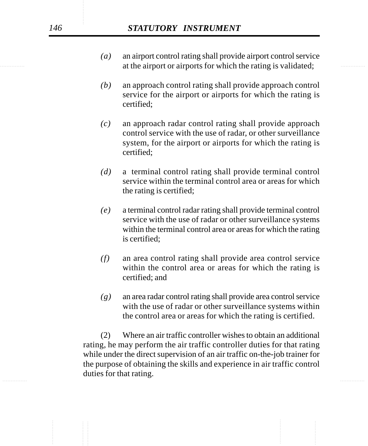- extends at the airport or airports for which the rating is validated; *(a)* an airport control rating shall provide airport control service
	- *(b)* an approach control rating shall provide approach control service for the airport or airports for which the rating is certified;
	- *(c)* an approach radar control rating shall provide approach control service with the use of radar, or other surveillance system, for the airport or airports for which the rating is certified;
	- *(d)* a terminal control rating shall provide terminal control service within the terminal control area or areas for which the rating is certified;
	- *(e)* a terminal control radar rating shall provide terminal control service with the use of radar or other surveillance systems within the terminal control area or areas for which the rating is certified;
	- *(f)* an area control rating shall provide area control service within the control area or areas for which the rating is certified; and
	- *(g)* an area radar control rating shall provide area control service with the use of radar or other surveillance systems within the control area or areas for which the rating is certified.

............... ............... (2) Where an air traffic controller wishes to obtain an additional rating, he may perform the air traffic controller duties for that rating while under the direct supervision of an air traffic on-the-job trainer for the purpose of obtaining the skills and experience in air traffic control duties for that rating.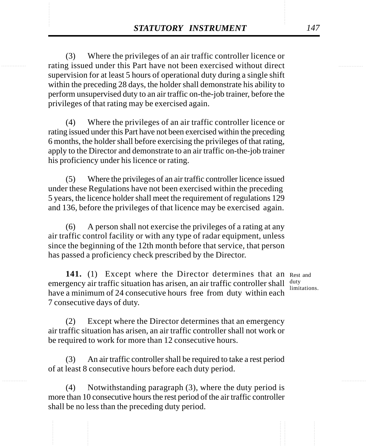**STATUTORY INSTRUMENT** 147<br>
(3) Where the privileges of an air traffic controller licence or<br>
rating issued under this Part have not been exercised without direct (3) Where the privileges of an air traffic controller licence or rating issued under this Part have not been exercised without direct supervision for at least 5 hours of operational duty during a single shift within the preceding 28 days, the holder shall demonstrate his ability to perform unsupervised duty to an air traffic on-the-job trainer, before the privileges of that rating may be exercised again.

> (4) Where the privileges of an air traffic controller licence or rating issued under this Part have not been exercised within the preceding 6 months, the holder shall before exercising the privileges of that rating, apply to the Director and demonstrate to an air traffic on-the-job trainer his proficiency under his licence or rating.

> (5) Where the privileges of an air traffic controller licence issued under these Regulations have not been exercised within the preceding 5 years, the licence holder shall meet the requirement of regulations 129 and 136, before the privileges of that licence may be exercised again.

> (6) A person shall not exercise the privileges of a rating at any air traffic control facility or with any type of radar equipment, unless since the beginning of the 12th month before that service, that person has passed a proficiency check prescribed by the Director.

141. (1) Except where the Director determines that an Rest and emergency air traffic situation has arisen, an air traffic controller shall  $\frac{duty}{\text{limit}}$ have a minimum of 24 consecutive hours free from duty within each 7 consecutive days of duty.

limitations.

(2) Except where the Director determines that an emergency air traffic situation has arisen, an air traffic controller shall not work or be required to work for more than 12 consecutive hours.

(3) An air traffic controller shall be required to take a rest period of at least 8 consecutive hours before each duty period.

(4) Notwithstanding paragraph (3), where the duty period is more than 10 consecutive hours the rest period of the air traffic controller shall be no less than the preceding duty period.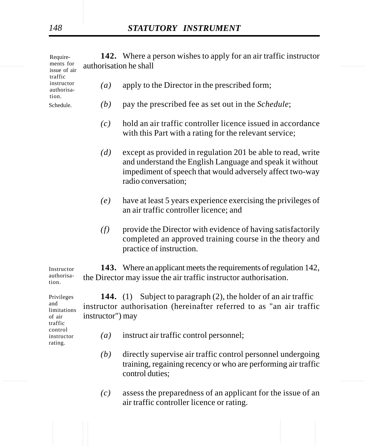|  | Require-<br>ments for<br>issue of air<br>traffic      | authorisation he shall | 142. Where a person wishes to apply for an air traffic instructor                                                                                                                                          |
|--|-------------------------------------------------------|------------------------|------------------------------------------------------------------------------------------------------------------------------------------------------------------------------------------------------------|
|  | instructor<br>authorisa-                              | $\left(a\right)$       | apply to the Director in the prescribed form;                                                                                                                                                              |
|  | tion.<br>Schedule.                                    | (b)                    | pay the prescribed fee as set out in the <i>Schedule</i> ;                                                                                                                                                 |
|  |                                                       | (c)                    | hold an air traffic controller licence issued in accordance<br>with this Part with a rating for the relevant service;                                                                                      |
|  |                                                       | (d)                    | except as provided in regulation 201 be able to read, write<br>and understand the English Language and speak it without<br>impediment of speech that would adversely affect two-way<br>radio conversation; |
|  |                                                       | (e)                    | have at least 5 years experience exercising the privileges of<br>an air traffic controller licence; and                                                                                                    |
|  |                                                       | (f)                    | provide the Director with evidence of having satisfactorily<br>completed an approved training course in the theory and<br>practice of instruction.                                                         |
|  | Instructor<br>authorisa-<br>tion.                     |                        | 143. Where an applicant meets the requirements of regulation 142,<br>the Director may issue the air traffic instructor authorisation.                                                                      |
|  | Privileges<br>and<br>limitations<br>of air<br>traffic | instructor") may       | <b>144.</b> (1) Subject to paragraph (2), the holder of an air traffic<br>instructor authorisation (hereinafter referred to as "an air traffic                                                             |
|  | control<br>instructor<br>rating.                      | $\left(a\right)$       | instruct air traffic control personnel;                                                                                                                                                                    |
|  |                                                       |                        | $(1.1)$ . The effective constant of a future $\Omega_{\rm eff}^{\rm th}$ is a contract in constant of the distribution                                                                                     |

- ............... ............... *(b)* directly supervise air traffic control personnel undergoing training, regaining recency or who are performing air traffic control duties;
	- *(c)* assess the preparedness of an applicant for the issue of an air traffic controller licence or rating.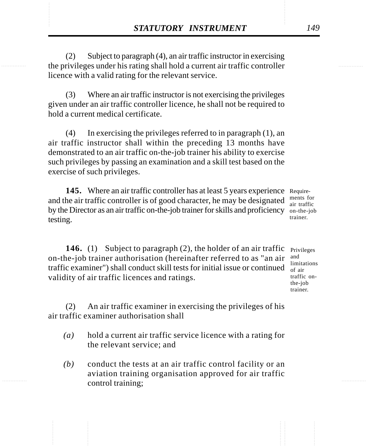**STATUTORY INSTRUMENT** 149<br>
(2) Subject to paragraph (4), an air traffic instructor in exercising<br>
the privileges under his rating shall hold a current air traffic controller (2) Subject to paragraph (4), an air traffic instructor in exercising the privileges under his rating shall hold a current air traffic controller licence with a valid rating for the relevant service.

> (3) Where an air traffic instructor is not exercising the privileges given under an air traffic controller licence, he shall not be required to hold a current medical certificate.

> (4) In exercising the privileges referred to in paragraph (1), an air traffic instructor shall within the preceding 13 months have demonstrated to an air traffic on-the-job trainer his ability to exercise such privileges by passing an examination and a skill test based on the exercise of such privileges.

145. Where an air traffic controller has at least 5 years experience Requireand the air traffic controller is of good character, he may be designated by the Director as an air traffic on-the-job trainer for skills and proficiency on-the-job testing.

ments for air traffic trainer.

**146.** (1) Subject to paragraph (2), the holder of an air traffic <sub>Privileges</sub> on-the-job trainer authorisation (hereinafter referred to as "an air traffic examiner") shall conduct skill tests for initial issue or continued  $\frac{m}{\text{of air}}$ validity of air traffic licences and ratings.

and limitations traffic onthe-job trainer.

(2) An air traffic examiner in exercising the privileges of his air traffic examiner authorisation shall

- *(a)* hold a current air traffic service licence with a rating for the relevant service; and
- *(b)* conduct the tests at an air traffic control facility or an aviation training organisation approved for air traffic control training;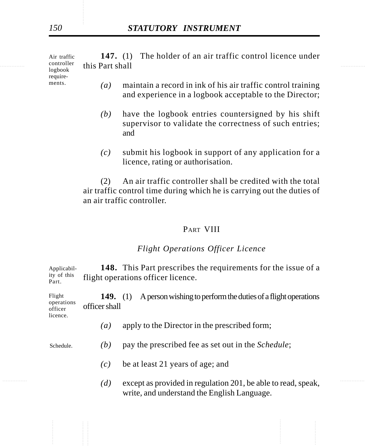............... ............... this Part shall **147.** (1) The holder of an air traffic control licence under Air traffic controller logbook

requirements.

licence.

- *(a)* maintain a record in ink of his air traffic control training and experience in a logbook acceptable to the Director;
- *(b)* have the logbook entries countersigned by his shift supervisor to validate the correctness of such entries; and
- *(c)* submit his logbook in support of any application for a licence, rating or authorisation.

(2) An air traffic controller shall be credited with the total air traffic control time during which he is carrying out the duties of an air traffic controller.

### PART VIII

### *Flight Operations Officer Licence*

**148.** This Part prescribes the requirements for the issue of a flight operations officer licence. Applicability of this Part.

**149.** (1) A person wishing to perform the duties of a flight operations officer shall Flight operations officer

- *(a)* apply to the Director in the prescribed form;
- *(b)* pay the prescribed fee as set out in the *Schedule*; Schedule.
	- *(c)* be at least 21 years of age; and
- $(d)$  except as provided in regulation 201, be able to read, speak, write, and understand the English Language.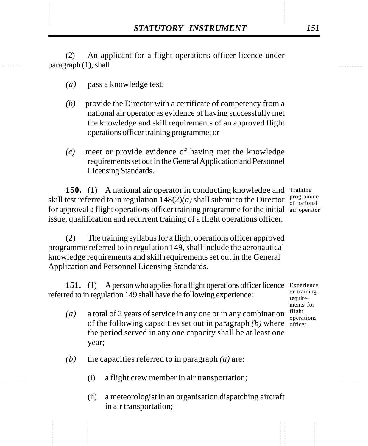**STATUTORY INSTRUMENT** 151<br>(2) An applicant for a flight operations officer licence under paragraph (1), shall (2) An applicant for a flight operations officer licence under paragraph (1), shall

- *(a)* pass a knowledge test;
- *(b)* provide the Director with a certificate of competency from a national air operator as evidence of having successfully met the knowledge and skill requirements of an approved flight operations officer training programme; or
- *(c)* meet or provide evidence of having met the knowledge requirements set out in the General Application and Personnel Licensing Standards.

150. (1) A national air operator in conducting knowledge and Training skill test referred to in regulation  $148(2)(a)$  shall submit to the Director programme for approval a flight operations officer training programme for the initial air operatorissue, qualification and recurrent training of a flight operations officer.

of national

(2) The training syllabus for a flight operations officer approved programme referred to in regulation 149, shall include the aeronautical knowledge requirements and skill requirements set out in the General Application and Personnel Licensing Standards.

151. (1) A person who applies for a flight operations officer licence Experience referred to in regulation 149 shall have the following experience: or training require-

- *(a)* a total of 2 years of service in any one or in any combination of the following capacities set out in paragraph  $(b)$  where  $\frac{1}{\text{offset}}$ the period served in any one capacity shall be at least one year; ments for flight operations
	- *(b)* the capacities referred to in paragraph *(a)* are:
		- (i) a flight crew member in air transportation;
		- (ii) a meteorologist in an organisation dispatching aircraft in air transportation;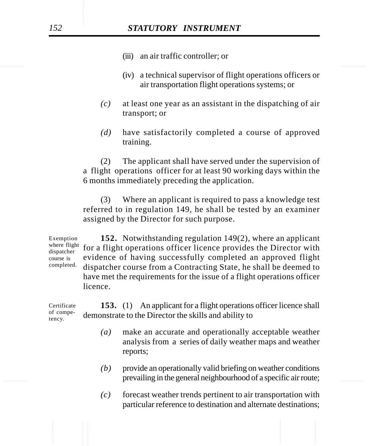- (iii) an air traffic controller; or
- (iv) a technical supervisor of flight operations officers or air transportation flight operations systems; or
- *(c)* at least one year as an assistant in the dispatching of air transport; or
- *(d)* have satisfactorily completed a course of approved training.

(2) The applicant shall have served under the supervision of a flight operations officer for at least 90 working days within the 6 months immediately preceding the application.

(3) Where an applicant is required to pass a knowledge test referred to in regulation 149, he shall be tested by an examiner assigned by the Director for such purpose.

**152.** Notwithstanding regulation 149(2), where an applicant where flight for a flight operations officer licence provides the Director with evidence of having successfully completed an approved flight dispatcher course from a Contracting State, he shall be deemed to have met the requirements for the issue of a flight operations officer licence. Exemption dispatcher course is completed.

**153.** (1) An applicant for a flight operations officer licence shall demonstrate to the Director the skills and ability to Certificate of competency.

- *(a)* make an accurate and operationally acceptable weather analysis from a series of daily weather maps and weather reports;
- **Example 1 A specific air route; prevailing in the general neighbourhood of a specific air route;** *(b)* provide an operationally valid briefing on weather conditions
	- *(c)* forecast weather trends pertinent to air transportation with particular reference to destination and alternate destinations;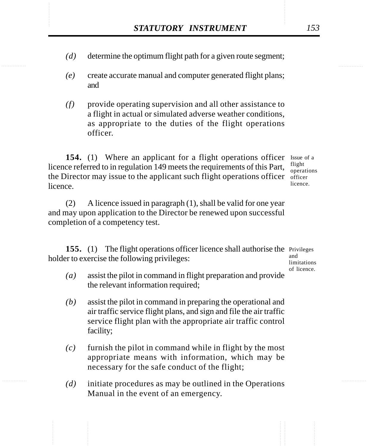- STATUTORY INSTRUMENT 153<br>(d) determine the optimum flight path for a given route segment; *(d)* determine the optimum flight path for a given route segment;
	- *(e)* create accurate manual and computer generated flight plans; and
	- *(f)* provide operating supervision and all other assistance to a flight in actual or simulated adverse weather conditions, as appropriate to the duties of the flight operations officer.

154. (1) Where an applicant for a flight operations officer Issue of a licence referred to in regulation 149 meets the requirements of this Part, the Director may issue to the applicant such flight operations officer  $\delta$  officer licence.

flight operations licence.

(2) A licence issued in paragraph (1), shall be valid for one year and may upon application to the Director be renewed upon successful completion of a competency test.

155. (1) The flight operations officer licence shall authorise the Privileges holder to exercise the following privileges: and

limitations of licence.

- *(a)* assist the pilot in command in flight preparation and provide the relevant information required;
- *(b)* assist the pilot in command in preparing the operational and air traffic service flight plans, and sign and file the air traffic service flight plan with the appropriate air traffic control facility;
- *(c)* furnish the pilot in command while in flight by the most appropriate means with information, which may be necessary for the safe conduct of the flight;
- *(d)* initiate procedures as may be outlined in the Operations Manual in the event of an emergency.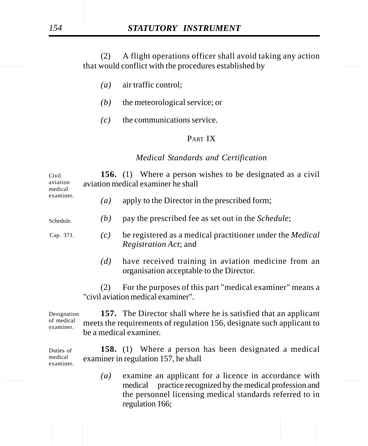that would conflict with the procedures established by (2) A flight operations officer shall avoid taking any action

- *(a)* air traffic control;
- *(b)* the meteorological service; or
- *(c)* the communications service.

### PART IX

#### *Medical Standards and Certification*

| Civil<br>aviation<br>medical<br>examiner. |                   | <b>156.</b> (1) Where a person wishes to be designated as a civil<br>aviation medical examiner he shall                                                                   |
|-------------------------------------------|-------------------|---------------------------------------------------------------------------------------------------------------------------------------------------------------------------|
|                                           | $\left( a\right)$ | apply to the Director in the prescribed form;                                                                                                                             |
| Schedule.                                 | (b)               | pay the prescribed fee as set out in the <i>Schedule</i> ;                                                                                                                |
| Cap. 371.                                 | (c)               | be registered as a medical practitioner under the <i>Medical</i><br><i>Registration Act</i> ; and                                                                         |
|                                           | (d)               | have received training in aviation medicine from an<br>organisation acceptable to the Director.                                                                           |
|                                           | (2)               | For the purposes of this part "medical examiner" means a<br>"civil aviation medical examiner".                                                                            |
| Designation<br>of medical<br>examiner.    |                   | <b>157.</b> The Director shall where he is satisfied that an applicant<br>meets the requirements of regulation 156, designate such applicant to<br>be a medical examiner. |

**158.** (1) Where a person has been designated a medical examiner in regulation 157, he shall Duties of medical examiner.

............... ............... medical practice recognized by the medical profession and *(a)* examine an applicant for a licence in accordance with the personnel licensing medical standards referred to in regulation 166;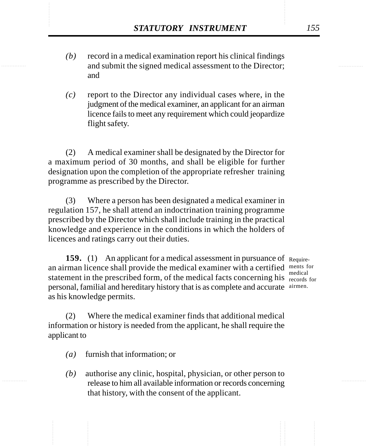- STATUTORY INSTRUMENT 155<br>
(b) record in a medical examination report his clinical findings<br>
and submit the signed medical assessment to the Director: *(b)* record in a medical examination report his clinical findings and submit the signed medical assessment to the Director; and
	- *(c)* report to the Director any individual cases where, in the judgment of the medical examiner, an applicant for an airman licence fails to meet any requirement which could jeopardize flight safety.

(2) A medical examiner shall be designated by the Director for a maximum period of 30 months, and shall be eligible for further designation upon the completion of the appropriate refresher training programme as prescribed by the Director.

(3) Where a person has been designated a medical examiner in regulation 157, he shall attend an indoctrination training programme prescribed by the Director which shall include training in the practical knowledge and experience in the conditions in which the holders of licences and ratings carry out their duties.

**159.** (1) An applicant for a medical assessment in pursuance of Requirean airman licence shall provide the medical examiner with a certified ments for statement in the prescribed form, of the medical facts concerning his records for personal, familial and hereditary history that is as complete and accurate airmen. as his knowledge permits.

medical

(2) Where the medical examiner finds that additional medical information or history is needed from the applicant, he shall require the applicant to

- *(a)* furnish that information; or
- *(b)* authorise any clinic, hospital, physician, or other person to release to him all available information or records concerning that history, with the consent of the applicant.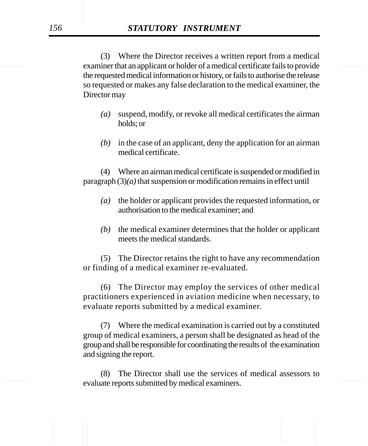examiner that an applicant or holder of a medical certificate fails to provide (3) Where the Director receives a written report from a medical the requested medical information or history, or fails to authorise the release so requested or makes any false declaration to the medical examiner, the Director may

- *(a)* suspend, modify, or revoke all medical certificates the airman holds; or
- *(b)* in the case of an applicant, deny the application for an airman medical certificate.

(4) Where an airman medical certificate is suspended or modified in paragraph (3)*(a)* that suspension or modification remains in effect until

- *(a)* the holder or applicant provides the requested information, or authorisation to the medical examiner; and
- *(b)* the medical examiner determines that the holder or applicant meets the medical standards.

(5) The Director retains the right to have any recommendation or finding of a medical examiner re-evaluated.

(6) The Director may employ the services of other medical practitioners experienced in aviation medicine when necessary, to evaluate reports submitted by a medical examiner.

(7) Where the medical examination is carried out by a constituted group of medical examiners, a person shall be designated as head of the group and shall be responsible for coordinating the results of the examination and signing the report.

evaluate reports submitted by medical examiners. (8) The Director shall use the services of medical assessors to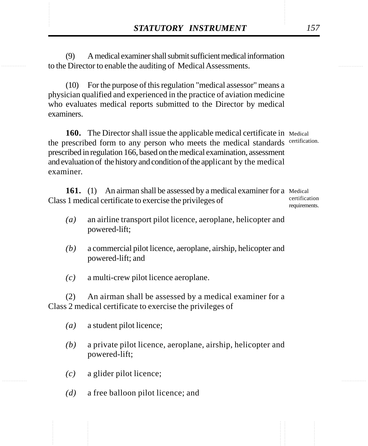**STATUTORY INSTRUMENT** 157<br>
(9) A medical examiner shall submit sufficient medical information<br>
to the Director to enable the auditing of Medical Assessments. (9) A medical examiner shall submit sufficient medical information to the Director to enable the auditing of Medical Assessments.

> (10) For the purpose of this regulation "medical assessor" means a physician qualified and experienced in the practice of aviation medicine who evaluates medical reports submitted to the Director by medical examiners.

160. The Director shall issue the applicable medical certificate in Medical the prescribed form to any person who meets the medical standards certification. prescribed in regulation 166, based on the medical examination, assessment and evaluation of the history and condition of the applicant by the medical examiner.

161. (1) An airman shall be assessed by a medical examiner for a Medical Class 1 medical certificate to exercise the privileges of

certification requirements.

- *(a)* an airline transport pilot licence, aeroplane, helicopter and powered-lift;
- *(b)* a commercial pilot licence, aeroplane, airship, helicopter and powered-lift; and
- *(c)* a multi-crew pilot licence aeroplane.

(2) An airman shall be assessed by a medical examiner for a Class 2 medical certificate to exercise the privileges of

- *(a)* a student pilot licence;
- *(b)* a private pilot licence, aeroplane, airship, helicopter and powered-lift;
- *(c)* a glider pilot licence;
- *(d)* a free balloon pilot licence; and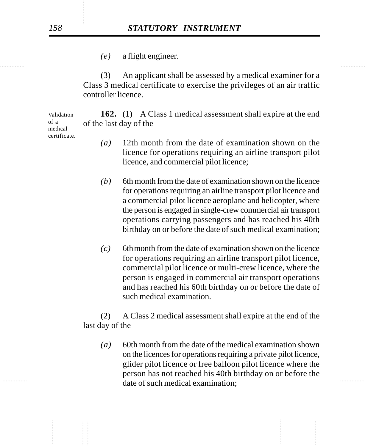*(e)* a flight engineer.

(3) An applicant shall be assessed by a medical examiner for a Class 3 medical certificate to exercise the privileges of an air traffic controller licence.

**162.** (1) A Class 1 medical assessment shall expire at the end of the last day of the

- *(a)* 12th month from the date of examination shown on the licence for operations requiring an airline transport pilot licence, and commercial pilot licence;
- $(b)$  6th month from the date of examination shown on the licence for operations requiring an airline transport pilot licence and a commercial pilot licence aeroplane and helicopter, where the person is engaged in single-crew commercial air transport operations carrying passengers and has reached his 40th birthday on or before the date of such medical examination;
- *(c)* 6thmonth from the date of examination shown on the licence for operations requiring an airline transport pilot licence, commercial pilot licence or multi-crew licence, where the person is engaged in commercial air transport operations and has reached his 60th birthday on or before the date of such medical examination.

(2) A Class 2 medical assessment shall expire at the end of the last day of the

............... ............... date of such medical examination; *(a)* 60th month from the date of the medical examination shown on the licences for operations requiring a private pilot licence, glider pilot licence or free balloon pilot licence where the person has not reached his 40th birthday on or before the

Validation of a medical certificate.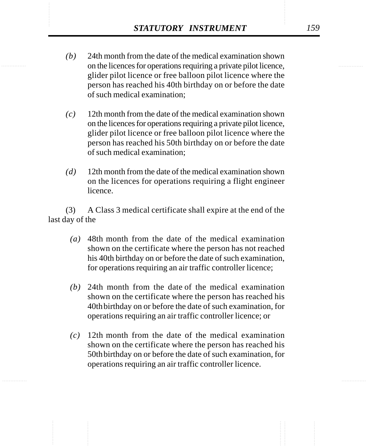- STATUTORY INSTRUMENT 159<br>
(b) 24th month from the date of the medical examination shown<br>
on the licences for operations requiring a private pilot licence. *(b)* 24th month from the date of the medical examination shown on the licences for operations requiring a private pilot licence, glider pilot licence or free balloon pilot licence where the person has reached his 40th birthday on or before the date of such medical examination;
	- *(c)* 12th month from the date of the medical examination shown on the licences for operations requiring a private pilot licence, glider pilot licence or free balloon pilot licence where the person has reached his 50th birthday on or before the date of such medical examination;
	- *(d)* 12th month from the date of the medical examination shown on the licences for operations requiring a flight engineer licence.

(3) A Class 3 medical certificate shall expire at the end of the last day of the

- *(a)* 48th month from the date of the medical examination shown on the certificate where the person has not reached his 40th birthday on or before the date of such examination, for operations requiring an air traffic controller licence;
- *(b)* 24th month from the date of the medical examination shown on the certificate where the person has reached his 40thbirthday on or before the date of such examination, for operations requiring an air traffic controller licence; or
- *(c)* 12th month from the date of the medical examination shown on the certificate where the person has reached his 50thbirthday on or before the date of such examination, for operations requiring an air traffic controller licence.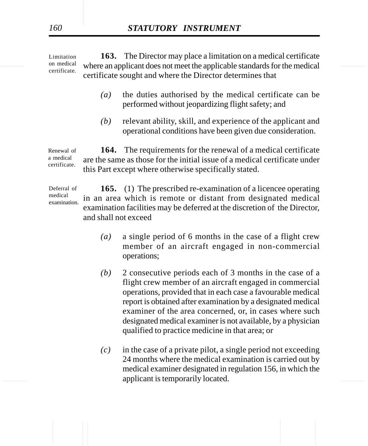on medical where an applicant does not meet the applicable standards for the medical **163.** The Director may place a limitation on a medical certificate certificate sought and where the Director determines that Limitation on medical certificate.

- *(a)* the duties authorised by the medical certificate can be performed without jeopardizing flight safety; and
- *(b)* relevant ability, skill, and experience of the applicant and operational conditions have been given due consideration.

**164.** The requirements for the renewal of a medical certificate are the same as those for the initial issue of a medical certificate under this Part except where otherwise specifically stated. Renewal of a medical certificate.

**165.** (1) The prescribed re-examination of a licencee operating in an area which is remote or distant from designated medical examination facilities may be deferred at the discretion of the Director, and shall not exceed Deferral of medical examination.

- *(a)* a single period of 6 months in the case of a flight crew member of an aircraft engaged in non-commercial operations;
- *(b)* 2 consecutive periods each of 3 months in the case of a flight crew member of an aircraft engaged in commercial operations, provided that in each case a favourable medical report is obtained after examination by a designated medical examiner of the area concerned, or, in cases where such designated medical examiner is not available, by a physician qualified to practice medicine in that area; or
- explicant is temporarily located. *(c)* in the case of a private pilot, a single period not exceeding 24 months where the medical examination is carried out by medical examiner designated in regulation 156, in which the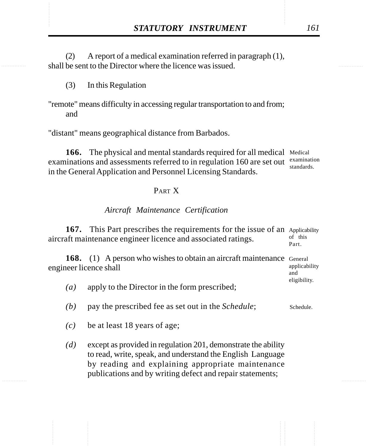**STATUTORY INSTRUMENT** 161<br>
(2) A report of a medical examination referred in paragraph (1),<br>
shall be sent to the Director where the licence was issued. (2) A report of a medical examination referred in paragraph (1), shall be sent to the Director where the licence was issued.

- (3) In this Regulation
- "remote" means difficulty in accessing regular transportation to and from; and

"distant" means geographical distance from Barbados.

166. The physical and mental standards required for all medical Medical examinations and assessments referred to in regulation 160 are set out examination in the General Application and Personnel Licensing Standards. standards.

### PART X

#### *Aircraft Maintenance Certification*

|                   | <b>167.</b> This Part prescribes the requirements for the issue of an Applicability<br>aircraft maintenance engineer licence and associated ratings. | of this<br>Part. |  |  |
|-------------------|------------------------------------------------------------------------------------------------------------------------------------------------------|------------------|--|--|
|                   | <b>168.</b> (1) A person who wishes to obtain an aircraft maintenance General<br>engineer licence shall                                              |                  |  |  |
| $\left( a\right)$ | apply to the Director in the form prescribed;                                                                                                        | eligibility.     |  |  |
| (b)               | pay the prescribed fee as set out in the <i>Schedule</i> ;                                                                                           | Schedule.        |  |  |

- *(c)* be at least 18 years of age;
- *(d)* except as provided in regulation 201, demonstrate the ability to read, write, speak, and understand the English Language by reading and explaining appropriate maintenance publications and by writing defect and repair statements;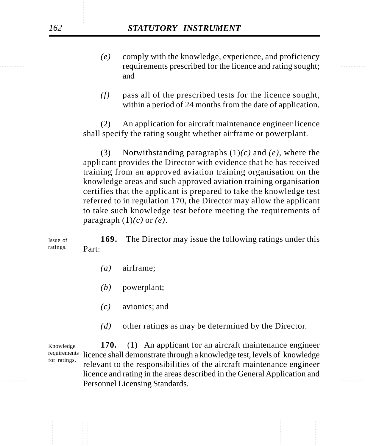# *162 STATUTORY INSTRUMENT*

- requirements prescribed for the licence and rating sought; *(e)* comply with the knowledge, experience, and proficiency and
	- *(f)* pass all of the prescribed tests for the licence sought, within a period of 24 months from the date of application.

(2) An application for aircraft maintenance engineer licence shall specify the rating sought whether airframe or powerplant.

(3) Notwithstanding paragraphs (1)*(c)* and *(e)*, where the applicant provides the Director with evidence that he has received training from an approved aviation training organisation on the knowledge areas and such approved aviation training organisation certifies that the applicant is prepared to take the knowledge test referred to in regulation 170, the Director may allow the applicant to take such knowledge test before meeting the requirements of paragraph (1)*(c)* or *(e)*.

**169.** The Director may issue the following ratings under this Part: Issue of ratings.

- *(a)* airframe;
- *(b)* powerplant;
- *(c)* avionics; and
- *(d)* other ratings as may be determined by the Director.

Personnel Licensing Standards. **170.** (1) An applicant for an aircraft maintenance engineer requirements licence shall demonstrate through a knowledge test, levels of knowledge relevant to the responsibilities of the aircraft maintenance engineer licence and rating in the areas described in the General Application and Knowledge for ratings.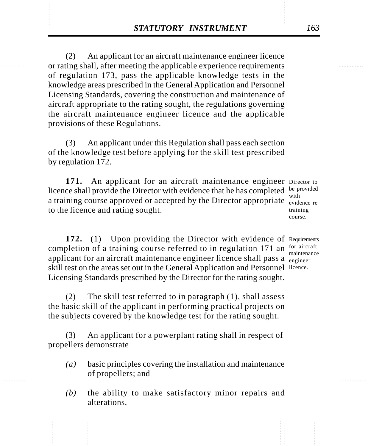**STATUTORY INSTRUMENT** 163<br>
(2) An applicant for an aircraft maintenance engineer licence<br>
or rating shall, after meeting the applicable experience requirements (2) An applicant for an aircraft maintenance engineer licence or rating shall, after meeting the applicable experience requirements of regulation 173, pass the applicable knowledge tests in the knowledge areas prescribed in the General Application and Personnel Licensing Standards, covering the construction and maintenance of aircraft appropriate to the rating sought, the regulations governing the aircraft maintenance engineer licence and the applicable provisions of these Regulations.

> (3) An applicant under this Regulation shall pass each section of the knowledge test before applying for the skill test prescribed by regulation 172.

171. An applicant for an aircraft maintenance engineer Director to licence shall provide the Director with evidence that he has completed be provided a training course approved or accepted by the Director appropriate  $\frac{m_{\text{min}}}{\text{evidence}}$  re to the licence and rating sought.

with training course.

172. (1) Upon providing the Director with evidence of Requirements completion of a training course referred to in regulation 171 an for aircraft applicant for an aircraft maintenance engineer licence shall pass a <sub>engineer</sub> skill test on the areas set out in the General Application and Personnel licence. Licensing Standards prescribed by the Director for the rating sought. maintenance

(2) The skill test referred to in paragraph (1), shall assess the basic skill of the applicant in performing practical projects on the subjects covered by the knowledge test for the rating sought.

(3) An applicant for a powerplant rating shall in respect of propellers demonstrate

- *(a)* basic principles covering the installation and maintenance of propellers; and
- *(b)* the ability to make satisfactory minor repairs and alterations.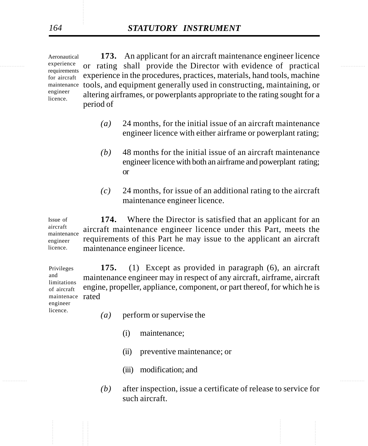experience or rating shall provide the Director with evidence of practical **173.** An applicant for an aircraft maintenance engineer licence experience in the procedures, practices, materials, hand tools, machine tools, and equipment generally used in constructing, maintaining, or maintenance altering airframes, or powerplants appropriate to the rating sought for a period of Aeronautical experience requirements for aircraft engineer licence.

- *(a)* 24 months, for the initial issue of an aircraft maintenance engineer licence with either airframe or powerplant rating;
- *(b)* 48 months for the initial issue of an aircraft maintenance engineer licence with both an airframe and powerplant rating; or
- *(c)* 24 months, for issue of an additional rating to the aircraft maintenance engineer licence.

**174.** Where the Director is satisfied that an applicant for an aircraft maintenance engineer licence under this Part, meets the requirements of this Part he may issue to the applicant an aircraft maintenance engineer licence. Issue of aircraft maintenance engineer licence.

**175.** (1) Except as provided in paragraph (6), an aircraft maintenance engineer may in respect of any aircraft, airframe, aircraft engine, propeller, appliance, component, or part thereof, for which he is maintenace rated Privileges and limitations

of aircraft engineer licence.

- *(a)* perform or supervise the
	- (i) maintenance;
	- (ii) preventive maintenance; or
	- (iii) modification; and
- *(b)* after inspection, issue a certificate of release to service for such aircraft.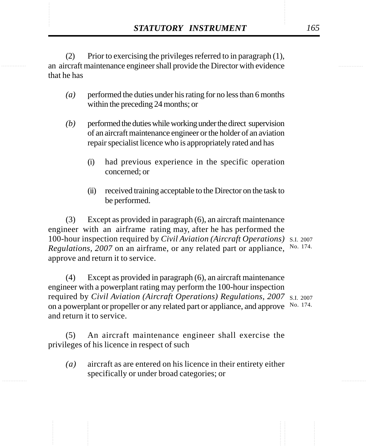**STATUTORY INSTRUMENT** 165<br>
(2) Prior to exercising the privileges referred to in paragraph (1),<br>
an aircraft maintenance engineer shall provide the Director with evidence (2) Prior to exercising the privileges referred to in paragraph (1), an aircraft maintenance engineer shall provide the Director with evidence that he has

- *(a)* performed the duties under his rating for no less than 6 months within the preceding 24 months; or
- *(b)* performed the duties while working under the direct supervision of an aircraft maintenance engineer or the holder of an aviation repair specialist licence who is appropriately rated and has
	- (i) had previous experience in the specific operation concerned; or
	- (ii) received training acceptable to the Director on the task to be performed.

(3) Except as provided in paragraph (6), an aircraft maintenance engineer with an airframe rating may, after he has performed the 100-hour inspection required by *Civil Aviation (Aircraft Operations)* S.I. 2007 Regulations, 2007 on an airframe, or any related part or appliance, No. 174. approve and return it to service.

(4) Except as provided in paragraph (6), an aircraft maintenance engineer with a powerplant rating may perform the 100-hour inspection required by *Civil Aviation (Aircraft Operations) Regulations, 2007* S.I. 2007 on a powerplant or propeller or any related part or appliance, and approve No. 174. and return it to service.

(5) An aircraft maintenance engineer shall exercise the privileges of his licence in respect of such

*(a)* aircraft as are entered on his licence in their entirety either specifically or under broad categories; or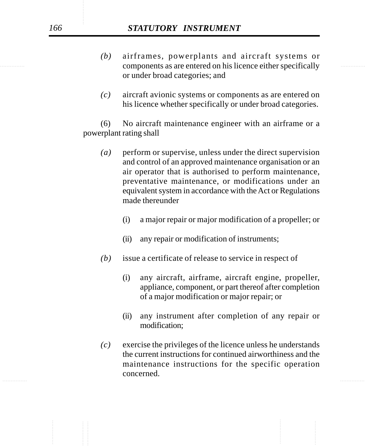# *166 STATUTORY INSTRUMENT*

- components as are entered on his licence either specifically *(b)* airframes, powerplants and aircraft systems or or under broad categories; and
	- *(c)* aircraft avionic systems or components as are entered on his licence whether specifically or under broad categories.

(6) No aircraft maintenance engineer with an airframe or a powerplant rating shall

- *(a)* perform or supervise, unless under the direct supervision and control of an approved maintenance organisation or an air operator that is authorised to perform maintenance, preventative maintenance, or modifications under an equivalent system in accordance with the Act or Regulations made thereunder
	- (i) a major repair or major modification of a propeller; or
	- (ii) any repair or modification of instruments;
- *(b)* issue a certificate of release to service in respect of
	- (i) any aircraft, airframe, aircraft engine, propeller, appliance, component, or part thereof after completion of a major modification or major repair; or
	- (ii) any instrument after completion of any repair or modification;
- *(c)* exercise the privileges of the licence unless he understands the current instructions for continued airworthiness and the maintenance instructions for the specific operation concerned.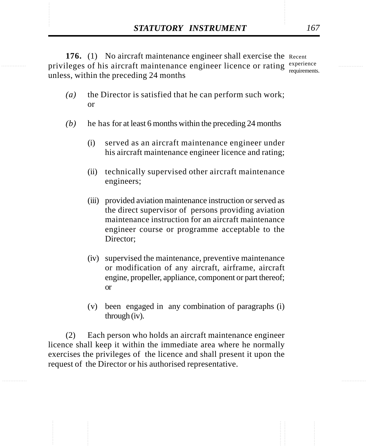**STATUTORY INSTRUMENT** 167<br> **176.** (1) No aircraft maintenance engineer shall exercise the Recent<br>
privileges of his aircraft maintenance engineer licence or rating experience 176. (1) No aircraft maintenance engineer shall exercise the Recent privileges of his aircraft maintenance engineer licence or rating experience unless, within the preceding 24 months requirements.

- *(a)* the Director is satisfied that he can perform such work; or
- *(b)* he has for at least 6 months within the preceding 24 months
	- (i) served as an aircraft maintenance engineer under his aircraft maintenance engineer licence and rating;
	- (ii) technically supervised other aircraft maintenance engineers;
	- (iii) provided aviation maintenance instruction or served as the direct supervisor of persons providing aviation maintenance instruction for an aircraft maintenance engineer course or programme acceptable to the Director;
	- (iv) supervised the maintenance, preventive maintenance or modification of any aircraft, airframe, aircraft engine, propeller, appliance, component or part thereof; or
	- (v) been engaged in any combination of paragraphs (i) through (iv).

(2) Each person who holds an aircraft maintenance engineer licence shall keep it within the immediate area where he normally exercises the privileges of the licence and shall present it upon the request of the Director or his authorised representative.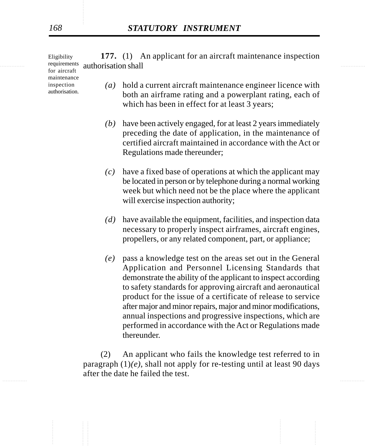requirements authorisation shall **177.** (1) An applicant for an aircraft maintenance inspection Eligibility

for aircraft maintenance inspection authorisation.

- *(a)* hold a current aircraft maintenance engineer licence with both an airframe rating and a powerplant rating, each of which has been in effect for at least 3 years;
- *(b)* have been actively engaged, for at least 2 years immediately preceding the date of application, in the maintenance of certified aircraft maintained in accordance with the Act or Regulations made thereunder;
- *(c)* have a fixed base of operations at which the applicant may be located in person or by telephone during a normal working week but which need not be the place where the applicant will exercise inspection authority;
- *(d)* have available the equipment, facilities, and inspection data necessary to properly inspect airframes, aircraft engines, propellers, or any related component, part, or appliance;
- *(e)* pass a knowledge test on the areas set out in the General Application and Personnel Licensing Standards that demonstrate the ability of the applicant to inspect according to safety standards for approving aircraft and aeronautical product for the issue of a certificate of release to service after major and minor repairs, major and minor modifications, annual inspections and progressive inspections, which are performed in accordance with the Act or Regulations made thereunder.

(2) An applicant who fails the knowledge test referred to in paragraph (1)*(e)*, shall not apply for re-testing until at least 90 days after the date he failed the test.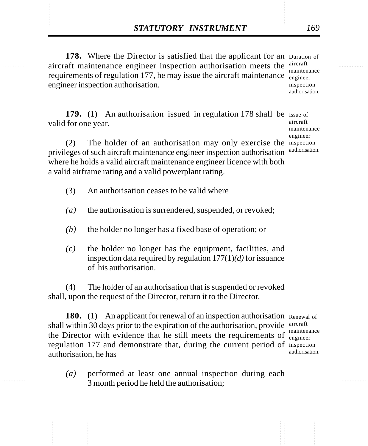**STATUTORY INSTRUMENT** 169<br>
178. Where the Director is satisfied that the applicant for an Duration of<br>
aircraft maintenance engineer inspection authorisation meets the <sup>aircraft</sup> 178. Where the Director is satisfied that the applicant for an Duration of aircraft maintenance engineer inspection authorisation meets the aircraft requirements of regulation 177, he may issue the aircraft maintenance  $\frac{1}{\text{engineer}}$ engineer inspection authorisation. maintenance inspection authorisation.

> 179. (1) An authorisation issued in regulation 178 shall be Issue of valid for one year.

(2) The holder of an authorisation may only exercise the inspection privileges of such aircraft maintenance engineer inspection authorisation where he holds a valid aircraft maintenance engineer licence with both a valid airframe rating and a valid powerplant rating.

- (3) An authorisation ceases to be valid where
- *(a)* the authorisation is surrendered, suspended, or revoked;
- *(b)* the holder no longer has a fixed base of operation; or
- *(c)* the holder no longer has the equipment, facilities, and inspection data required by regulation 177(1)*(d)* for issuance of his authorisation.

(4) The holder of an authorisation that is suspended or revoked shall, upon the request of the Director, return it to the Director.

180. (1) An applicant for renewal of an inspection authorisation Renewal of shall within 30 days prior to the expiration of the authorisation, provide aircraft the Director with evidence that he still meets the requirements of maintenance regulation 177 and demonstrate that, during the current period of inspection authorisation, he has

*(a)* performed at least one annual inspection during each 3 month period he held the authorisation;

engineer authorisation.

aircraft maintenance engineer authorisation.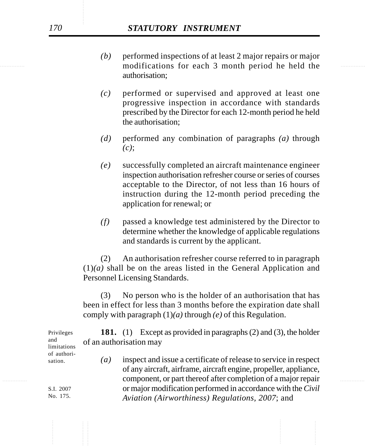- modifications for each 3 month period he held the *(b)* performed inspections of at least 2 major repairs or major authorisation;
	- *(c)* performed or supervised and approved at least one progressive inspection in accordance with standards prescribed by the Director for each 12-month period he held the authorisation;
	- *(d)* performed any combination of paragraphs *(a)* through *(c)*;
	- *(e)* successfully completed an aircraft maintenance engineer inspection authorisation refresher course or series of courses acceptable to the Director, of not less than 16 hours of instruction during the 12-month period preceding the application for renewal; or
	- *(f)* passed a knowledge test administered by the Director to determine whether the knowledge of applicable regulations and standards is current by the applicant.

(2) An authorisation refresher course referred to in paragraph  $(1)(a)$  shall be on the areas listed in the General Application and Personnel Licensing Standards.

(3) No person who is the holder of an authorisation that has been in effect for less than 3 months before the expiration date shall comply with paragraph (1)*(a)* through *(e)* of this Regulation.

**181.** (1) Except as provided in paragraphs (2) and (3), the holder of an authorisation may *(a)* inspect and issue a certificate of release to service in respect sation.

............... ............... component, or part thereof after completion of a major repair of any aircraft, airframe, aircraft engine, propeller, appliance, or major modification performed in accordance with the *Civil Aviation (Airworthiness) Regulations, 2007*; and

Privileges and limitations of authori-

> S.I. 2007 No. 175.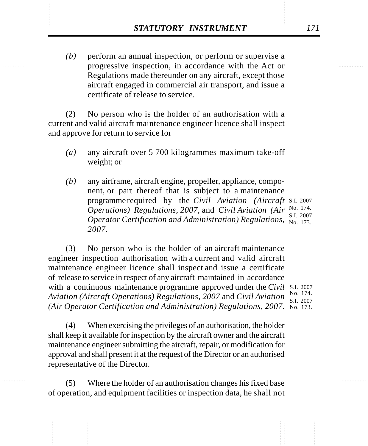**STATUTORY INSTRUMENT** 171<br>(b) perform an annual inspection, or perform or supervise a progressive inspection, in accordance with the Act or *(b)* perform an annual inspection, or perform or supervise a progressive inspection, in accordance with the Act or Regulations made thereunder on any aircraft, except those aircraft engaged in commercial air transport, and issue a certificate of release to service.

> (2) No person who is the holder of an authorisation with a current and valid aircraft maintenance engineer licence shall inspect and approve for return to service for

- *(a)* any aircraft over 5 700 kilogrammes maximum take-off weight; or
- *(b)* any airframe, aircraft engine, propeller, appliance, component, or part thereof that is subject to a maintenance programme required by the *Civil Aviation (Aircraft* S.I. 2007 *Operations) Regulations, 2007, and Civil Aviation (Air* No. 174. *Operator Certification and Administration) Regulations,* No. 173. *2007*. S.I. 2007

(3) No person who is the holder of an aircraft maintenance engineer inspection authorisation with a current and valid aircraft maintenance engineer licence shall inspect and issue a certificate of release to service in respect of any aircraft maintained in accordance with a continuous maintenance programme approved under the *Civil* S.I. 2007 *Aviation (Aircraft Operations) Regulations, 2007* and *Civil Aviation* No. 174. *(Air Operator Certification and Administration) Regulations, 2007*. No. 173.

S.I. 2007

(4) When exercising the privileges of an authorisation, the holder shall keep it available for inspection by the aircraft owner and the aircraft maintenance engineer submitting the aircraft, repair, or modification for approval and shall present it at the request of the Director or an authorised representative of the Director.

(5) Where the holder of an authorisation changes his fixed base of operation, and equipment facilities or inspection data, he shall not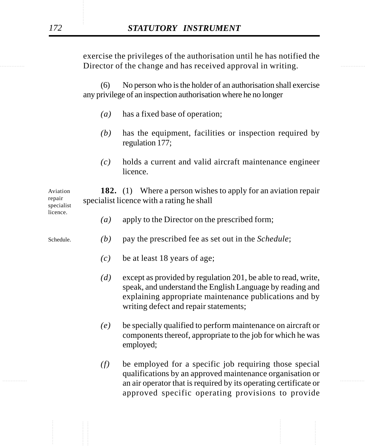Director of the change and has received approval in writing. exercise the privileges of the authorisation until he has notified the

> (6) No person who is the holder of an authorisation shall exercise any privilege of an inspection authorisation where he no longer

- *(a)* has a fixed base of operation;
- *(b)* has the equipment, facilities or inspection required by regulation 177;
- *(c)* holds a current and valid aircraft maintenance engineer licence.

**182.** (1) Where a person wishes to apply for an aviation repair specialist licence with a rating he shall Aviation repair specialist

- *(a)* apply to the Director on the prescribed form;
- *(b)* pay the prescribed fee as set out in the *Schedule*; Schedule.
	- *(c)* be at least 18 years of age;
	- *(d)* except as provided by regulation 201, be able to read, write, speak, and understand the English Language by reading and explaining appropriate maintenance publications and by writing defect and repair statements;
	- *(e)* be specially qualified to perform maintenance on aircraft or components thereof, appropriate to the job for which he was employed;
- an air operator that is required by its operating certificate or *(f)* be employed for a specific job requiring those special qualifications by an approved maintenance organisation or approved specific operating provisions to provide

licence.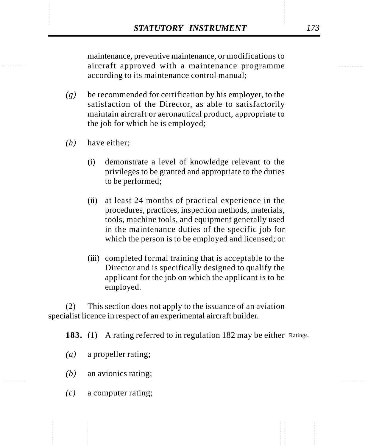**STATUTORY INSTRUMENT** 173<br>
maintenance, preventive maintenance, or modifications to<br>
aircraft approved with a maintenance programme maintenance, preventive maintenance, or modifications to aircraft approved with a maintenance programme according to its maintenance control manual;

- *(g)* be recommended for certification by his employer, to the satisfaction of the Director, as able to satisfactorily maintain aircraft or aeronautical product, appropriate to the job for which he is employed;
- *(h)* have either;
	- (i) demonstrate a level of knowledge relevant to the privileges to be granted and appropriate to the duties to be performed;
	- (ii) at least 24 months of practical experience in the procedures, practices, inspection methods, materials, tools, machine tools, and equipment generally used in the maintenance duties of the specific job for which the person is to be employed and licensed; or
	- (iii) completed formal training that is acceptable to the Director and is specifically designed to qualify the applicant for the job on which the applicant is to be employed.

(2) This section does not apply to the issuance of an aviation specialist licence in respect of an experimental aircraft builder.

183. (1) A rating referred to in regulation 182 may be either Ratings.

- *(a)* a propeller rating;
- *(b)* an avionics rating;
- *(c)* a computer rating;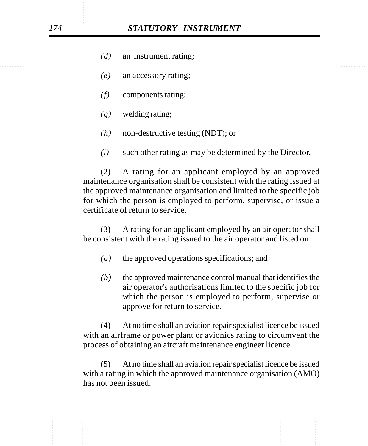- *(d)* an instrument rating;
- *(e)* an accessory rating;
- *(f)* components rating;
- *(g)* welding rating;
- *(h)* non-destructive testing (NDT); or
- *(i)* such other rating as may be determined by the Director.

(2) A rating for an applicant employed by an approved maintenance organisation shall be consistent with the rating issued at the approved maintenance organisation and limited to the specific job for which the person is employed to perform, supervise, or issue a certificate of return to service.

(3) A rating for an applicant employed by an air operator shall be consistent with the rating issued to the air operator and listed on

- *(a)* the approved operations specifications; and
- *(b)* the approved maintenance control manual that identifies the air operator's authorisations limited to the specific job for which the person is employed to perform, supervise or approve for return to service.

(4) At no time shall an aviation repair specialist licence be issued with an airframe or power plant or avionics rating to circumvent the process of obtaining an aircraft maintenance engineer licence.

has not been issued. (5) At no time shall an aviation repair specialist licence be issued with a rating in which the approved maintenance organisation (AMO)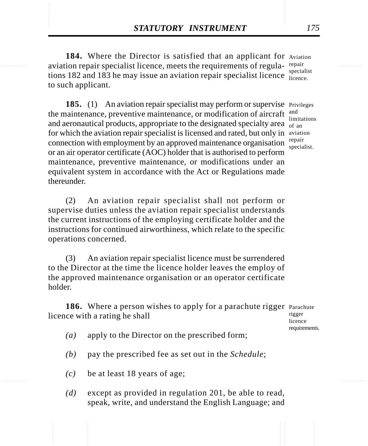**STATUTORY INSTRUMENT** 175<br> **184.** Where the Director is satisfied that an applicant for Aviation<br>
aviation repair specialist licence, meets the requirements of regula-repair 184. Where the Director is satisfied that an applicant for Aviation aviation repair specialist licence, meets the requirements of regula-repair tions 182 and 183 he may issue an aviation repair specialist licence specialist to such applicant. licence.

> 185. (1) An aviation repair specialist may perform or supervise Privileges the maintenance, preventive maintenance, or modification of aircraft and aeronautical products, appropriate to the designated specialty area  $\frac{m}{\text{of an}}$ for which the aviation repair specialist is licensed and rated, but only in aviation connection with employment by an approved maintenance organisation  $\frac{repair}{\text{special}}$ or an air operator certificate (AOC) holder that is authorised to perform maintenance, preventive maintenance, or modifications under an equivalent system in accordance with the Act or Regulations made thereunder. and limitations specialist.

(2) An aviation repair specialist shall not perform or supervise duties unless the aviation repair specialist understands the current instructions of the employing certificate holder and the instructions for continued airworthiness, which relate to the specific operations concerned.

(3) An aviation repair specialist licence must be surrendered to the Director at the time the licence holder leaves the employ of the approved maintenance organisation or an operator certificate holder.

186. Where a person wishes to apply for a parachute rigger Parachute licence with a rating he shall rigger

licence requirements.

- *(a)* apply to the Director on the prescribed form;
- *(b)* pay the prescribed fee as set out in the *Schedule*;
- *(c)* be at least 18 years of age;
- *(d)* except as provided in regulation 201, be able to read, speak, write, and understand the English Language; and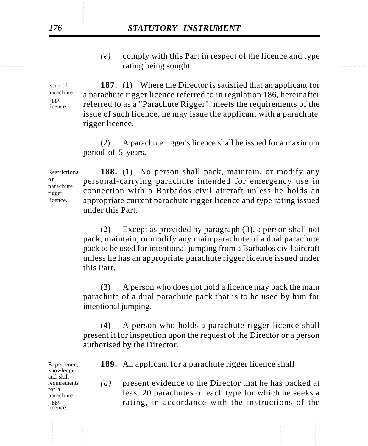rating being sought. *(e)* comply with this Part in respect of the licence and type

> **187.** (1) Where the Director is satisfied that an applicant for a parachute rigger licence referred to in regulation 186, hereinafter referred to as a "Parachute Rigger", meets the requirements of the issue of such licence, he may issue the applicant with a parachute rigger licence. Issue of parachute rigger licence.

> > (2) A parachute rigger's licence shall be issued for a maximum period of 5 years.

**188.** (1) No person shall pack, maintain, or modify any personal-carrying parachute intended for emergency use in connection with a Barbados civil aircraft unless he holds an appropriate current parachute rigger licence and type rating issued under this Part. **Restrictions** o n parachute rigger licence.

> (2) Except as provided by paragraph (3), a person shall not pack, maintain, or modify any main parachute of a dual parachute pack to be used for intentional jumping from a Barbados civil aircraft unless he has an appropriate parachute rigger licence issued under this Part.

> (3) A person who does not hold a licence may pack the main parachute of a dual parachute pack that is to be used by him for intentional jumping.

> (4) A person who holds a parachute rigger licence shall present it for inspection upon the request of the Director or a person authorised by the Director.

Experience, knowledge and skill requirements for a parachute rigger licence.

**189.** An applicant for a parachute rigger licence shall

<sup>alld skill</sup> requirements (a) present evidence to the Director that he has packed at least 20 parachutes of each type for which he seeks a rating, in accordance with the instructions of the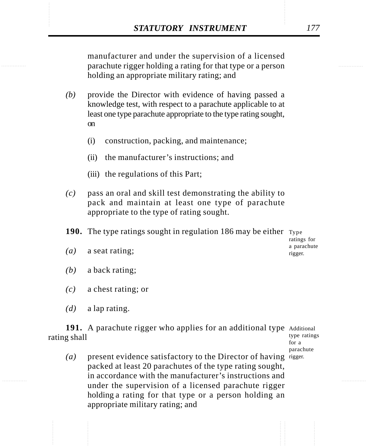**STATUTORY INSTRUMENT** 177<br>
manufacturer and under the supervision of a licensed<br>
parachute rigger holding a rating for that type or a person manufacturer and under the supervision of a licensed parachute rigger holding a rating for that type or a person holding an appropriate military rating; and

- *(b)* provide the Director with evidence of having passed a knowledge test, with respect to a parachute applicable to at least one type parachute appropriate to the type rating sought, on
	- (i) construction, packing, and maintenance;
	- (ii) the manufacturer's instructions; and
	- (iii) the regulations of this Part;
- *(c)* pass an oral and skill test demonstrating the ability to pack and maintain at least one type of parachute appropriate to the type of rating sought.
- **190.** The type ratings sought in regulation 186 may be either Type

ratings for a parachute rigger.

- *(a)* a seat rating;
- *(b)* a back rating;
- *(c)* a chest rating; or
- *(d)* a lap rating.

191. A parachute rigger who applies for an additional type Additional rating shall

- type ratings for a parachute
- (a) present evidence satisfactory to the Director of having rigger. packed at least 20 parachutes of the type rating sought, in accordance with the manufacturer's instructions and under the supervision of a licensed parachute rigger holding a rating for that type or a person holding an appropriate military rating; and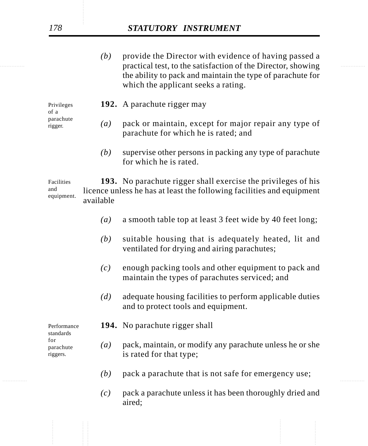# *178 STATUTORY INSTRUMENT*

practical test, to the satisfaction of the Director, showing *(b)* provide the Director with evidence of having passed a the ability to pack and maintain the type of parachute for which the applicant seeks a rating.

> Privileges of a parachute rigger.

- **192.** A parachute rigger may
- *(a)* pack or maintain, except for major repair any type of parachute for which he is rated; and
	- *(b)* supervise other persons in packing any type of parachute for which he is rated.

**193.** No parachute rigger shall exercise the privileges of his licence unless he has at least the following facilities and equipment available Facilities and equipment.

- *(a)* a smooth table top at least 3 feet wide by 40 feet long;
- *(b)* suitable housing that is adequately heated, lit and ventilated for drying and airing parachutes;
- *(c)* enough packing tools and other equipment to pack and maintain the types of parachutes serviced; and
- *(d)* adequate housing facilities to perform applicable duties and to protect tools and equipment.

Performance standards for parachute riggers.

- **194.** No parachute rigger shall
- *(a)* pack, maintain, or modify any parachute unless he or she is rated for that type;
- ............... ............... *(b)* pack a parachute that is not safe for emergency use;
	- *(c)* pack a parachute unless it has been thoroughly dried and aired;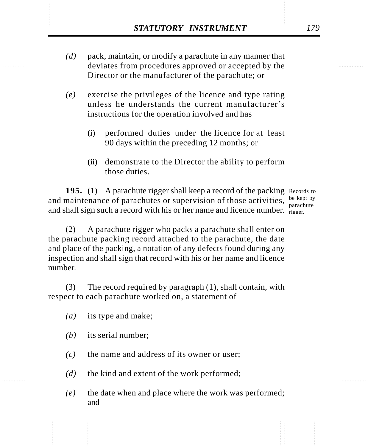- **STATUTORY INSTRUMENT** 179<br>
(d) pack, maintain, or modify a parachute in any manner that<br>
deviates from procedures approved or accepted by the *(d)* pack, maintain, or modify a parachute in any manner that deviates from procedures approved or accepted by the Director or the manufacturer of the parachute; or
	- *(e)* exercise the privileges of the licence and type rating unless he understands the current manufacturer's instructions for the operation involved and has
		- (i) performed duties under the licence for at least 90 days within the preceding 12 months; or
		- (ii) demonstrate to the Director the ability to perform those duties.

195. (1) A parachute rigger shall keep a record of the packing Records to and maintenance of parachutes or supervision of those activities,  $\frac{be\ kept}{see\text{theo}}$ and shall sign such a record with his or her name and licence number.  $r_{\text{rigger}}$ 

parachute

(2) A parachute rigger who packs a parachute shall enter on the parachute packing record attached to the parachute, the date and place of the packing, a notation of any defects found during any inspection and shall sign that record with his or her name and licence number.

(3) The record required by paragraph (1), shall contain, with respect to each parachute worked on, a statement of

- *(a)* its type and make;
- *(b)* its serial number;
- *(c)* the name and address of its owner or user;
- *(d)* the kind and extent of the work performed;
- *(e)* the date when and place where the work was performed; and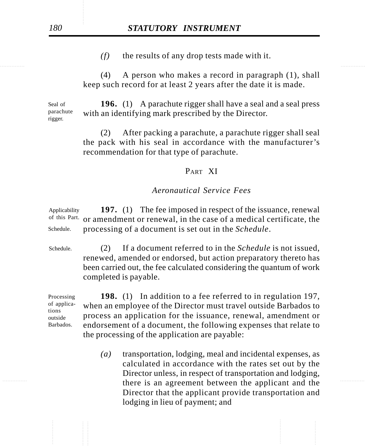*(f)* the results of any drop tests made with it.

(4) A person who makes a record in paragraph (1), shall keep such record for at least 2 years after the date it is made.

**196.** (1) A parachute rigger shall have a seal and a seal press with an identifying mark prescribed by the Director. Seal of parachute rigger.

> (2) After packing a parachute, a parachute rigger shall seal the pack with his seal in accordance with the manufacturer's recommendation for that type of parachute.

### PART XI

#### *Aeronautical Service Fees*

**197.** (1) The fee imposed in respect of the issuance, renewal or amendment or renewal, in the case of a medical certificate, the processing of a document is set out in the *Schedule*. Applicability of this Part. Schedule.

(2) If a document referred to in the *Schedule* is not issued, renewed, amended or endorsed, but action preparatory thereto has been carried out, the fee calculated considering the quantum of work completed is payable. Schedule.

Processing of applications outside Barbados.

**198.** (1) In addition to a fee referred to in regulation 197, when an employee of the Director must travel outside Barbados to process an application for the issuance, renewal, amendment or endorsement of a document, the following expenses that relate to the processing of the application are payable:

there is an agreement between the applicant and the *(a)* transportation, lodging, meal and incidental expenses, as calculated in accordance with the rates set out by the Director unless, in respect of transportation and lodging, Director that the applicant provide transportation and lodging in lieu of payment; and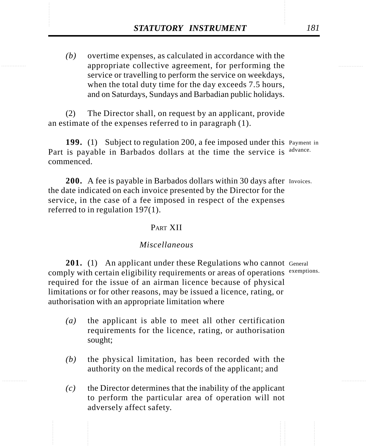**STATUTORY INSTRUMENT** 181<br>(b) overtime expenses, as calculated in accordance with the appropriate collective agreement, for performing the *(b)* overtime expenses, as calculated in accordance with the appropriate collective agreement, for performing the service or travelling to perform the service on weekdays, when the total duty time for the day exceeds 7.5 hours, and on Saturdays, Sundays and Barbadian public holidays.

> (2) The Director shall, on request by an applicant, provide an estimate of the expenses referred to in paragraph (1).

199. (1) Subject to regulation 200, a fee imposed under this Payment in Part is payable in Barbados dollars at the time the service is advance. commenced.

200. A fee is payable in Barbados dollars within 30 days after Invoices. the date indicated on each invoice presented by the Director for the service, in the case of a fee imposed in respect of the expenses referred to in regulation 197(1).

#### PART XII

#### *Miscellaneous*

201. (1) An applicant under these Regulations who cannot General comply with certain eligibility requirements or areas of operations exemptions. required for the issue of an airman licence because of physical limitations or for other reasons, may be issued a licence, rating, or authorisation with an appropriate limitation where

- *(a)* the applicant is able to meet all other certification requirements for the licence, rating, or authorisation sought;
- *(b)* the physical limitation, has been recorded with the authority on the medical records of the applicant; and
- *(c)* the Director determines that the inability of the applicant to perform the particular area of operation will not adversely affect safety.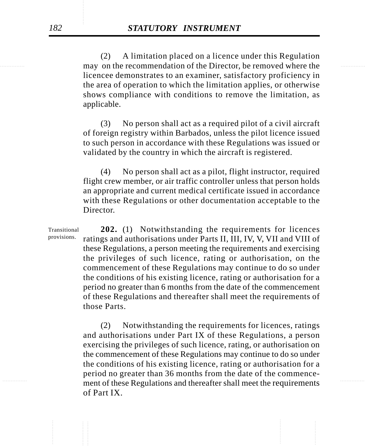may on the recommendation of the Director, be removed where the (2) A limitation placed on a licence under this Regulation licencee demonstrates to an examiner, satisfactory proficiency in the area of operation to which the limitation applies, or otherwise shows compliance with conditions to remove the limitation, as applicable.

> (3) No person shall act as a required pilot of a civil aircraft of foreign registry within Barbados, unless the pilot licence issued to such person in accordance with these Regulations was issued or validated by the country in which the aircraft is registered.

> (4) No person shall act as a pilot, flight instructor, required flight crew member, or air traffic controller unless that person holds an appropriate and current medical certificate issued in accordance with these Regulations or other documentation acceptable to the Director.

**202.** (1) Notwithstanding the requirements for licences ratings and authorisations under Parts II, III, IV, V, VII and VIII of these Regulations, a person meeting the requirements and exercising the privileges of such licence, rating or authorisation, on the commencement of these Regulations may continue to do so under the conditions of his existing licence, rating or authorisation for a period no greater than 6 months from the date of the commencement of these Regulations and thereafter shall meet the requirements of those Parts. Transitional provisions.

............... ............... ment of these Regulations and thereafter shall meet the requirements (2) Notwithstanding the requirements for licences, ratings and authorisations under Part IX of these Regulations, a person exercising the privileges of such licence, rating, or authorisation on the commencement of these Regulations may continue to do so under the conditions of his existing licence, rating or authorisation for a period no greater than 36 months from the date of the commenceof Part IX.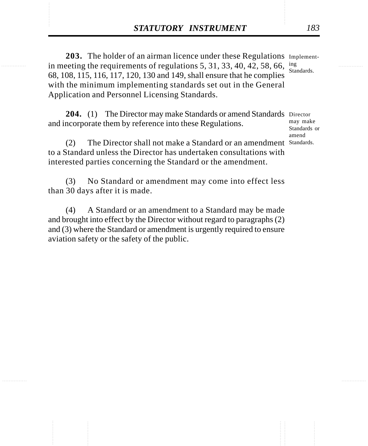**STATUTORY INSTRUMENT** 183<br>
203. The holder of an airman licence under these Regulations Implement-<br>
in meeting the requirements of regulations 5, 31, 33, 40, 42, 58, 66, ing 203. The holder of an airman licence under these Regulations Implementin meeting the requirements of regulations 5, 31, 33, 40, 42, 58, 66, 68, 108, 115, 116, 117, 120, 130 and 149, shall ensure that he complies with the minimum implementing standards set out in the General Application and Personnel Licensing Standards. ing Standards.

> 204. (1) The Director may make Standards or amend Standards Director and incorporate them by reference into these Regulations. may make Standards or

(2) The Director shall not make a Standard or an amendment Standards.to a Standard unless the Director has undertaken consultations with interested parties concerning the Standard or the amendment.

(3) No Standard or amendment may come into effect less than 30 days after it is made.

(4) A Standard or an amendment to a Standard may be made and brought into effect by the Director without regard to paragraphs (2) and (3) where the Standard or amendment is urgently required to ensure aviation safety or the safety of the public.

amend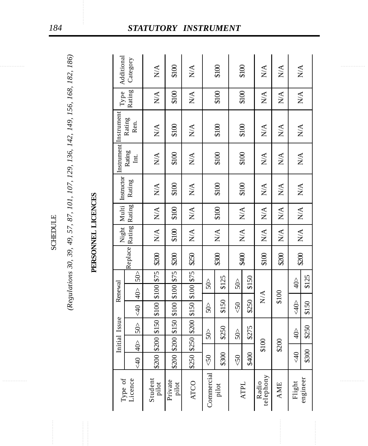# PERSONNEL LICENCES

|                 | (Regulations 30, 39, 49, 57, 87, 101, 107, 129, 136, 142, 149, 156, 168, 182, 186) |                    | Additional    | Category              | $\sum_{i=1}^{n}$                                  | \$100                 | $\sum_{\mathbf{X}}$ |                 | \$100                  | \$100                                             |       | $\sum_{\mathbf{X}}$                      | $\sum_{\mathbf{X}}$ | $\sum_{\mathbf{X}}$                               |                  |                     |                             |  |  |
|-----------------|------------------------------------------------------------------------------------|--------------------|---------------|-----------------------|---------------------------------------------------|-----------------------|---------------------|-----------------|------------------------|---------------------------------------------------|-------|------------------------------------------|---------------------|---------------------------------------------------|------------------|---------------------|-----------------------------|--|--|
|                 |                                                                                    |                    | ${\bf Type}$  | Rating                | $\mathop{\mathsf{N}}\nolimits\mathop{\mathsf{A}}$ | \$100                 | $\sum_{i=1}^{n}$    |                 | \$100                  | \$100                                             |       | $\mathop{\mathsf{X}\mathsf{M}}\nolimits$ | $\sum_{\mathbf{X}}$ | $\sum^\Delta$                                     |                  |                     |                             |  |  |
|                 |                                                                                    |                    |               |                       |                                                   | Instrument Instrument | Rating<br>Ren.      | N/A             | \$100                  | N/A                                               |       | \$100                                    | \$100               |                                                   | $\sum_{i=1}^{n}$ | $\sum_{\mathbf{X}}$ | $\mathop{\rm N}\nolimits\!$ |  |  |
|                 |                                                                                    |                    |               | Rating<br>Int.        | $\sum_{i=1}^{n}$                                  | \$100                 | $\sum_{\mathbf{X}}$ |                 | \$100                  | \$100                                             |       | $\sum_{i=1}^{n}$                         | $\sum_{\mathbf{X}}$ | $\mathop{\rm N}\nolimits\!$                       |                  |                     |                             |  |  |
|                 |                                                                                    |                    | Instructor    | Rating                | $\mathbb{N}\mathbb{A}$                            | \$100                 | $\sum_{i=1}^{n}$    |                 | \$100                  | \$100                                             |       | $\sum_{i=1}^{n}$                         | $\sum_{\mathbf{X}}$ | $\mathop{\rm N}\nolimits\!mathop{\rm A}\nolimits$ |                  |                     |                             |  |  |
|                 |                                                                                    |                    | Multi         | Rating                | $\mathop{\rm N}\nolimits\!mathop{\rm A}\nolimits$ | \$100                 | $\sum_{i=1}^{n}$    |                 | \$100                  | $\mathop{\mathsf{N}}\nolimits\mathop{\mathsf{A}}$ |       | $\sum_{i=1}^{n}$                         | $\sum_{i=1}^{n}$    | $\mathop{\mathsf{N}}\nolimits\mathop{\mathsf{A}}$ |                  |                     |                             |  |  |
| <b>SCHEDULE</b> |                                                                                    |                    |               |                       | $\mathbb{N}\mathbb{A}$                            | \$100                 | $\sum_{i=1}^{n}$    |                 | $\mathbb{N}\mathbb{A}$ | $\mathop{\mathsf{N}}\nolimits\mathop{\mathsf{A}}$ |       | $\sum_{i=1}^{n}$                         | $\sum_{i=1}^{n}$    | $\sum^\Delta$                                     |                  |                     |                             |  |  |
|                 |                                                                                    | PERSONNEL LICENCES |               | Replace Rating 1      | \$200                                             | \$200                 | \$250               |                 | \$300                  | \$400                                             |       | \$100                                    | \$200               | \$200                                             |                  |                     |                             |  |  |
|                 |                                                                                    |                    |               | 50                    | $$100$ $$75$                                      | \$75                  | \$75                | $\frac{5}{50}$  | \$125                  | 50 <sub>2</sub>                                   | \$150 |                                          |                     | $\frac{1}{2}$                                     | \$125            |                     |                             |  |  |
|                 |                                                                                    |                    | Renewal       | $40$<br>$rac{40}{5}$  | 001                                               | \$100<br>\$100        | \$100<br>\$150      | $502$           | \$150                  | $<\!\!50$                                         | \$250 | ${\bf N} {\cal A}$                       | \$100               | $\frac{1}{2}$                                     | \$150            |                     |                             |  |  |
|                 |                                                                                    |                    |               | 50 <sub>2</sub>       | \$150                                             | \$150                 | \$200               |                 |                        |                                                   |       |                                          |                     |                                                   |                  |                     |                             |  |  |
|                 |                                                                                    |                    | Initial Issue | $\frac{\triangle}{4}$ | \$200                                             | \$200                 | \$250               | 50 <sub>2</sub> | \$250                  |                                                   | \$275 | \$100                                    | \$200               | $\frac{1}{2}$                                     | \$250            |                     |                             |  |  |
|                 |                                                                                    |                    |               | $rac{40}{5}$          | \$200                                             | \$200                 | \$250               | $<\!\!50$       | \$300                  | $<\!\!50$                                         | \$400 |                                          |                     | $rac{40}{5}$                                      | \$300            |                     |                             |  |  |
|                 |                                                                                    |                    | Type of       | Licence               | Student<br>pilot                                  | Private<br>pilot      | <b>ATCO</b>         | Commercial      | pilot                  | <b>ATPL</b>                                       |       | Radio<br>telephony                       | <b>AME</b>          | Flight                                            | engineer         |                     |                             |  |  |

### *184 STATUTORY INSTRUMENT*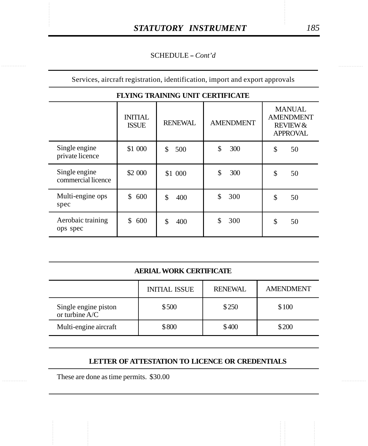#### SCHEDULE - Cont'd

Services, aircraft registration, identification, import and export approvals

| FLYING TRAINING UNIT CEKTIFICATE    |                                |                |                  |                                                                             |  |  |  |  |  |  |
|-------------------------------------|--------------------------------|----------------|------------------|-----------------------------------------------------------------------------|--|--|--|--|--|--|
|                                     | <b>INITIAL</b><br><b>ISSUE</b> | <b>RENEWAL</b> | <b>AMENDMENT</b> | <b>MANUAL</b><br><b>AMENDMENT</b><br><b>REVIEW &amp;</b><br><b>APPROVAL</b> |  |  |  |  |  |  |
| Single engine                       | \$1 000                        | \$             | \$               | \$                                                                          |  |  |  |  |  |  |
| private licence                     |                                | 500            | 300              | 50                                                                          |  |  |  |  |  |  |
| Single engine<br>commercial licence | \$2 000                        | \$1 000        | \$<br>300        | \$<br>50                                                                    |  |  |  |  |  |  |
| Multi-engine ops                    | \$                             | \$             | \$               | \$                                                                          |  |  |  |  |  |  |
| spec                                | 600                            | 400            | 300              | 50                                                                          |  |  |  |  |  |  |
| Aerobaic training                   | 600                            | \$             | 300              | \$                                                                          |  |  |  |  |  |  |
| ops spec                            | \$                             | 400            | \$               | 50                                                                          |  |  |  |  |  |  |

#### $\sigma$  and  $\mu$  in the  $\sigma$  is the  $\sigma$

#### **AERIAL WORK CERTIFICATE**

|                                          | <b>INITIAL ISSUE</b> | <b>RENEWAL</b> | <b>AMENDMENT</b> |
|------------------------------------------|----------------------|----------------|------------------|
| Single engine piston<br>or turbine $A/C$ | \$500                | \$250          | \$100            |
| Multi-engine aircraft                    | \$800                | \$400          | \$200            |

#### **LETTER OF ATTESTATION TO LICENCE OR CREDENTIALS**

These are done as time permits. \$30.00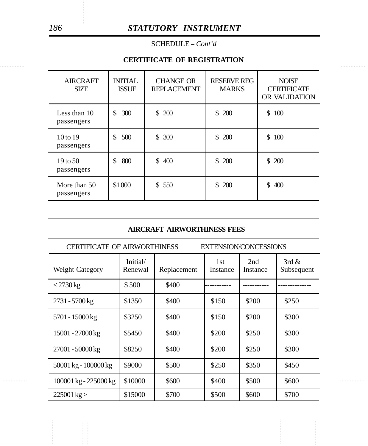#### *186 STATUTORY INSTRUMENT*

SCHEDULE - *Cont'd* 

#### ............... ............... **CERTIFICATE OF REGISTRATION**

| <b>AIRCRAFT</b><br><b>SIZE</b>    | <b>INITIAL</b><br><b>ISSUE</b> | <b>CHANGE OR</b><br><b>REPLACEMENT</b> | <b>RESERVE REG</b><br><b>MARKS</b> | <b>NOISE</b><br><b>CERTIFICATE</b><br>OR VALIDATION |
|-----------------------------------|--------------------------------|----------------------------------------|------------------------------------|-----------------------------------------------------|
| Less than 10<br>passengers        | \$<br>300                      | \$200                                  | \$200                              | 100<br>\$                                           |
| $10 \text{ to } 19$<br>passengers | \$<br>500                      | \$300                                  | \$200                              | 100<br>\$                                           |
| $19$ to 50<br>passengers          | \$<br>800                      | \$<br>400                              | 200<br>\$                          | 200<br>\$                                           |
| More than 50<br>passengers        | \$1 000                        | \$550                                  | <b>200</b><br>\$                   | 400<br>\$                                           |

#### **AIRCRAFT AIRWORTHINESS FEES**

| <b>CERTIFICATE OF AIRWORTHINESS</b> |                     |             |                 | <b>EXTENSION/CONCESSIONS</b> | 3rd $\&$<br>Subsequent<br>\$250<br>\$300<br>\$300<br>\$300 |  |
|-------------------------------------|---------------------|-------------|-----------------|------------------------------|------------------------------------------------------------|--|
| Weight Category                     | Initial/<br>Renewal | Replacement | 1st<br>Instance | 2nd<br>Instance              |                                                            |  |
| $<$ 2730 kg                         | \$500               | \$400       |                 |                              |                                                            |  |
| 2731 - 5700 kg                      | \$1350              | \$400       | \$150           | \$200                        |                                                            |  |
| 5701 - 15000 kg                     | \$3250              | \$400       | \$150           | \$200                        |                                                            |  |
| 15001 - 27000 kg                    | \$5450              | \$400       | \$200           | \$250                        |                                                            |  |
| 27001 - 50000 kg                    | \$8250              | \$400       | \$200           | \$250                        |                                                            |  |
| 50001 kg - 100000 kg                | \$9000              | \$500       | \$250           | \$350                        | \$450                                                      |  |
| 100001 kg - 225000 kg               | \$10000             | \$600       | \$400           | \$500                        | \$600                                                      |  |
| $225001 \text{ kg}$                 | \$15000             | \$700       | \$500           | \$600                        | \$700                                                      |  |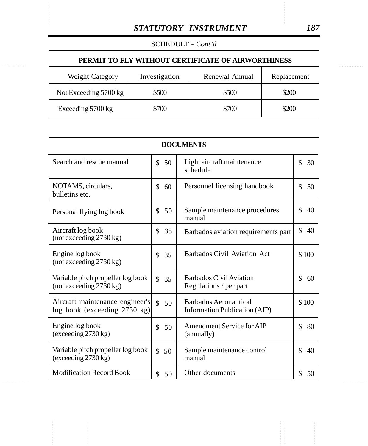SCHEDULE -- *Cont'd* 

## $\begin{tabular}{c|c} \multicolumn{2}{c}{\textbf{\textit{SATUTORY}}}\quad \textit{INSTRUMENT} & \multicolumn{2}{c}{187} \\ \multicolumn{2}{c}{\textbf{\textit{SCHEDULE -} }}\textit{Cont'd} & \multicolumn{2}{c}{\textbf{\textit{PERMIT TO FLY WITHOUT CERTIFICATE OF AIRWORTHINESS}}} \end{tabular}$ **PERMIT TO FLY WITHOUT CERTIFICATE OF AIRWORTHINESS**

| Weight Category       | Investigation | Renewal Annual | Replacement |
|-----------------------|---------------|----------------|-------------|
| Not Exceeding 5700 kg | \$500         | \$500          | \$200       |
| Exceeding 5700 kg     | \$700         | \$700          | \$200       |

| <b>DOCUMENTS</b>                           |          |                                     |          |  |  |  |  |
|--------------------------------------------|----------|-------------------------------------|----------|--|--|--|--|
| Search and rescue manual                   | \$       | Light aircraft maintenance          | \$       |  |  |  |  |
|                                            | 50       | schedule                            | 30       |  |  |  |  |
| NOTAMS, circulars,                         | \$       | Personnel licensing handbook        | \$       |  |  |  |  |
| bulletins etc.                             | 60       |                                     | 50       |  |  |  |  |
| Personal flying log book                   | \$       | Sample maintenance procedures       | \$       |  |  |  |  |
|                                            | 50       | manual                              | 40       |  |  |  |  |
| Aircraft log book                          | \$       | Barbados aviation requirements part | \$       |  |  |  |  |
| (not exceeding 2730 kg)                    | 35       |                                     | 40       |  |  |  |  |
| Engine log book<br>(not exceeding 2730 kg) | \$<br>35 | Barbados Civil Aviation Act         | \$100    |  |  |  |  |
| Variable pitch propeller log book          | \$       | Barbados Civil Aviation             | \$       |  |  |  |  |
| (not exceeding 2730 kg)                    | 35       | Regulations / per part              | 60       |  |  |  |  |
| Aircraft maintenance engineer's            | \$       | Barbados Aeronautical               | \$100    |  |  |  |  |
| $log$ book (exceeding 2730 kg)             | 50       | Information Publication (AIP)       |          |  |  |  |  |
| Engine log book                            | \$       | Amendment Service for AIP           | \$       |  |  |  |  |
| (exceeding 2730 kg)                        | 50       | (annually)                          | 80       |  |  |  |  |
| Variable pitch propeller log book          | \$       | Sample maintenance control          | \$       |  |  |  |  |
| (exceeding 2730 kg)                        | 50       | manual                              | 40       |  |  |  |  |
| <b>Modification Record Book</b>            | \$<br>50 | Other documents                     | \$<br>50 |  |  |  |  |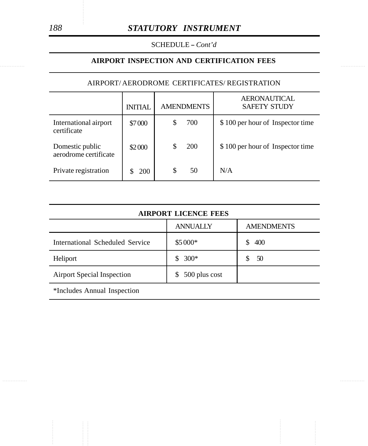SCHEDULE - *Cont'd* 

#### **AIRPORT INSPECTION AND CERTIFICATION FEES**

#### AIRPORT/ AERODROME CERTIFICATES/ REGISTRATION

|                                          | <b>INITIAL</b> |   | <b>AMENDMENTS</b> | <b>AERONAUTICAL</b><br><b>SAFETY STUDY</b> |
|------------------------------------------|----------------|---|-------------------|--------------------------------------------|
| International airport<br>certificate     | \$7000         |   | 700               | \$100 per hour of Inspector time           |
| Domestic public<br>aerodrome certificate | \$2000         |   | 200               | \$100 per hour of Inspector time           |
| Private registration                     | <b>200</b>     | S | 50                | N/A                                        |

| <b>AIRPORT LICENCE FEES</b>       |                    |                   |  |  |  |  |  |
|-----------------------------------|--------------------|-------------------|--|--|--|--|--|
|                                   | <b>ANNUALLY</b>    | <b>AMENDMENTS</b> |  |  |  |  |  |
| International Scheduled Service   | \$5 000*           | 400<br>S.         |  |  |  |  |  |
| Heliport                          | $300*$<br>S        | 50                |  |  |  |  |  |
| <b>Airport Special Inspection</b> | 500 plus cost<br>S |                   |  |  |  |  |  |

\*Includes Annual Inspection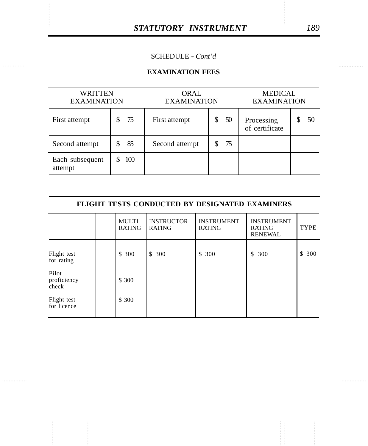#### SCHEDULE -- *Cont'd*

#### **EXAMINATION FEES**

| WRITTEN<br><b>EXAMINATION</b> |     | <b>ORAL</b><br><b>EXAMINATION</b> |    | <b>MEDICAL</b><br><b>EXAMINATION</b> |    |  |
|-------------------------------|-----|-----------------------------------|----|--------------------------------------|----|--|
| First attempt                 | 75  | First attempt                     | 50 | Processing<br>of certificate         | 50 |  |
| Second attempt                | 85  | Second attempt                    | 75 |                                      |    |  |
| Each subsequent<br>attempt    | 100 |                                   |    |                                      |    |  |

| <b>FLIGHT TESTS CONDUCTED BY DESIGNATED EXAMINERS</b> |  |                        |                                    |                                    |                                                      |             |  |  |  |
|-------------------------------------------------------|--|------------------------|------------------------------------|------------------------------------|------------------------------------------------------|-------------|--|--|--|
|                                                       |  | MULTI<br><b>RATING</b> | <b>INSTRUCTOR</b><br><b>RATING</b> | <b>INSTRUMENT</b><br><b>RATING</b> | <b>INSTRUMENT</b><br><b>RATING</b><br><b>RENEWAL</b> | <b>TYPE</b> |  |  |  |
| Flight test<br>for rating                             |  | \$ 300                 | \$ 300                             | \$ 300                             | \$<br>300                                            | \$<br>300   |  |  |  |
| Pilot<br>proficiency<br>check                         |  | \$ 300                 |                                    |                                    |                                                      |             |  |  |  |
| Flight test<br>for licence                            |  | \$ 300                 |                                    |                                    |                                                      |             |  |  |  |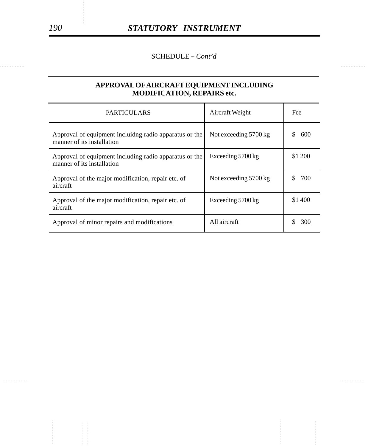SCHEDULE -- *Cont'd* 

#### **APPROVAL OF AIRCRAFT EQUIPMENT INCLUDING MODIFICATION, REPAIRS etc.**

| <b>PARTICULARS</b>                                                                    | Aircraft Weight       | Fee     |
|---------------------------------------------------------------------------------------|-----------------------|---------|
| Approval of equipment incluiding radio apparatus or the<br>manner of its installation | Not exceeding 5700 kg | 600     |
| Approval of equipment including radio apparatus or the<br>manner of its installation  | Exceeding 5700 kg     | \$1 200 |
| Approval of the major modification, repair etc. of<br>aircraft                        | Not exceeding 5700 kg | 700     |
| Approval of the major modification, repair etc. of<br>aircraft                        | Exceeding 5700 kg     | \$1 400 |
| Approval of minor repairs and modifications                                           | All aircraft          | 300     |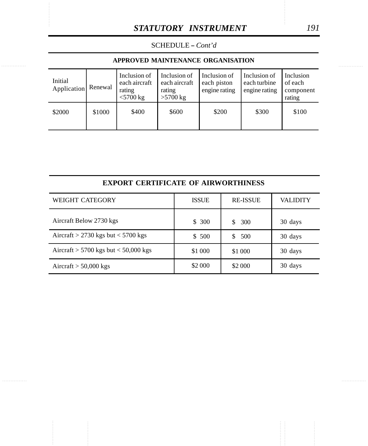SCHEDULE - *Cont'd* 

#### **APPROVED MAINTENANCE ORGANISATION**

| Initial<br>Application | Renewal | Inclusion of<br>each aircraft<br>rating<br>$<$ 5700 kg | Inclusion of<br>each aircraft<br>rating<br>$>5700$ kg | Inclusion of<br>each piston<br>engine rating | Inclusion of<br>each turbine<br>engine rating | Inclusion<br>of each<br>component<br>rating |
|------------------------|---------|--------------------------------------------------------|-------------------------------------------------------|----------------------------------------------|-----------------------------------------------|---------------------------------------------|
| \$2000                 | \$1000  | \$400                                                  | \$600                                                 | \$200                                        | \$300                                         | \$100                                       |

|  | EXPORT CERTIFICATE OF AIRWORTHINESS |
|--|-------------------------------------|
|  |                                     |

| <b>WEIGHT CATEGORY</b>                   | <b>ISSUE</b> | <b>RE-ISSUE</b> | VALIDITY |
|------------------------------------------|--------------|-----------------|----------|
| Aircraft Below 2730 kgs                  | \$300        | 300<br>\$.      | 30 days  |
| Aircraft > 2730 kgs but $<$ 5700 kgs     | \$500        | 500<br>\$.      | 30 days  |
| Aircraft $> 5700$ kgs but $< 50,000$ kgs | \$1 000      | \$1 000         | 30 days  |
| Aircraft $> 50,000$ kgs                  | \$2 000      | \$2 000         | 30 days  |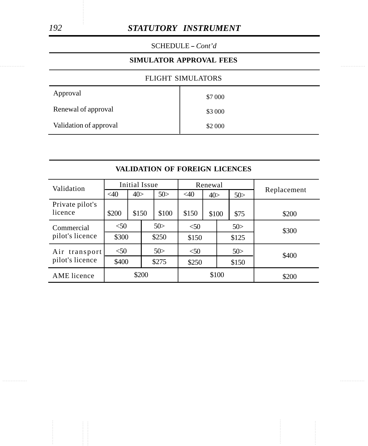#### *192 STATUTORY INSTRUMENT*

SCHEDULE -- *Cont'd* 

#### ............... ............... **SIMULATOR APPROVAL FEES**

#### FLIGHT SIMULATORS

| Approval               | \$7 000 |
|------------------------|---------|
| Renewal of approval    | \$3 000 |
| Validation of approval | \$2 000 |

| VALIDATION OF FOREIGN LICENCES |  |
|--------------------------------|--|
|                                |  |

| Validation                 | Initial Issue |       |       |       | Renewal |       |       |       |             |  |
|----------------------------|---------------|-------|-------|-------|---------|-------|-------|-------|-------------|--|
|                            | $<$ 40        | 40>   |       | 50>   | <40     | 40>   |       | 50>   | Replacement |  |
| Private pilot's<br>licence | \$200         | \$150 |       | \$100 | \$150   | \$100 |       | \$75  | \$200       |  |
| Commercial                 | $<$ 50        |       | 50>   | < 50  |         | 50>   |       | \$300 |             |  |
| pilot's licence            |               | \$300 |       | \$250 |         | \$150 |       | \$125 |             |  |
| Air transport              | < 50          |       |       | 50>   | $<$ 50  |       |       | 50>   | \$400       |  |
| pilot's licence            |               | \$400 |       | \$275 | \$250   |       | \$150 |       |             |  |
| AME licence                | \$200         |       | \$100 |       | \$200   |       |       |       |             |  |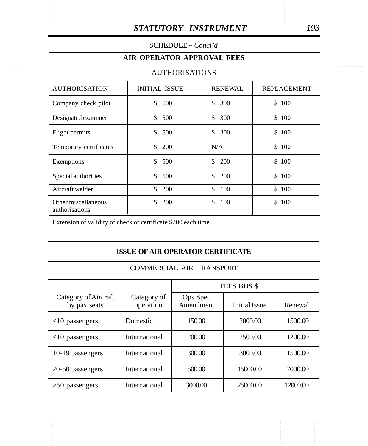#### SCHEDULE - *Concl'd*

#### **AIR OPERATOR APPROVAL FEES**

#### AUTHORISATIONS

| <b>AUTHORISATION</b>                  | <b>INITIAL ISSUE</b> | <b>RENEWAL</b> | <b>REPLACEMENT</b> |
|---------------------------------------|----------------------|----------------|--------------------|
| Company check pilot                   | \$<br>500            | \$<br>300      | \$100              |
| Designated examiner                   | \$<br>500            | \$<br>300      | \$100              |
| Flight permits                        | \$<br>500            | \$<br>300      | \$100              |
| Temporary certificates                | \$<br><b>200</b>     | N/A            | \$100              |
| Exemptions                            | \$<br>500            | \$<br>200      | \$100              |
| Special authorities                   | \$<br>500            | \$<br>200      | \$100              |
| Aircraft welder                       | \$<br>200            | \$<br>100      | \$100              |
| Other miscellaneous<br>authorisations | \$.<br>200           | \$<br>100      | 100<br>\$          |

Extension of validity of check or certificate \$200 each time.

#### **ISSUE OF AIR OPERATOR CERTIFICATE**

#### COMMERCIAL AIR TRANSPORT

|                                      |                          | FEES BDS \$           |                      |          |  |  |
|--------------------------------------|--------------------------|-----------------------|----------------------|----------|--|--|
| Category of Aircraft<br>by pax seats | Category of<br>operation | Ops Spec<br>Amendment | <b>Initial Issue</b> | Renewal  |  |  |
| $<$ 10 passengers                    | Domestic                 | 150.00                | 2000.00              | 1500.00  |  |  |
| $<$ 10 passengers                    | International            | 200.00                | 2500.00              | 1200.00  |  |  |
| 10-19 passengers                     | International            | 300.00                | 3000.00              | 1500.00  |  |  |
| 20-50 passengers                     | International            | 500.00                | 15000.00             | 7000.00  |  |  |
| $>50$ passengers                     | International            | 3000.00               | 25000.00             | 12000.00 |  |  |